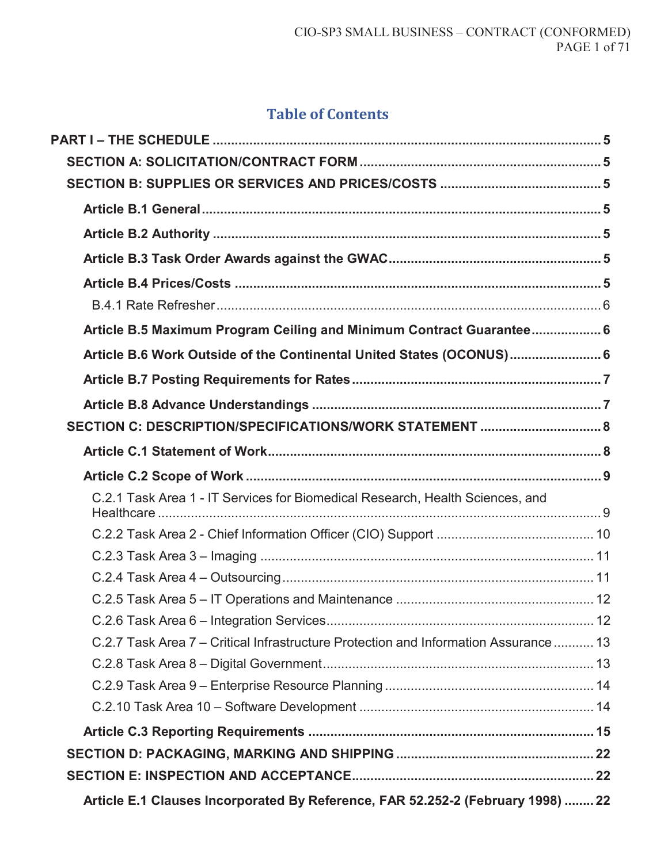# **Table of Contents**

| Article B.5 Maximum Program Ceiling and Minimum Contract Guarantee 6                 |  |
|--------------------------------------------------------------------------------------|--|
| Article B.6 Work Outside of the Continental United States (OCONUS) 6                 |  |
|                                                                                      |  |
|                                                                                      |  |
| SECTION C: DESCRIPTION/SPECIFICATIONS/WORK STATEMENT  8                              |  |
|                                                                                      |  |
|                                                                                      |  |
| C.2.1 Task Area 1 - IT Services for Biomedical Research, Health Sciences, and        |  |
|                                                                                      |  |
|                                                                                      |  |
|                                                                                      |  |
|                                                                                      |  |
|                                                                                      |  |
| C.2.7 Task Area 7 – Critical Infrastructure Protection and Information Assurance  13 |  |
|                                                                                      |  |
|                                                                                      |  |
|                                                                                      |  |
|                                                                                      |  |
|                                                                                      |  |
|                                                                                      |  |
| Article E.1 Clauses Incorporated By Reference, FAR 52.252-2 (February 1998)  22      |  |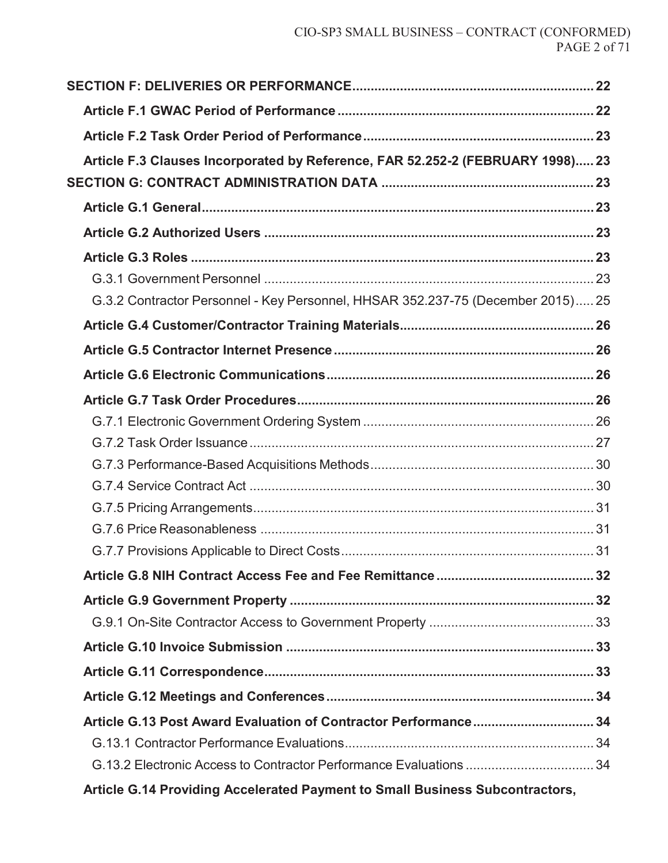| Article F.3 Clauses Incorporated by Reference, FAR 52.252-2 (FEBRUARY 1998) 23  |  |
|---------------------------------------------------------------------------------|--|
|                                                                                 |  |
|                                                                                 |  |
|                                                                                 |  |
|                                                                                 |  |
|                                                                                 |  |
| G.3.2 Contractor Personnel - Key Personnel, HHSAR 352.237-75 (December 2015) 25 |  |
|                                                                                 |  |
|                                                                                 |  |
|                                                                                 |  |
|                                                                                 |  |
|                                                                                 |  |
|                                                                                 |  |
|                                                                                 |  |
|                                                                                 |  |
|                                                                                 |  |
|                                                                                 |  |
|                                                                                 |  |
|                                                                                 |  |
|                                                                                 |  |
|                                                                                 |  |
|                                                                                 |  |
|                                                                                 |  |
|                                                                                 |  |
|                                                                                 |  |
|                                                                                 |  |
| G.13.2 Electronic Access to Contractor Performance Evaluations 34               |  |
|                                                                                 |  |

**Article G.14 Providing Accelerated Payment to Small Business Subcontractors,**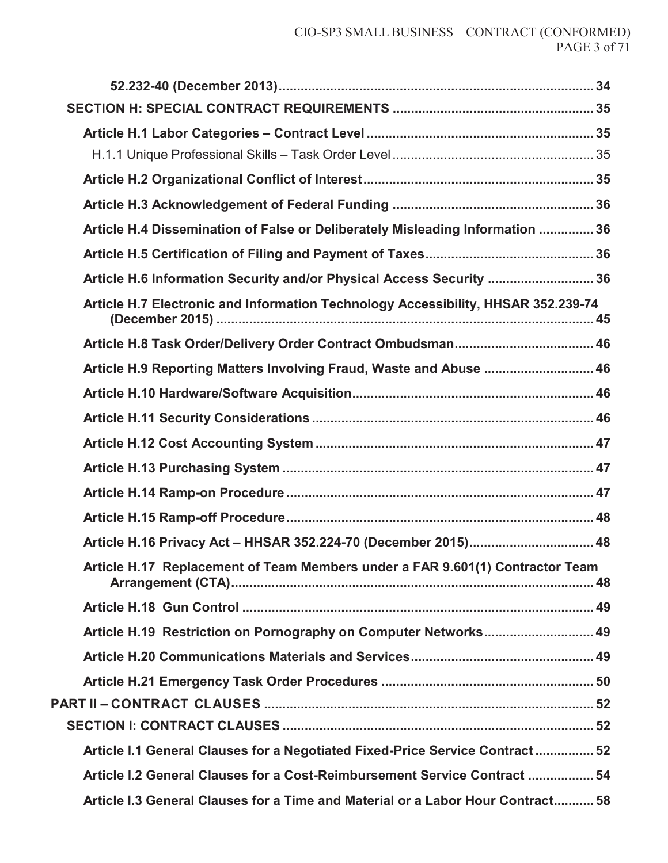| Article H.4 Dissemination of False or Deliberately Misleading Information  36     |
|-----------------------------------------------------------------------------------|
|                                                                                   |
| Article H.6 Information Security and/or Physical Access Security  36              |
| Article H.7 Electronic and Information Technology Accessibility, HHSAR 352.239-74 |
|                                                                                   |
| Article H.9 Reporting Matters Involving Fraud, Waste and Abuse  46                |
|                                                                                   |
|                                                                                   |
|                                                                                   |
|                                                                                   |
|                                                                                   |
|                                                                                   |
| Article H.16 Privacy Act - HHSAR 352.224-70 (December 2015) 48                    |
| Article H.17 Replacement of Team Members under a FAR 9.601(1) Contractor Team     |
|                                                                                   |
| Article H.19 Restriction on Pornography on Computer Networks 49                   |
|                                                                                   |
|                                                                                   |
|                                                                                   |
|                                                                                   |
| Article I.1 General Clauses for a Negotiated Fixed-Price Service Contract 52      |
| Article I.2 General Clauses for a Cost-Reimbursement Service Contract  54         |
| Article I.3 General Clauses for a Time and Material or a Labor Hour Contract 58   |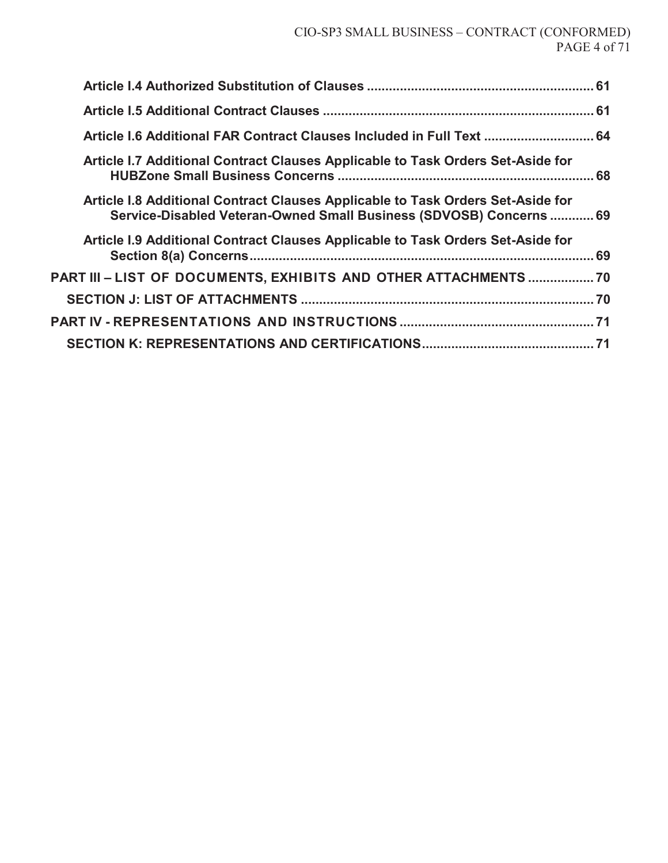| Article I.6 Additional FAR Contract Clauses Included in Full Text  64                                                                                  |  |
|--------------------------------------------------------------------------------------------------------------------------------------------------------|--|
| Article I.7 Additional Contract Clauses Applicable to Task Orders Set-Aside for                                                                        |  |
| Article I.8 Additional Contract Clauses Applicable to Task Orders Set-Aside for<br>Service-Disabled Veteran-Owned Small Business (SDVOSB) Concerns  69 |  |
| Article I.9 Additional Contract Clauses Applicable to Task Orders Set-Aside for                                                                        |  |
| PART III – LIST OF DOCUMENTS, EXHIBITS AND OTHER ATTACHMENTS  70                                                                                       |  |
|                                                                                                                                                        |  |
|                                                                                                                                                        |  |
|                                                                                                                                                        |  |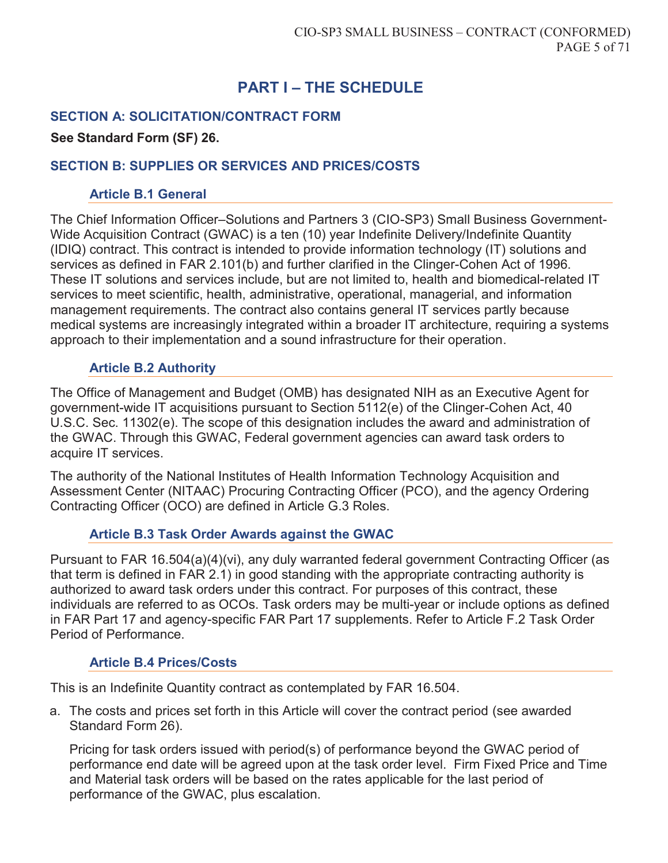# **PART I – THE SCHEDULE**

## **SECTION A: SOLICITATION/CONTRACT FORM**

#### **See Standard Form (SF) 26.**

### **SECTION B: SUPPLIES OR SERVICES AND PRICES/COSTS**

#### **Article B.1 General**

The Chief Information Officer–Solutions and Partners 3 (CIO-SP3) Small Business Government-Wide Acquisition Contract (GWAC) is a ten (10) year Indefinite Delivery/Indefinite Quantity (IDIQ) contract. This contract is intended to provide information technology (IT) solutions and services as defined in FAR 2.101(b) and further clarified in the Clinger-Cohen Act of 1996. These IT solutions and services include, but are not limited to, health and biomedical-related IT services to meet scientific, health, administrative, operational, managerial, and information management requirements. The contract also contains general IT services partly because medical systems are increasingly integrated within a broader IT architecture, requiring a systems approach to their implementation and a sound infrastructure for their operation.

### **Article B.2 Authority**

The Office of Management and Budget (OMB) has designated NIH as an Executive Agent for government-wide IT acquisitions pursuant to Section 5112(e) of the Clinger-Cohen Act, 40 U.S.C. Sec. 11302(e). The scope of this designation includes the award and administration of the GWAC. Through this GWAC, Federal government agencies can award task orders to acquire IT services.

The authority of the National Institutes of Health Information Technology Acquisition and Assessment Center (NITAAC) Procuring Contracting Officer (PCO), and the agency Ordering Contracting Officer (OCO) are defined in Article G.3 Roles.

#### **Article B.3 Task Order Awards against the GWAC**

Pursuant to FAR 16.504(a)(4)(vi), any duly warranted federal government Contracting Officer (as that term is defined in FAR 2.1) in good standing with the appropriate contracting authority is authorized to award task orders under this contract. For purposes of this contract, these individuals are referred to as OCOs. Task orders may be multi-year or include options as defined in FAR Part 17 and agency-specific FAR Part 17 supplements. Refer to Article F.2 Task Order Period of Performance.

### **Article B.4 Prices/Costs**

This is an Indefinite Quantity contract as contemplated by FAR 16.504.

a. The costs and prices set forth in this Article will cover the contract period (see awarded Standard Form 26).

Pricing for task orders issued with period(s) of performance beyond the GWAC period of performance end date will be agreed upon at the task order level. Firm Fixed Price and Time and Material task orders will be based on the rates applicable for the last period of performance of the GWAC, plus escalation.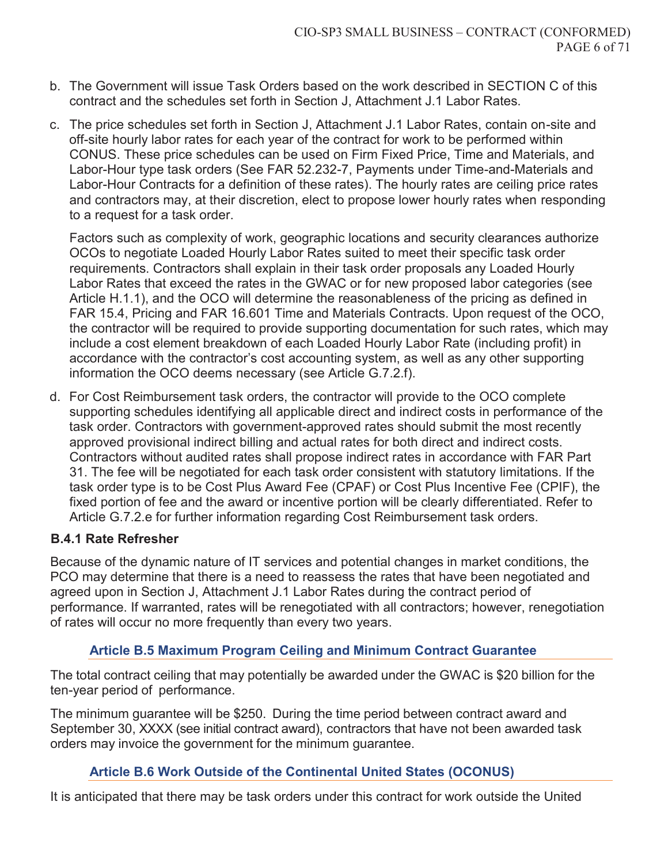- b. The Government will issue Task Orders based on the work described in SECTION C of this contract and the schedules set forth in Section J, Attachment J.1 Labor Rates.
- c. The price schedules set forth in Section J, Attachment J.1 Labor Rates, contain on-site and off-site hourly labor rates for each year of the contract for work to be performed within CONUS. These price schedules can be used on Firm Fixed Price, Time and Materials, and Labor-Hour type task orders (See FAR 52.232-7, Payments under Time-and-Materials and Labor-Hour Contracts for a definition of these rates). The hourly rates are ceiling price rates and contractors may, at their discretion, elect to propose lower hourly rates when responding to a request for a task order.

Factors such as complexity of work, geographic locations and security clearances authorize OCOs to negotiate Loaded Hourly Labor Rates suited to meet their specific task order requirements. Contractors shall explain in their task order proposals any Loaded Hourly Labor Rates that exceed the rates in the GWAC or for new proposed labor categories (see Article H.1.1), and the OCO will determine the reasonableness of the pricing as defined in FAR 15.4, Pricing and FAR 16.601 Time and Materials Contracts. Upon request of the OCO, the contractor will be required to provide supporting documentation for such rates, which may include a cost element breakdown of each Loaded Hourly Labor Rate (including profit) in accordance with the contractor's cost accounting system, as well as any other supporting information the OCO deems necessary (see Article G.7.2.f).

d. For Cost Reimbursement task orders, the contractor will provide to the OCO complete supporting schedules identifying all applicable direct and indirect costs in performance of the task order. Contractors with government-approved rates should submit the most recently approved provisional indirect billing and actual rates for both direct and indirect costs. Contractors without audited rates shall propose indirect rates in accordance with FAR Part 31. The fee will be negotiated for each task order consistent with statutory limitations. If the task order type is to be Cost Plus Award Fee (CPAF) or Cost Plus Incentive Fee (CPIF), the fixed portion of fee and the award or incentive portion will be clearly differentiated. Refer to Article G.7.2.e for further information regarding Cost Reimbursement task orders.

### **B.4.1 Rate Refresher**

Because of the dynamic nature of IT services and potential changes in market conditions, the PCO may determine that there is a need to reassess the rates that have been negotiated and agreed upon in Section J, Attachment J.1 Labor Rates during the contract period of performance. If warranted, rates will be renegotiated with all contractors; however, renegotiation of rates will occur no more frequently than every two years.

### **Article B.5 Maximum Program Ceiling and Minimum Contract Guarantee**

The total contract ceiling that may potentially be awarded under the GWAC is \$20 billion for the ten-year period of performance.

The minimum guarantee will be \$250. During the time period between contract award and September 30, XXXX (see initial contract award), contractors that have not been awarded task orders may invoice the government for the minimum guarantee.

#### **Article B.6 Work Outside of the Continental United States (OCONUS)**

It is anticipated that there may be task orders under this contract for work outside the United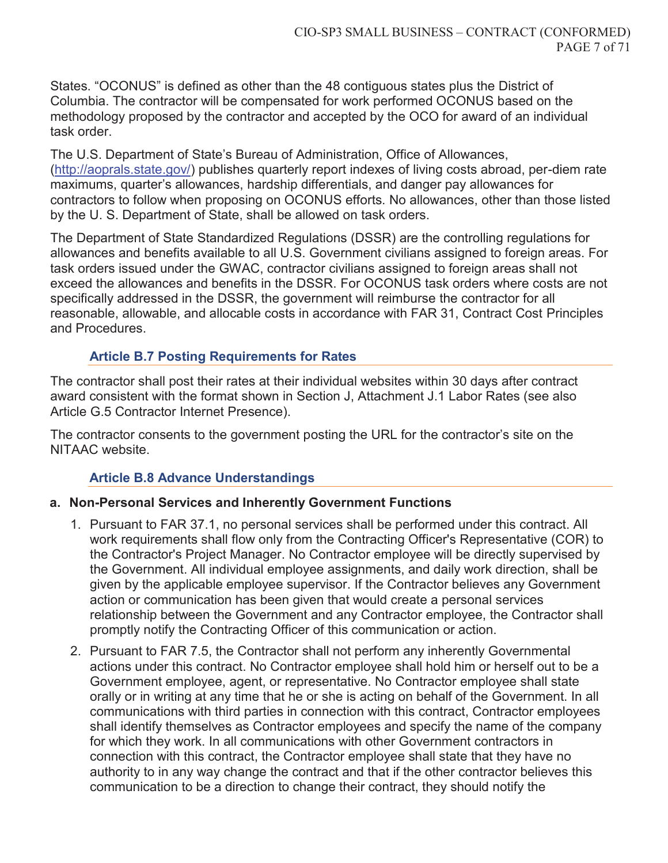States. "OCONUS" is defined as other than the 48 contiguous states plus the District of Columbia. The contractor will be compensated for work performed OCONUS based on the methodology proposed by the contractor and accepted by the OCO for award of an individual task order.

The U.S. Department of State's Bureau of Administration, Office of Allowances, (http://aoprals.state.gov/) publishes quarterly report indexes of living costs abroad, per-diem rate maximums, quarter's allowances, hardship differentials, and danger pay allowances for contractors to follow when proposing on OCONUS efforts. No allowances, other than those listed by the U. S. Department of State, shall be allowed on task orders.

The Department of State Standardized Regulations (DSSR) are the controlling regulations for allowances and benefits available to all U.S. Government civilians assigned to foreign areas. For task orders issued under the GWAC, contractor civilians assigned to foreign areas shall not exceed the allowances and benefits in the DSSR. For OCONUS task orders where costs are not specifically addressed in the DSSR, the government will reimburse the contractor for all reasonable, allowable, and allocable costs in accordance with FAR 31, Contract Cost Principles and Procedures.

### **Article B.7 Posting Requirements for Rates**

The contractor shall post their rates at their individual websites within 30 days after contract award consistent with the format shown in Section J, Attachment J.1 Labor Rates (see also Article G.5 Contractor Internet Presence).

The contractor consents to the government posting the URL for the contractor's site on the NITAAC website.

### **Article B.8 Advance Understandings**

### **a. Non-Personal Services and Inherently Government Functions**

- 1. Pursuant to FAR 37.1, no personal services shall be performed under this contract. All work requirements shall flow only from the Contracting Officer's Representative (COR) to the Contractor's Project Manager. No Contractor employee will be directly supervised by the Government. All individual employee assignments, and daily work direction, shall be given by the applicable employee supervisor. If the Contractor believes any Government action or communication has been given that would create a personal services relationship between the Government and any Contractor employee, the Contractor shall promptly notify the Contracting Officer of this communication or action.
- 2. Pursuant to FAR 7.5, the Contractor shall not perform any inherently Governmental actions under this contract. No Contractor employee shall hold him or herself out to be a Government employee, agent, or representative. No Contractor employee shall state orally or in writing at any time that he or she is acting on behalf of the Government. In all communications with third parties in connection with this contract, Contractor employees shall identify themselves as Contractor employees and specify the name of the company for which they work. In all communications with other Government contractors in connection with this contract, the Contractor employee shall state that they have no authority to in any way change the contract and that if the other contractor believes this communication to be a direction to change their contract, they should notify the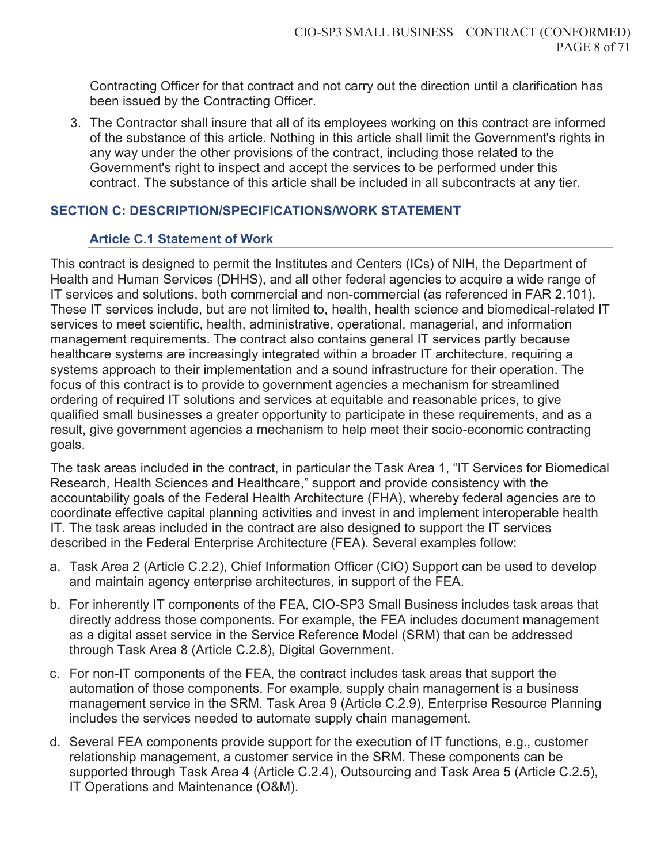Contracting Officer for that contract and not carry out the direction until a clarification has been issued by the Contracting Officer.

3. The Contractor shall insure that all of its employees working on this contract are informed of the substance of this article. Nothing in this article shall limit the Government's rights in any way under the other provisions of the contract, including those related to the Government's right to inspect and accept the services to be performed under this contract. The substance of this article shall be included in all subcontracts at any tier.

### **SECTION C: DESCRIPTION/SPECIFICATIONS/WORK STATEMENT**

### **Article C.1 Statement of Work**

This contract is designed to permit the Institutes and Centers (ICs) of NIH, the Department of Health and Human Services (DHHS), and all other federal agencies to acquire a wide range of IT services and solutions, both commercial and non-commercial (as referenced in FAR 2.101). These IT services include, but are not limited to, health, health science and biomedical-related IT services to meet scientific, health, administrative, operational, managerial, and information management requirements. The contract also contains general IT services partly because healthcare systems are increasingly integrated within a broader IT architecture, requiring a systems approach to their implementation and a sound infrastructure for their operation. The focus of this contract is to provide to government agencies a mechanism for streamlined ordering of required IT solutions and services at equitable and reasonable prices, to give qualified small businesses a greater opportunity to participate in these requirements, and as a result, give government agencies a mechanism to help meet their socio-economic contracting goals.

The task areas included in the contract, in particular the Task Area 1, "IT Services for Biomedical Research, Health Sciences and Healthcare," support and provide consistency with the accountability goals of the Federal Health Architecture (FHA), whereby federal agencies are to coordinate effective capital planning activities and invest in and implement interoperable health IT. The task areas included in the contract are also designed to support the IT services described in the Federal Enterprise Architecture (FEA). Several examples follow:

- a. Task Area 2 (Article C.2.2), Chief Information Officer (CIO) Support can be used to develop and maintain agency enterprise architectures, in support of the FEA.
- b. For inherently IT components of the FEA, CIO-SP3 Small Business includes task areas that directly address those components. For example, the FEA includes document management as a digital asset service in the Service Reference Model (SRM) that can be addressed through Task Area 8 (Article C.2.8), Digital Government.
- c. For non-IT components of the FEA, the contract includes task areas that support the automation of those components. For example, supply chain management is a business management service in the SRM. Task Area 9 (Article C.2.9), Enterprise Resource Planning includes the services needed to automate supply chain management.
- d. Several FEA components provide support for the execution of IT functions, e.g., customer relationship management, a customer service in the SRM. These components can be supported through Task Area 4 (Article C.2.4), Outsourcing and Task Area 5 (Article C.2.5), IT Operations and Maintenance (O&M).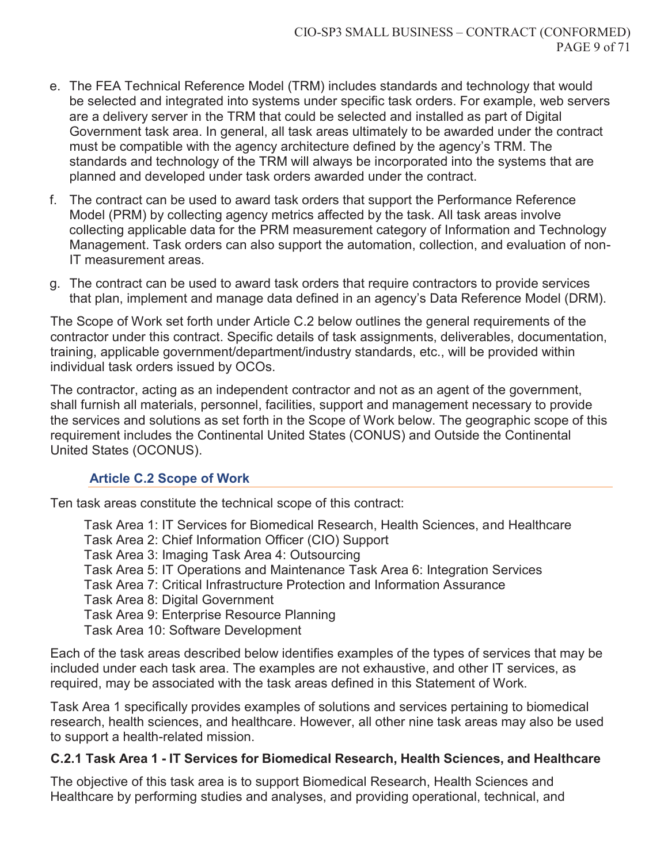- e. The FEA Technical Reference Model (TRM) includes standards and technology that would be selected and integrated into systems under specific task orders. For example, web servers are a delivery server in the TRM that could be selected and installed as part of Digital Government task area. In general, all task areas ultimately to be awarded under the contract must be compatible with the agency architecture defined by the agency's TRM. The standards and technology of the TRM will always be incorporated into the systems that are planned and developed under task orders awarded under the contract.
- f. The contract can be used to award task orders that support the Performance Reference Model (PRM) by collecting agency metrics affected by the task. All task areas involve collecting applicable data for the PRM measurement category of Information and Technology Management. Task orders can also support the automation, collection, and evaluation of non-IT measurement areas.
- g. The contract can be used to award task orders that require contractors to provide services that plan, implement and manage data defined in an agency's Data Reference Model (DRM).

The Scope of Work set forth under Article C.2 below outlines the general requirements of the contractor under this contract. Specific details of task assignments, deliverables, documentation, training, applicable government/department/industry standards, etc., will be provided within individual task orders issued by OCOs.

The contractor, acting as an independent contractor and not as an agent of the government, shall furnish all materials, personnel, facilities, support and management necessary to provide the services and solutions as set forth in the Scope of Work below. The geographic scope of this requirement includes the Continental United States (CONUS) and Outside the Continental United States (OCONUS).

### **Article C.2 Scope of Work**

Ten task areas constitute the technical scope of this contract:

Task Area 1: IT Services for Biomedical Research, Health Sciences, and Healthcare Task Area 2: Chief Information Officer (CIO) Support Task Area 3: Imaging Task Area 4: Outsourcing Task Area 5: IT Operations and Maintenance Task Area 6: Integration Services Task Area 7: Critical Infrastructure Protection and Information Assurance Task Area 8: Digital Government Task Area 9: Enterprise Resource Planning Task Area 10: Software Development

Each of the task areas described below identifies examples of the types of services that may be included under each task area. The examples are not exhaustive, and other IT services, as required, may be associated with the task areas defined in this Statement of Work.

Task Area 1 specifically provides examples of solutions and services pertaining to biomedical research, health sciences, and healthcare. However, all other nine task areas may also be used to support a health-related mission.

### **C.2.1 Task Area 1 - IT Services for Biomedical Research, Health Sciences, and Healthcare**

The objective of this task area is to support Biomedical Research, Health Sciences and Healthcare by performing studies and analyses, and providing operational, technical, and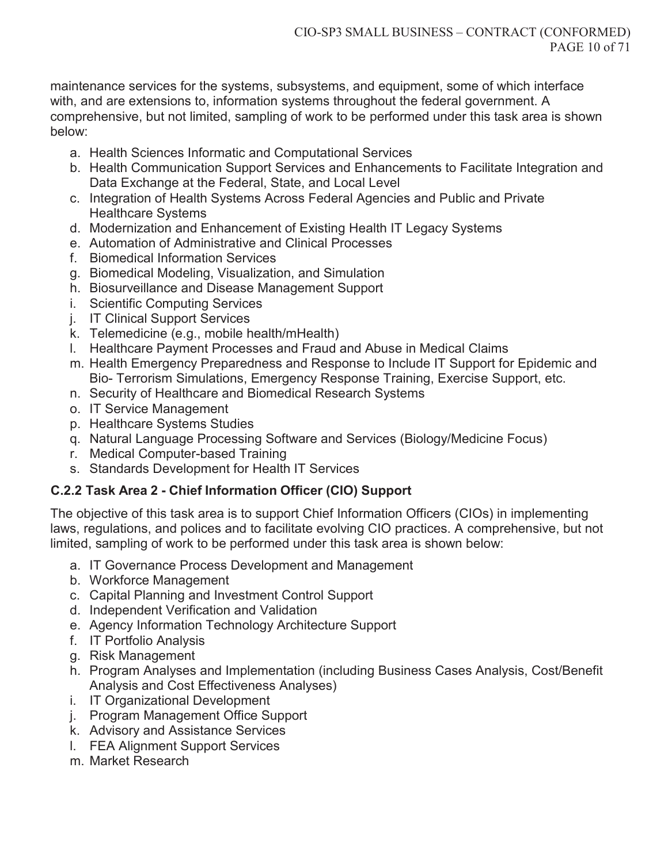maintenance services for the systems, subsystems, and equipment, some of which interface with, and are extensions to, information systems throughout the federal government. A comprehensive, but not limited, sampling of work to be performed under this task area is shown below:

- a. Health Sciences Informatic and Computational Services
- b. Health Communication Support Services and Enhancements to Facilitate Integration and Data Exchange at the Federal, State, and Local Level
- c. Integration of Health Systems Across Federal Agencies and Public and Private Healthcare Systems
- d. Modernization and Enhancement of Existing Health IT Legacy Systems
- e. Automation of Administrative and Clinical Processes
- f. Biomedical Information Services
- g. Biomedical Modeling, Visualization, and Simulation
- h. Biosurveillance and Disease Management Support
- i. Scientific Computing Services
- j. IT Clinical Support Services
- k. Telemedicine (e.g., mobile health/mHealth)
- l. Healthcare Payment Processes and Fraud and Abuse in Medical Claims
- m. Health Emergency Preparedness and Response to Include IT Support for Epidemic and Bio- Terrorism Simulations, Emergency Response Training, Exercise Support, etc.
- n. Security of Healthcare and Biomedical Research Systems
- o. IT Service Management
- p. Healthcare Systems Studies
- q. Natural Language Processing Software and Services (Biology/Medicine Focus)
- r. Medical Computer-based Training
- s. Standards Development for Health IT Services

# **C.2.2 Task Area 2 - Chief Information Officer (CIO) Support**

The objective of this task area is to support Chief Information Officers (CIOs) in implementing laws, regulations, and polices and to facilitate evolving CIO practices. A comprehensive, but not limited, sampling of work to be performed under this task area is shown below:

- a. IT Governance Process Development and Management
- b. Workforce Management
- c. Capital Planning and Investment Control Support
- d. Independent Verification and Validation
- e. Agency Information Technology Architecture Support
- f. IT Portfolio Analysis
- g. Risk Management
- h. Program Analyses and Implementation (including Business Cases Analysis, Cost/Benefit Analysis and Cost Effectiveness Analyses)
- i. IT Organizational Development
- j. Program Management Office Support
- k. Advisory and Assistance Services
- l. FEA Alignment Support Services
- m. Market Research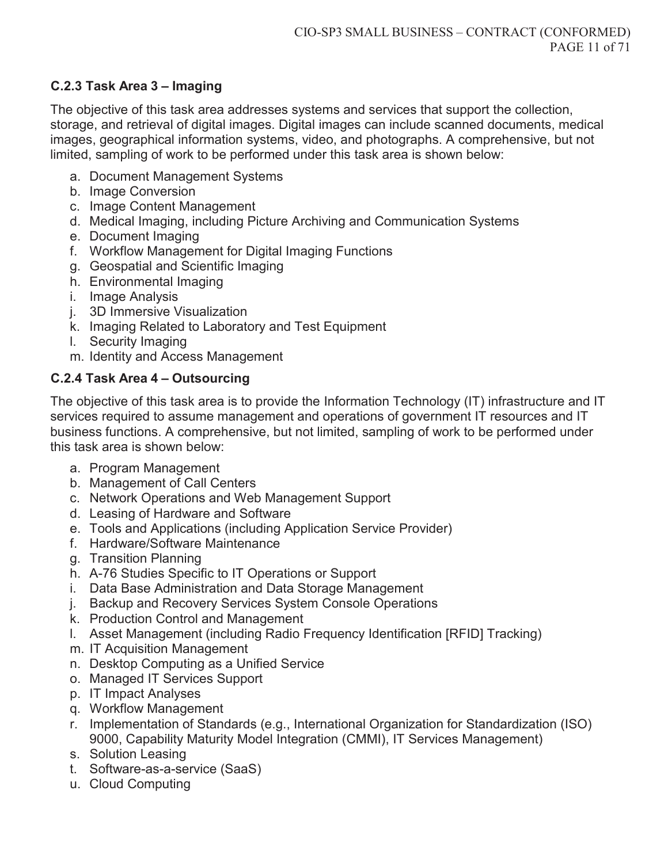## **C.2.3 Task Area 3 – Imaging**

The objective of this task area addresses systems and services that support the collection, storage, and retrieval of digital images. Digital images can include scanned documents, medical images, geographical information systems, video, and photographs. A comprehensive, but not limited, sampling of work to be performed under this task area is shown below:

- a. Document Management Systems
- b. Image Conversion
- c. Image Content Management
- d. Medical Imaging, including Picture Archiving and Communication Systems
- e. Document Imaging
- f. Workflow Management for Digital Imaging Functions
- g. Geospatial and Scientific Imaging
- h. Environmental Imaging
- i. Image Analysis
- j. 3D Immersive Visualization
- k. Imaging Related to Laboratory and Test Equipment
- l. Security Imaging
- m. Identity and Access Management

# **C.2.4 Task Area 4 – Outsourcing**

The objective of this task area is to provide the Information Technology (IT) infrastructure and IT services required to assume management and operations of government IT resources and IT business functions. A comprehensive, but not limited, sampling of work to be performed under this task area is shown below:

- a. Program Management
- b. Management of Call Centers
- c. Network Operations and Web Management Support
- d. Leasing of Hardware and Software
- e. Tools and Applications (including Application Service Provider)
- f. Hardware/Software Maintenance
- g. Transition Planning
- h. A-76 Studies Specific to IT Operations or Support
- i. Data Base Administration and Data Storage Management
- j. Backup and Recovery Services System Console Operations
- k. Production Control and Management
- l. Asset Management (including Radio Frequency Identification [RFID] Tracking)
- m. IT Acquisition Management
- n. Desktop Computing as a Unified Service
- o. Managed IT Services Support
- p. IT Impact Analyses
- q. Workflow Management
- r. Implementation of Standards (e.g., International Organization for Standardization (ISO) 9000, Capability Maturity Model Integration (CMMI), IT Services Management)
- s. Solution Leasing
- t. Software-as-a-service (SaaS)
- u. Cloud Computing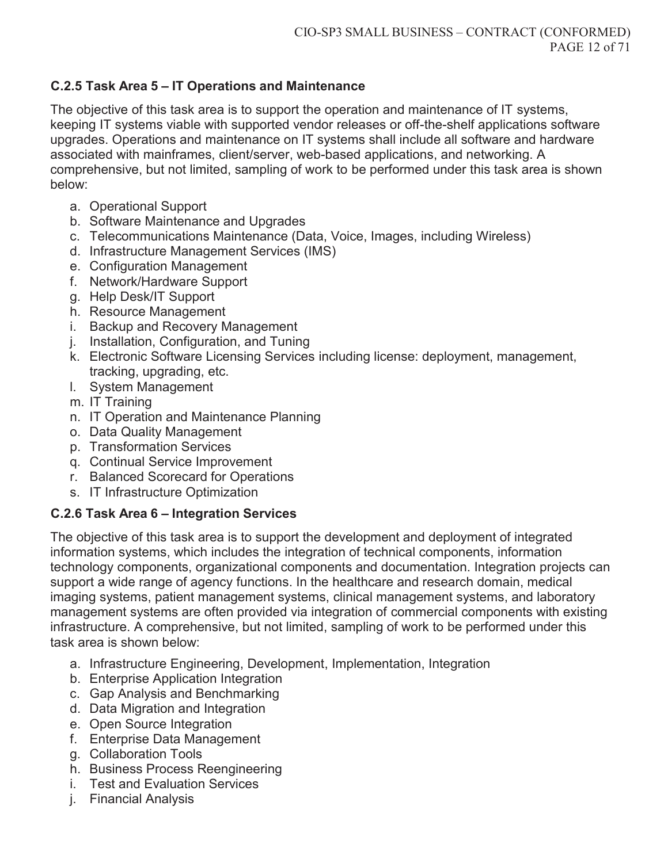## **C.2.5 Task Area 5 – IT Operations and Maintenance**

The objective of this task area is to support the operation and maintenance of IT systems, keeping IT systems viable with supported vendor releases or off-the-shelf applications software upgrades. Operations and maintenance on IT systems shall include all software and hardware associated with mainframes, client/server, web-based applications, and networking. A comprehensive, but not limited, sampling of work to be performed under this task area is shown below:

- a. Operational Support
- b. Software Maintenance and Upgrades
- c. Telecommunications Maintenance (Data, Voice, Images, including Wireless)
- d. Infrastructure Management Services (IMS)
- e. Configuration Management
- f. Network/Hardware Support
- g. Help Desk/IT Support
- h. Resource Management
- i. Backup and Recovery Management
- j. Installation, Configuration, and Tuning
- k. Electronic Software Licensing Services including license: deployment, management, tracking, upgrading, etc.
- l. System Management
- m. IT Training
- n. IT Operation and Maintenance Planning
- o. Data Quality Management
- p. Transformation Services
- q. Continual Service Improvement
- r. Balanced Scorecard for Operations
- s. IT Infrastructure Optimization

## **C.2.6 Task Area 6 – Integration Services**

The objective of this task area is to support the development and deployment of integrated information systems, which includes the integration of technical components, information technology components, organizational components and documentation. Integration projects can support a wide range of agency functions. In the healthcare and research domain, medical imaging systems, patient management systems, clinical management systems, and laboratory management systems are often provided via integration of commercial components with existing infrastructure. A comprehensive, but not limited, sampling of work to be performed under this task area is shown below:

- a. Infrastructure Engineering, Development, Implementation, Integration
- b. Enterprise Application Integration
- c. Gap Analysis and Benchmarking
- d. Data Migration and Integration
- e. Open Source Integration
- f. Enterprise Data Management
- g. Collaboration Tools
- h. Business Process Reengineering
- i. Test and Evaluation Services
- j. Financial Analysis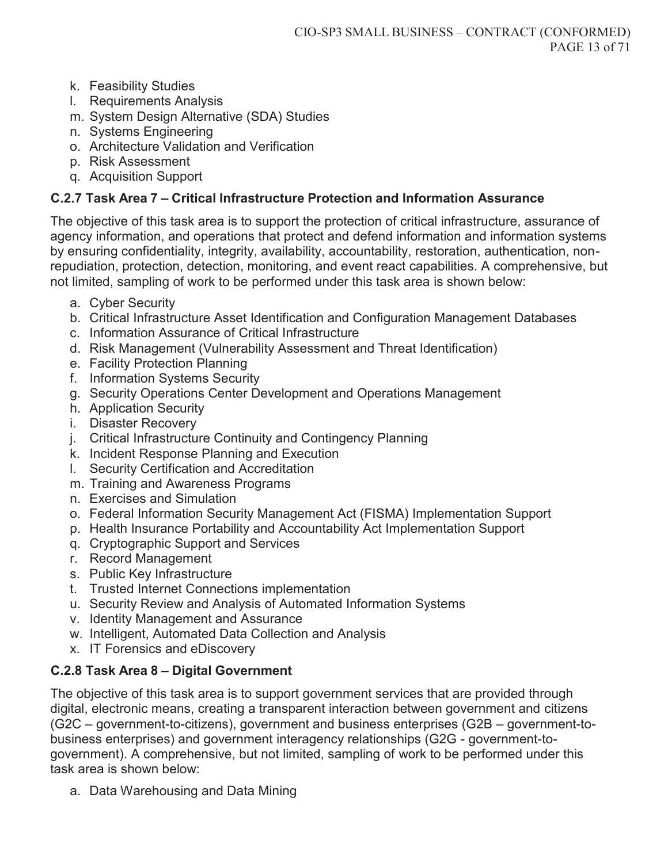- k. Feasibility Studies
- l. Requirements Analysis
- m. System Design Alternative (SDA) Studies
- n. Systems Engineering
- o. Architecture Validation and Verification
- p. Risk Assessment
- q. Acquisition Support

#### **C.2.7 Task Area 7 – Critical Infrastructure Protection and Information Assurance**

The objective of this task area is to support the protection of critical infrastructure, assurance of agency information, and operations that protect and defend information and information systems by ensuring confidentiality, integrity, availability, accountability, restoration, authentication, nonrepudiation, protection, detection, monitoring, and event react capabilities. A comprehensive, but not limited, sampling of work to be performed under this task area is shown below:

- a. Cyber Security
- b. Critical Infrastructure Asset Identification and Configuration Management Databases
- c. Information Assurance of Critical Infrastructure
- d. Risk Management (Vulnerability Assessment and Threat Identification)
- e. Facility Protection Planning
- f. Information Systems Security
- g. Security Operations Center Development and Operations Management
- h. Application Security
- i. Disaster Recovery
- j. Critical Infrastructure Continuity and Contingency Planning
- k. Incident Response Planning and Execution
- l. Security Certification and Accreditation
- m. Training and Awareness Programs
- n. Exercises and Simulation
- o. Federal Information Security Management Act (FISMA) Implementation Support
- p. Health Insurance Portability and Accountability Act Implementation Support
- q. Cryptographic Support and Services
- r. Record Management
- s. Public Key Infrastructure
- t. Trusted Internet Connections implementation
- u. Security Review and Analysis of Automated Information Systems
- v. Identity Management and Assurance
- w. Intelligent, Automated Data Collection and Analysis
- x. IT Forensics and eDiscovery

### **C.2.8 Task Area 8 – Digital Government**

The objective of this task area is to support government services that are provided through digital, electronic means, creating a transparent interaction between government and citizens (G2C – government-to-citizens), government and business enterprises (G2B – government-tobusiness enterprises) and government interagency relationships (G2G - government-togovernment). A comprehensive, but not limited, sampling of work to be performed under this task area is shown below:

a. Data Warehousing and Data Mining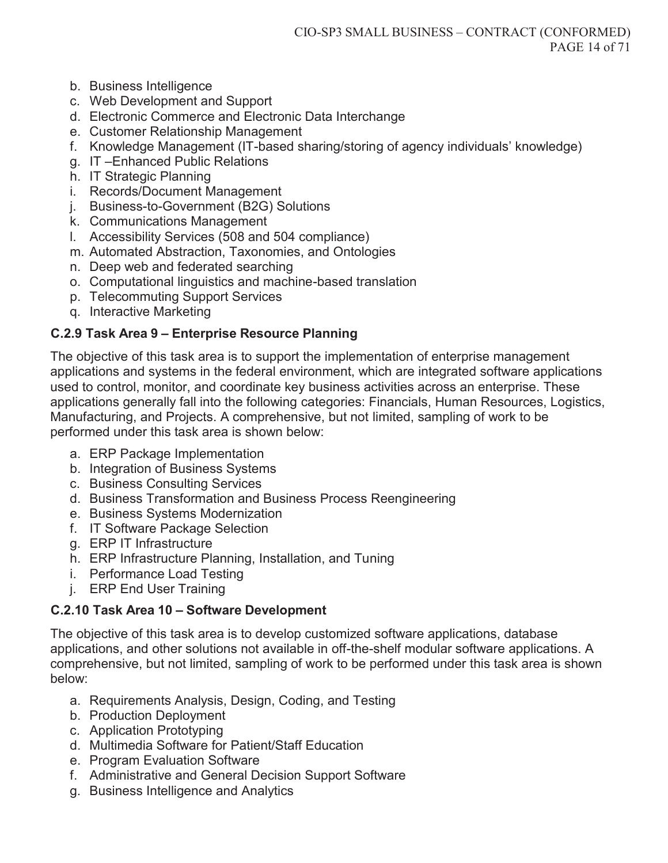- b. Business Intelligence
- c. Web Development and Support
- d. Electronic Commerce and Electronic Data Interchange
- e. Customer Relationship Management
- f. Knowledge Management (IT-based sharing/storing of agency individuals' knowledge)
- g. IT –Enhanced Public Relations
- h. IT Strategic Planning
- i. Records/Document Management
- j. Business-to-Government (B2G) Solutions
- k. Communications Management
- l. Accessibility Services (508 and 504 compliance)
- m. Automated Abstraction, Taxonomies, and Ontologies
- n. Deep web and federated searching
- o. Computational linguistics and machine-based translation
- p. Telecommuting Support Services
- q. Interactive Marketing

### **C.2.9 Task Area 9 – Enterprise Resource Planning**

The objective of this task area is to support the implementation of enterprise management applications and systems in the federal environment, which are integrated software applications used to control, monitor, and coordinate key business activities across an enterprise. These applications generally fall into the following categories: Financials, Human Resources, Logistics, Manufacturing, and Projects. A comprehensive, but not limited, sampling of work to be performed under this task area is shown below:

- a. ERP Package Implementation
- b. Integration of Business Systems
- c. Business Consulting Services
- d. Business Transformation and Business Process Reengineering
- e. Business Systems Modernization
- f. IT Software Package Selection
- g. ERP IT Infrastructure
- h. ERP Infrastructure Planning, Installation, and Tuning
- i. Performance Load Testing
- j. ERP End User Training

### **C.2.10 Task Area 10 – Software Development**

The objective of this task area is to develop customized software applications, database applications, and other solutions not available in off-the-shelf modular software applications. A comprehensive, but not limited, sampling of work to be performed under this task area is shown below:

- a. Requirements Analysis, Design, Coding, and Testing
- b. Production Deployment
- c. Application Prototyping
- d. Multimedia Software for Patient/Staff Education
- e. Program Evaluation Software
- f. Administrative and General Decision Support Software
- g. Business Intelligence and Analytics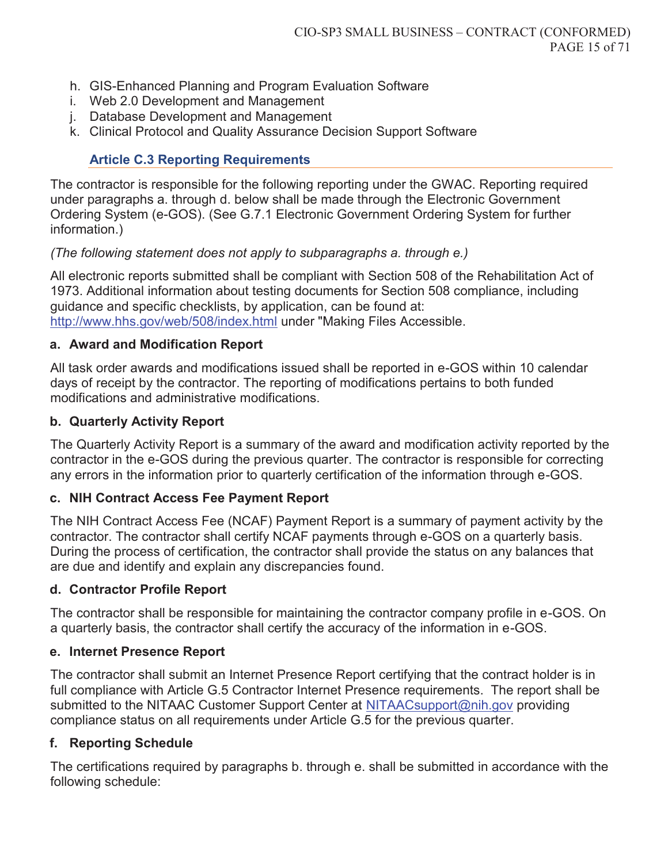- h. GIS-Enhanced Planning and Program Evaluation Software
- i. Web 2.0 Development and Management
- j. Database Development and Management
- k. Clinical Protocol and Quality Assurance Decision Support Software

### **Article C.3 Reporting Requirements**

The contractor is responsible for the following reporting under the GWAC. Reporting required under paragraphs a. through d. below shall be made through the Electronic Government Ordering System (e-GOS). (See G.7.1 Electronic Government Ordering System for further information.)

#### *(The following statement does not apply to subparagraphs a. through e.)*

All electronic reports submitted shall be compliant with Section 508 of the Rehabilitation Act of 1973. Additional information about testing documents for Section 508 compliance, including guidance and specific checklists, by application, can be found at: http://www.hhs.gov/web/508/index.html under "Making Files Accessible.

#### **a. Award and Modification Report**

All task order awards and modifications issued shall be reported in e-GOS within 10 calendar days of receipt by the contractor. The reporting of modifications pertains to both funded modifications and administrative modifications.

#### **b. Quarterly Activity Report**

The Quarterly Activity Report is a summary of the award and modification activity reported by the contractor in the e-GOS during the previous quarter. The contractor is responsible for correcting any errors in the information prior to quarterly certification of the information through e-GOS.

### **c. NIH Contract Access Fee Payment Report**

The NIH Contract Access Fee (NCAF) Payment Report is a summary of payment activity by the contractor. The contractor shall certify NCAF payments through e-GOS on a quarterly basis. During the process of certification, the contractor shall provide the status on any balances that are due and identify and explain any discrepancies found.

#### **d. Contractor Profile Report**

The contractor shall be responsible for maintaining the contractor company profile in e-GOS. On a quarterly basis, the contractor shall certify the accuracy of the information in e-GOS.

#### **e. Internet Presence Report**

The contractor shall submit an Internet Presence Report certifying that the contract holder is in full compliance with Article G.5 Contractor Internet Presence requirements. The report shall be submitted to the NITAAC Customer Support Center at NITAACsupport@nih.gov providing compliance status on all requirements under Article G.5 for the previous quarter.

### **f. Reporting Schedule**

The certifications required by paragraphs b. through e. shall be submitted in accordance with the following schedule: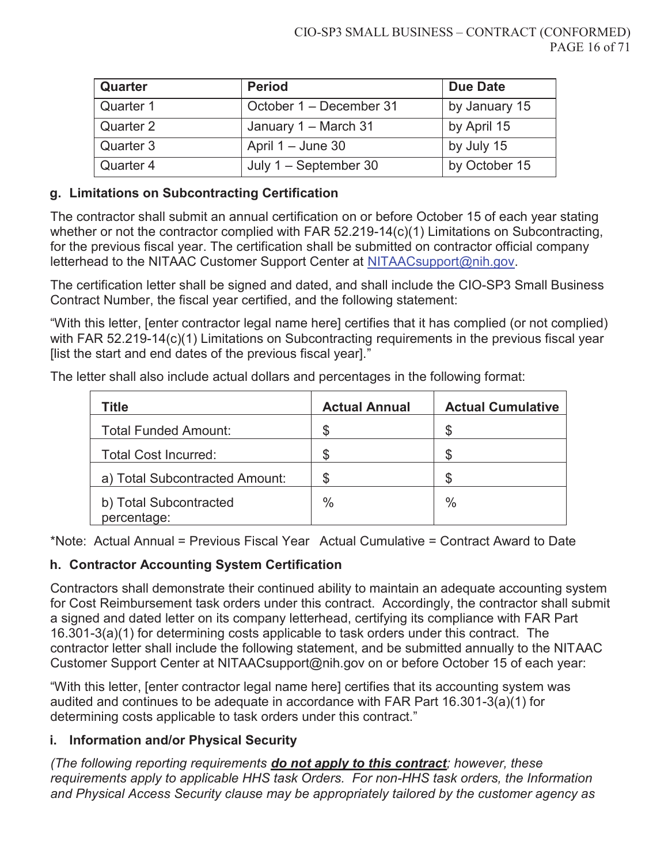| Quarter   | <b>Period</b>           | <b>Due Date</b> |
|-----------|-------------------------|-----------------|
| Quarter 1 | October 1 – December 31 | by January 15   |
| Quarter 2 | January 1 - March 31    | by April 15     |
| Quarter 3 | April $1 -$ June 30     | by July 15      |
| Quarter 4 | July $1 -$ September 30 | by October 15   |

### **g. Limitations on Subcontracting Certification**

The contractor shall submit an annual certification on or before October 15 of each year stating whether or not the contractor complied with FAR 52.219-14(c)(1) Limitations on Subcontracting, for the previous fiscal year. The certification shall be submitted on contractor official company letterhead to the NITAAC Customer Support Center at NITAACsupport@nih.gov.

The certification letter shall be signed and dated, and shall include the CIO-SP3 Small Business Contract Number, the fiscal year certified, and the following statement:

"With this letter, [enter contractor legal name here] certifies that it has complied (or not complied) with FAR 52.219-14(c)(1) Limitations on Subcontracting requirements in the previous fiscal year [list the start and end dates of the previous fiscal year]."

| Title                                 | <b>Actual Annual</b> | <b>Actual Cumulative</b> |
|---------------------------------------|----------------------|--------------------------|
| <b>Total Funded Amount:</b>           | ß.                   |                          |
| <b>Total Cost Incurred:</b>           |                      | \$                       |
| a) Total Subcontracted Amount:        |                      | S                        |
| b) Total Subcontracted<br>percentage: | $\frac{0}{0}$        | $\frac{0}{0}$            |

The letter shall also include actual dollars and percentages in the following format:

\*Note: Actual Annual = Previous Fiscal Year Actual Cumulative = Contract Award to Date

### **h. Contractor Accounting System Certification**

Contractors shall demonstrate their continued ability to maintain an adequate accounting system for Cost Reimbursement task orders under this contract. Accordingly, the contractor shall submit a signed and dated letter on its company letterhead, certifying its compliance with FAR Part 16.301-3(a)(1) for determining costs applicable to task orders under this contract. The contractor letter shall include the following statement, and be submitted annually to the NITAAC Customer Support Center at NITAACsupport@nih.gov on or before October 15 of each year:

"With this letter, [enter contractor legal name here] certifies that its accounting system was audited and continues to be adequate in accordance with FAR Part 16.301-3(a)(1) for determining costs applicable to task orders under this contract."

### **i. Information and/or Physical Security**

*(The following reporting requirements do not apply to this contract; however, these requirements apply to applicable HHS task Orders. For non-HHS task orders, the Information and Physical Access Security clause may be appropriately tailored by the customer agency as*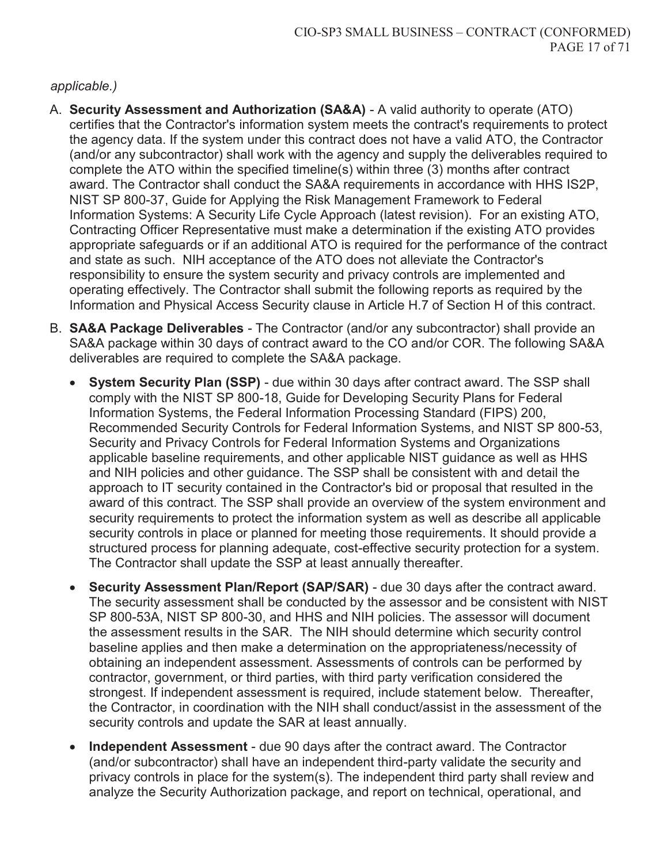#### *applicable.)*

- A. **Security Assessment and Authorization (SA&A)** A valid authority to operate (ATO) certifies that the Contractor's information system meets the contract's requirements to protect the agency data. If the system under this contract does not have a valid ATO, the Contractor (and/or any subcontractor) shall work with the agency and supply the deliverables required to complete the ATO within the specified timeline(s) within three (3) months after contract award. The Contractor shall conduct the SA&A requirements in accordance with HHS IS2P, NIST SP 800-37, Guide for Applying the Risk Management Framework to Federal Information Systems: A Security Life Cycle Approach (latest revision). For an existing ATO, Contracting Officer Representative must make a determination if the existing ATO provides appropriate safeguards or if an additional ATO is required for the performance of the contract and state as such. NIH acceptance of the ATO does not alleviate the Contractor's responsibility to ensure the system security and privacy controls are implemented and operating effectively. The Contractor shall submit the following reports as required by the Information and Physical Access Security clause in Article H.7 of Section H of this contract.
- B. **SA&A Package Deliverables** The Contractor (and/or any subcontractor) shall provide an SA&A package within 30 days of contract award to the CO and/or COR. The following SA&A deliverables are required to complete the SA&A package.
	- **System Security Plan (SSP)** due within 30 days after contract award. The SSP shall comply with the NIST SP 800-18, Guide for Developing Security Plans for Federal Information Systems, the Federal Information Processing Standard (FIPS) 200, Recommended Security Controls for Federal Information Systems, and NIST SP 800-53, Security and Privacy Controls for Federal Information Systems and Organizations applicable baseline requirements, and other applicable NIST guidance as well as HHS and NIH policies and other guidance. The SSP shall be consistent with and detail the approach to IT security contained in the Contractor's bid or proposal that resulted in the award of this contract. The SSP shall provide an overview of the system environment and security requirements to protect the information system as well as describe all applicable security controls in place or planned for meeting those requirements. It should provide a structured process for planning adequate, cost-effective security protection for a system. The Contractor shall update the SSP at least annually thereafter.
	- **Security Assessment Plan/Report (SAP/SAR) due 30 days after the contract award.** The security assessment shall be conducted by the assessor and be consistent with NIST SP 800-53A, NIST SP 800-30, and HHS and NIH policies. The assessor will document the assessment results in the SAR. The NIH should determine which security control baseline applies and then make a determination on the appropriateness/necessity of obtaining an independent assessment. Assessments of controls can be performed by contractor, government, or third parties, with third party verification considered the strongest. If independent assessment is required, include statement below. Thereafter, the Contractor, in coordination with the NIH shall conduct/assist in the assessment of the security controls and update the SAR at least annually.
	- **Independent Assessment** due 90 days after the contract award. The Contractor (and/or subcontractor) shall have an independent third-party validate the security and privacy controls in place for the system(s). The independent third party shall review and analyze the Security Authorization package, and report on technical, operational, and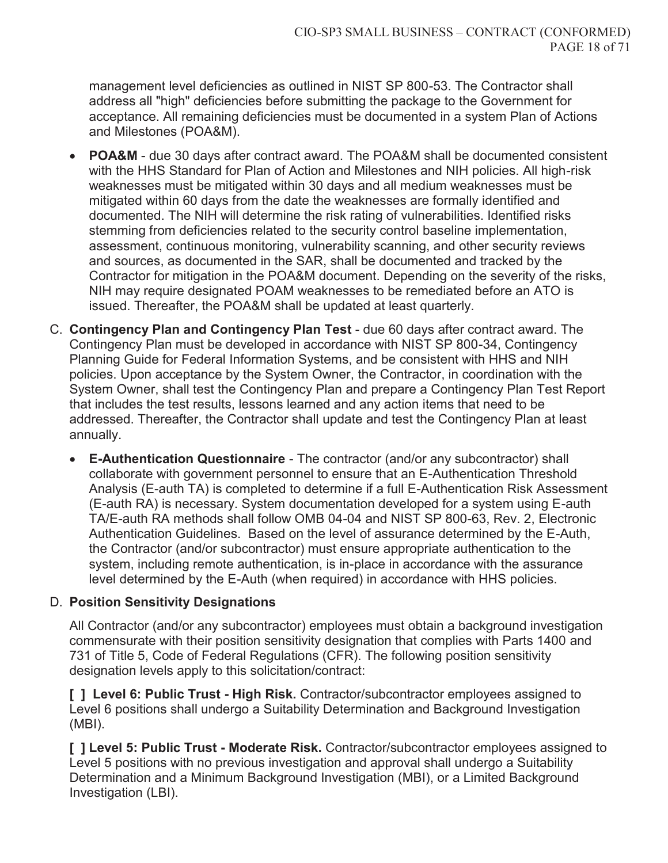management level deficiencies as outlined in NIST SP 800-53. The Contractor shall address all "high" deficiencies before submitting the package to the Government for acceptance. All remaining deficiencies must be documented in a system Plan of Actions and Milestones (POA&M).

- **POA&M** due 30 days after contract award. The POA&M shall be documented consistent with the HHS Standard for Plan of Action and Milestones and NIH policies. All high-risk weaknesses must be mitigated within 30 days and all medium weaknesses must be mitigated within 60 days from the date the weaknesses are formally identified and documented. The NIH will determine the risk rating of vulnerabilities. Identified risks stemming from deficiencies related to the security control baseline implementation, assessment, continuous monitoring, vulnerability scanning, and other security reviews and sources, as documented in the SAR, shall be documented and tracked by the Contractor for mitigation in the POA&M document. Depending on the severity of the risks, NIH may require designated POAM weaknesses to be remediated before an ATO is issued. Thereafter, the POA&M shall be updated at least quarterly.
- C. **Contingency Plan and Contingency Plan Test** due 60 days after contract award. The Contingency Plan must be developed in accordance with NIST SP 800-34, Contingency Planning Guide for Federal Information Systems, and be consistent with HHS and NIH policies. Upon acceptance by the System Owner, the Contractor, in coordination with the System Owner, shall test the Contingency Plan and prepare a Contingency Plan Test Report that includes the test results, lessons learned and any action items that need to be addressed. Thereafter, the Contractor shall update and test the Contingency Plan at least annually.
	- x **E-Authentication Questionnaire** The contractor (and/or any subcontractor) shall collaborate with government personnel to ensure that an E-Authentication Threshold Analysis (E-auth TA) is completed to determine if a full E-Authentication Risk Assessment (E-auth RA) is necessary. System documentation developed for a system using E-auth TA/E-auth RA methods shall follow OMB 04-04 and NIST SP 800-63, Rev. 2, Electronic Authentication Guidelines. Based on the level of assurance determined by the E-Auth, the Contractor (and/or subcontractor) must ensure appropriate authentication to the system, including remote authentication, is in-place in accordance with the assurance level determined by the E-Auth (when required) in accordance with HHS policies.

### D. **Position Sensitivity Designations**

All Contractor (and/or any subcontractor) employees must obtain a background investigation commensurate with their position sensitivity designation that complies with Parts 1400 and 731 of Title 5, Code of Federal Regulations (CFR). The following position sensitivity designation levels apply to this solicitation/contract:

**[ ] Level 6: Public Trust - High Risk.** Contractor/subcontractor employees assigned to Level 6 positions shall undergo a Suitability Determination and Background Investigation (MBI).

**[ ] Level 5: Public Trust - Moderate Risk.** Contractor/subcontractor employees assigned to Level 5 positions with no previous investigation and approval shall undergo a Suitability Determination and a Minimum Background Investigation (MBI), or a Limited Background Investigation (LBI).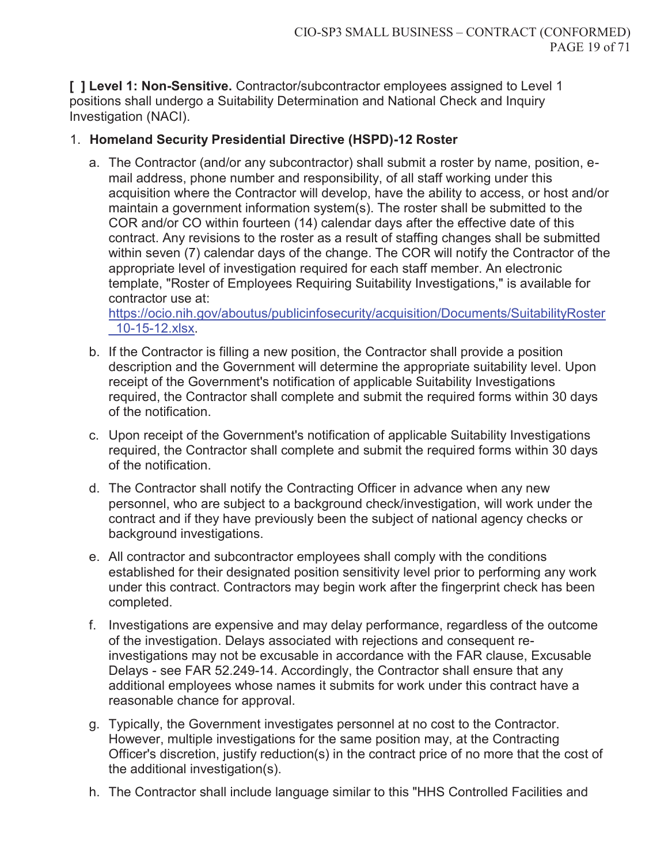**[ ] Level 1: Non-Sensitive.** Contractor/subcontractor employees assigned to Level 1 positions shall undergo a Suitability Determination and National Check and Inquiry Investigation (NACI).

### 1. **Homeland Security Presidential Directive (HSPD)-12 Roster**

a. The Contractor (and/or any subcontractor) shall submit a roster by name, position, email address, phone number and responsibility, of all staff working under this acquisition where the Contractor will develop, have the ability to access, or host and/or maintain a government information system(s). The roster shall be submitted to the COR and/or CO within fourteen (14) calendar days after the effective date of this contract. Any revisions to the roster as a result of staffing changes shall be submitted within seven (7) calendar days of the change. The COR will notify the Contractor of the appropriate level of investigation required for each staff member. An electronic template, "Roster of Employees Requiring Suitability Investigations," is available for contractor use at:

https://ocio.nih.gov/aboutus/publicinfosecurity/acquisition/Documents/SuitabilityRoster \_10-15-12.xlsx.

- b. If the Contractor is filling a new position, the Contractor shall provide a position description and the Government will determine the appropriate suitability level. Upon receipt of the Government's notification of applicable Suitability Investigations required, the Contractor shall complete and submit the required forms within 30 days of the notification.
- c. Upon receipt of the Government's notification of applicable Suitability Investigations required, the Contractor shall complete and submit the required forms within 30 days of the notification.
- d. The Contractor shall notify the Contracting Officer in advance when any new personnel, who are subject to a background check/investigation, will work under the contract and if they have previously been the subject of national agency checks or background investigations.
- e. All contractor and subcontractor employees shall comply with the conditions established for their designated position sensitivity level prior to performing any work under this contract. Contractors may begin work after the fingerprint check has been completed.
- f. Investigations are expensive and may delay performance, regardless of the outcome of the investigation. Delays associated with rejections and consequent reinvestigations may not be excusable in accordance with the FAR clause, Excusable Delays - see FAR 52.249-14. Accordingly, the Contractor shall ensure that any additional employees whose names it submits for work under this contract have a reasonable chance for approval.
- g. Typically, the Government investigates personnel at no cost to the Contractor. However, multiple investigations for the same position may, at the Contracting Officer's discretion, justify reduction(s) in the contract price of no more that the cost of the additional investigation(s).
- h. The Contractor shall include language similar to this "HHS Controlled Facilities and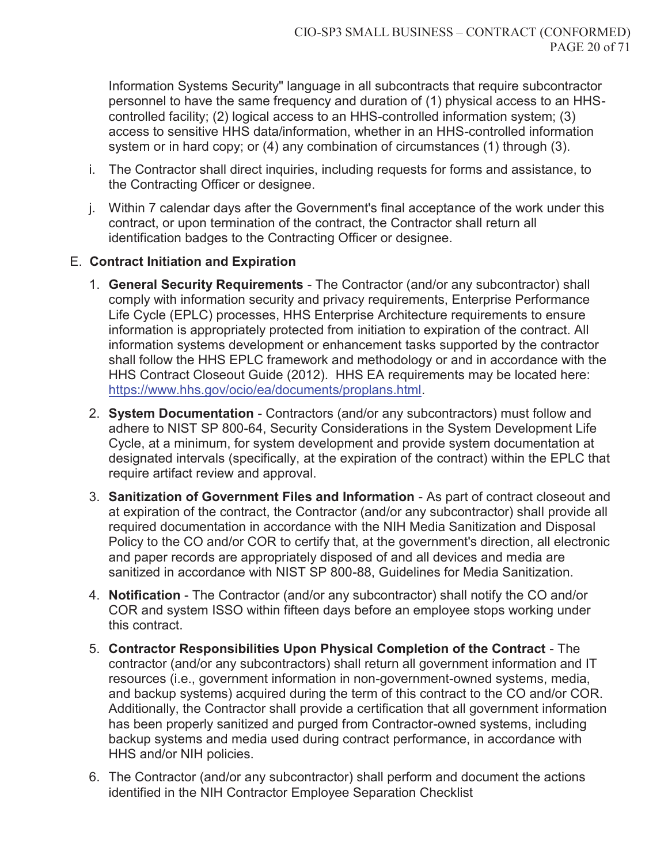Information Systems Security" language in all subcontracts that require subcontractor personnel to have the same frequency and duration of (1) physical access to an HHScontrolled facility; (2) logical access to an HHS-controlled information system; (3) access to sensitive HHS data/information, whether in an HHS-controlled information system or in hard copy; or (4) any combination of circumstances (1) through (3).

- i. The Contractor shall direct inquiries, including requests for forms and assistance, to the Contracting Officer or designee.
- j. Within 7 calendar days after the Government's final acceptance of the work under this contract, or upon termination of the contract, the Contractor shall return all identification badges to the Contracting Officer or designee.

### E. **Contract Initiation and Expiration**

- 1. **General Security Requirements** The Contractor (and/or any subcontractor) shall comply with information security and privacy requirements, Enterprise Performance Life Cycle (EPLC) processes, HHS Enterprise Architecture requirements to ensure information is appropriately protected from initiation to expiration of the contract. All information systems development or enhancement tasks supported by the contractor shall follow the HHS EPLC framework and methodology or and in accordance with the HHS Contract Closeout Guide (2012). HHS EA requirements may be located here: https://www.hhs.gov/ocio/ea/documents/proplans.html.
- 2. **System Documentation** Contractors (and/or any subcontractors) must follow and adhere to NIST SP 800-64, Security Considerations in the System Development Life Cycle, at a minimum, for system development and provide system documentation at designated intervals (specifically, at the expiration of the contract) within the EPLC that require artifact review and approval.
- 3. **Sanitization of Government Files and Information** As part of contract closeout and at expiration of the contract, the Contractor (and/or any subcontractor) shall provide all required documentation in accordance with the NIH Media Sanitization and Disposal Policy to the CO and/or COR to certify that, at the government's direction, all electronic and paper records are appropriately disposed of and all devices and media are sanitized in accordance with NIST SP 800-88, Guidelines for Media Sanitization.
- 4. **Notification** The Contractor (and/or any subcontractor) shall notify the CO and/or COR and system ISSO within fifteen days before an employee stops working under this contract.
- 5. **Contractor Responsibilities Upon Physical Completion of the Contract** The contractor (and/or any subcontractors) shall return all government information and IT resources (i.e., government information in non-government-owned systems, media, and backup systems) acquired during the term of this contract to the CO and/or COR. Additionally, the Contractor shall provide a certification that all government information has been properly sanitized and purged from Contractor-owned systems, including backup systems and media used during contract performance, in accordance with HHS and/or NIH policies.
- 6. The Contractor (and/or any subcontractor) shall perform and document the actions identified in the NIH Contractor Employee Separation Checklist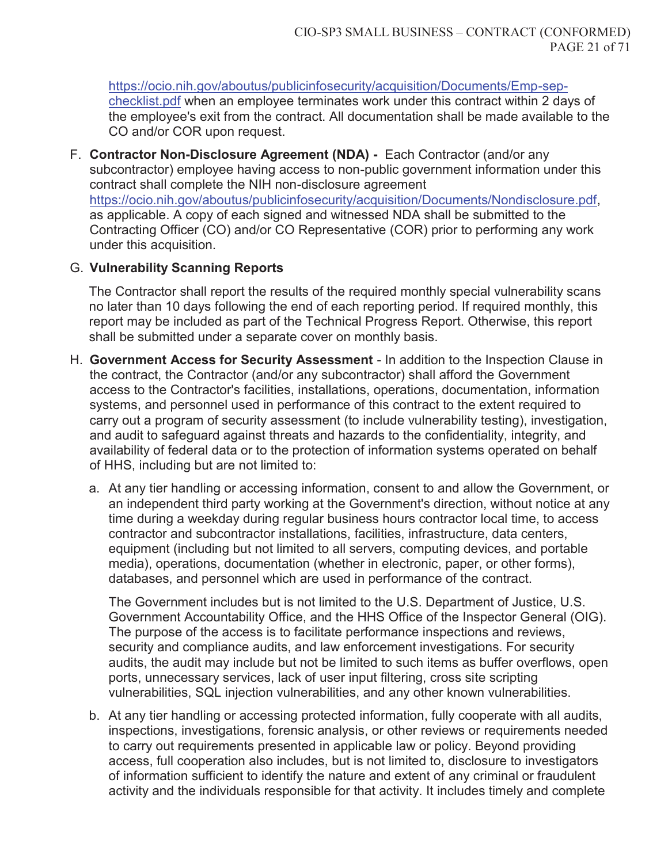https://ocio.nih.gov/aboutus/publicinfosecurity/acquisition/Documents/Emp-sepchecklist.pdf when an employee terminates work under this contract within 2 days of the employee's exit from the contract. All documentation shall be made available to the CO and/or COR upon request.

F. **Contractor Non-Disclosure Agreement (NDA) -** Each Contractor (and/or any subcontractor) employee having access to non-public government information under this contract shall complete the NIH non-disclosure agreement https://ocio.nih.gov/aboutus/publicinfosecurity/acquisition/Documents/Nondisclosure.pdf, as applicable. A copy of each signed and witnessed NDA shall be submitted to the Contracting Officer (CO) and/or CO Representative (COR) prior to performing any work under this acquisition.

### G. **Vulnerability Scanning Reports**

The Contractor shall report the results of the required monthly special vulnerability scans no later than 10 days following the end of each reporting period. If required monthly, this report may be included as part of the Technical Progress Report. Otherwise, this report shall be submitted under a separate cover on monthly basis.

- H. **Government Access for Security Assessment** In addition to the Inspection Clause in the contract, the Contractor (and/or any subcontractor) shall afford the Government access to the Contractor's facilities, installations, operations, documentation, information systems, and personnel used in performance of this contract to the extent required to carry out a program of security assessment (to include vulnerability testing), investigation, and audit to safeguard against threats and hazards to the confidentiality, integrity, and availability of federal data or to the protection of information systems operated on behalf of HHS, including but are not limited to:
	- a. At any tier handling or accessing information, consent to and allow the Government, or an independent third party working at the Government's direction, without notice at any time during a weekday during regular business hours contractor local time, to access contractor and subcontractor installations, facilities, infrastructure, data centers, equipment (including but not limited to all servers, computing devices, and portable media), operations, documentation (whether in electronic, paper, or other forms), databases, and personnel which are used in performance of the contract.

The Government includes but is not limited to the U.S. Department of Justice, U.S. Government Accountability Office, and the HHS Office of the Inspector General (OIG). The purpose of the access is to facilitate performance inspections and reviews, security and compliance audits, and law enforcement investigations. For security audits, the audit may include but not be limited to such items as buffer overflows, open ports, unnecessary services, lack of user input filtering, cross site scripting vulnerabilities, SQL injection vulnerabilities, and any other known vulnerabilities.

b. At any tier handling or accessing protected information, fully cooperate with all audits, inspections, investigations, forensic analysis, or other reviews or requirements needed to carry out requirements presented in applicable law or policy. Beyond providing access, full cooperation also includes, but is not limited to, disclosure to investigators of information sufficient to identify the nature and extent of any criminal or fraudulent activity and the individuals responsible for that activity. It includes timely and complete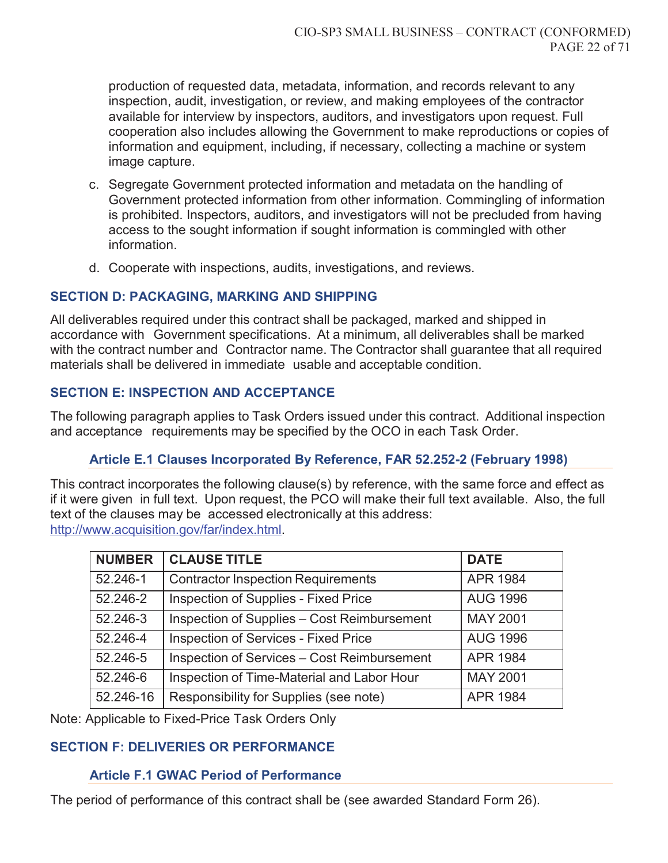production of requested data, metadata, information, and records relevant to any inspection, audit, investigation, or review, and making employees of the contractor available for interview by inspectors, auditors, and investigators upon request. Full cooperation also includes allowing the Government to make reproductions or copies of information and equipment, including, if necessary, collecting a machine or system image capture.

- c. Segregate Government protected information and metadata on the handling of Government protected information from other information. Commingling of information is prohibited. Inspectors, auditors, and investigators will not be precluded from having access to the sought information if sought information is commingled with other information.
- d. Cooperate with inspections, audits, investigations, and reviews.

### **SECTION D: PACKAGING, MARKING AND SHIPPING**

All deliverables required under this contract shall be packaged, marked and shipped in accordance with Government specifications. At a minimum, all deliverables shall be marked with the contract number and Contractor name. The Contractor shall guarantee that all required materials shall be delivered in immediate usable and acceptable condition.

### **SECTION E: INSPECTION AND ACCEPTANCE**

The following paragraph applies to Task Orders issued under this contract. Additional inspection and acceptance requirements may be specified by the OCO in each Task Order.

### **Article E.1 Clauses Incorporated By Reference, FAR 52.252-2 (February 1998)**

This contract incorporates the following clause(s) by reference, with the same force and effect as if it were given in full text. Upon request, the PCO will make their full text available. Also, the full text of the clauses may be accessed electronically at this address: http://www.acquisition.gov/far/index.html.

| <b>NUMBER</b> | <b>CLAUSE TITLE</b>                                | <b>DATE</b>     |
|---------------|----------------------------------------------------|-----------------|
| 52.246-1      | <b>Contractor Inspection Requirements</b>          | <b>APR 1984</b> |
| 52.246-2      | Inspection of Supplies - Fixed Price               | <b>AUG 1996</b> |
| 52.246-3      | Inspection of Supplies - Cost Reimbursement        | <b>MAY 2001</b> |
| 52.246-4      | <b>Inspection of Services - Fixed Price</b>        | <b>AUG 1996</b> |
| 52.246-5      | <b>Inspection of Services - Cost Reimbursement</b> | <b>APR 1984</b> |
| 52.246-6      | Inspection of Time-Material and Labor Hour         | <b>MAY 2001</b> |
| 52.246-16     | Responsibility for Supplies (see note)             | <b>APR 1984</b> |

Note: Applicable to Fixed-Price Task Orders Only

## **SECTION F: DELIVERIES OR PERFORMANCE**

### **Article F.1 GWAC Period of Performance**

The period of performance of this contract shall be (see awarded Standard Form 26).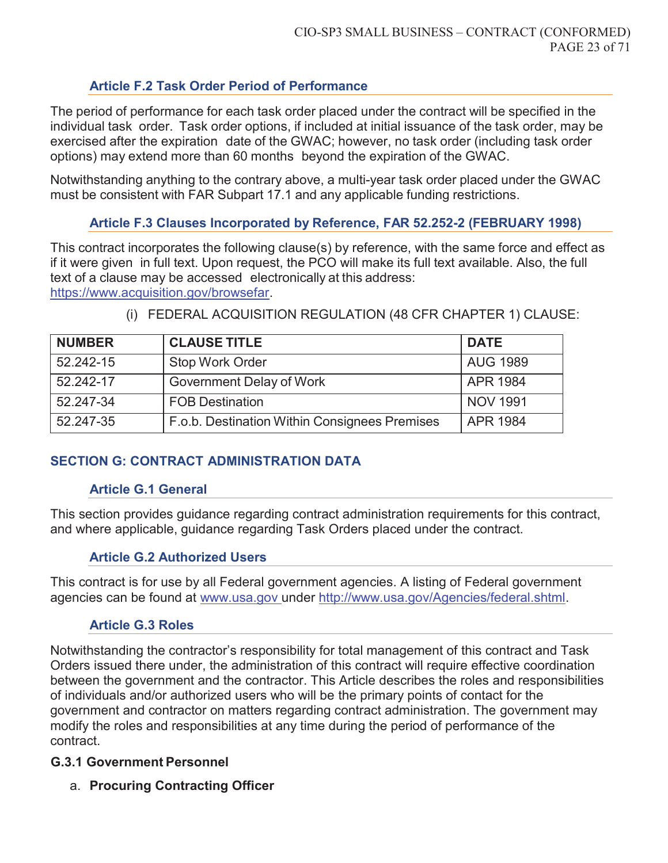### **Article F.2 Task Order Period of Performance**

The period of performance for each task order placed under the contract will be specified in the individual task order. Task order options, if included at initial issuance of the task order, may be exercised after the expiration date of the GWAC; however, no task order (including task order options) may extend more than 60 months beyond the expiration of the GWAC.

Notwithstanding anything to the contrary above, a multi-year task order placed under the GWAC must be consistent with FAR Subpart 17.1 and any applicable funding restrictions.

### **Article F.3 Clauses Incorporated by Reference, FAR 52.252-2 (FEBRUARY 1998)**

This contract incorporates the following clause(s) by reference, with the same force and effect as if it were given in full text. Upon request, the PCO will make its full text available. Also, the full text of a clause may be accessed electronically at this address: https://www.acquisition.gov/browsefar.

| <b>NUMBER</b> | <b>CLAUSE TITLE</b>                           | <b>DATE</b>     |
|---------------|-----------------------------------------------|-----------------|
| 52.242-15     | <b>Stop Work Order</b>                        | <b>AUG 1989</b> |
| 52.242-17     | Government Delay of Work                      | <b>APR 1984</b> |
| 52.247-34     | <b>FOB Destination</b>                        | <b>NOV 1991</b> |
| 52.247-35     | F.o.b. Destination Within Consignees Premises | <b>APR 1984</b> |

(i) FEDERAL ACQUISITION REGULATION (48 CFR CHAPTER 1) CLAUSE:

## **SECTION G: CONTRACT ADMINISTRATION DATA**

#### **Article G.1 General**

This section provides guidance regarding contract administration requirements for this contract, and where applicable, guidance regarding Task Orders placed under the contract.

### **Article G.2 Authorized Users**

This contract is for use by all Federal government agencies. A listing of Federal government agencies can be found at www.usa.gov under http://www.usa.gov/Agencies/federal.shtml.

### **Article G.3 Roles**

Notwithstanding the contractor's responsibility for total management of this contract and Task Orders issued there under, the administration of this contract will require effective coordination between the government and the contractor. This Article describes the roles and responsibilities of individuals and/or authorized users who will be the primary points of contact for the government and contractor on matters regarding contract administration. The government may modify the roles and responsibilities at any time during the period of performance of the contract.

### **G.3.1 Government Personnel**

a. **Procuring Contracting Officer**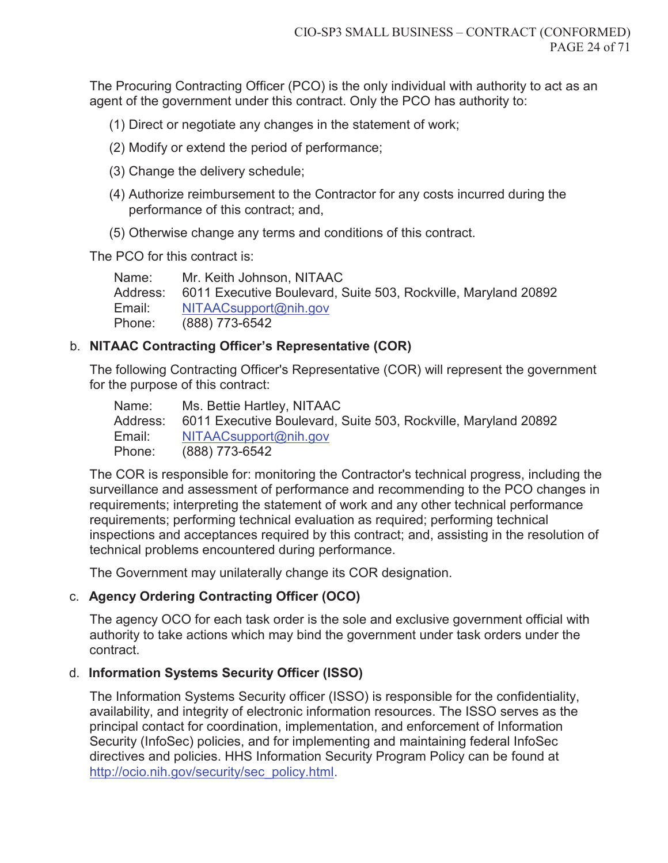The Procuring Contracting Officer (PCO) is the only individual with authority to act as an agent of the government under this contract. Only the PCO has authority to:

- (1) Direct or negotiate any changes in the statement of work;
- (2) Modify or extend the period of performance;
- (3) Change the delivery schedule;
- (4) Authorize reimbursement to the Contractor for any costs incurred during the performance of this contract; and,
- (5) Otherwise change any terms and conditions of this contract.

The PCO for this contract is:

Name: Mr. Keith Johnson, NITAAC Address: 6011 Executive Boulevard, Suite 503, Rockville, Maryland 20892 Email: NITAACsupport@nih.gov Phone: (888) 773-6542

### b. **NITAAC Contracting Officer's Representative (COR)**

The following Contracting Officer's Representative (COR) will represent the government for the purpose of this contract:

| Name:    | Ms. Bettie Hartley, NITAAC                                     |
|----------|----------------------------------------------------------------|
| Address: | 6011 Executive Boulevard, Suite 503, Rockville, Maryland 20892 |
| Email:   | NITAACsupport@nih.gov                                          |
| Phone:   | (888) 773-6542                                                 |

The COR is responsible for: monitoring the Contractor's technical progress, including the surveillance and assessment of performance and recommending to the PCO changes in requirements; interpreting the statement of work and any other technical performance requirements; performing technical evaluation as required; performing technical inspections and acceptances required by this contract; and, assisting in the resolution of technical problems encountered during performance.

The Government may unilaterally change its COR designation.

### c. **Agency Ordering Contracting Officer (OCO)**

The agency OCO for each task order is the sole and exclusive government official with authority to take actions which may bind the government under task orders under the contract.

### d. **Information Systems Security Officer (ISSO)**

The Information Systems Security officer (ISSO) is responsible for the confidentiality, availability, and integrity of electronic information resources. The ISSO serves as the principal contact for coordination, implementation, and enforcement of Information Security (InfoSec) policies, and for implementing and maintaining federal InfoSec directives and policies. HHS Information Security Program Policy can be found at http://ocio.nih.gov/security/sec\_policy.html.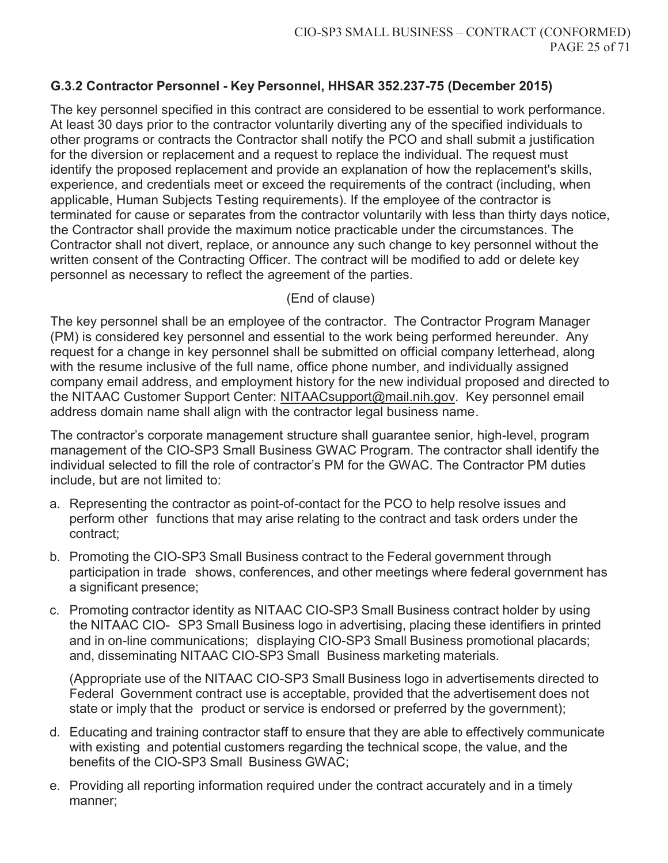## **G.3.2 Contractor Personnel - Key Personnel, HHSAR 352.237-75 (December 2015)**

The key personnel specified in this contract are considered to be essential to work performance. At least 30 days prior to the contractor voluntarily diverting any of the specified individuals to other programs or contracts the Contractor shall notify the PCO and shall submit a justification for the diversion or replacement and a request to replace the individual. The request must identify the proposed replacement and provide an explanation of how the replacement's skills, experience, and credentials meet or exceed the requirements of the contract (including, when applicable, Human Subjects Testing requirements). If the employee of the contractor is terminated for cause or separates from the contractor voluntarily with less than thirty days notice, the Contractor shall provide the maximum notice practicable under the circumstances. The Contractor shall not divert, replace, or announce any such change to key personnel without the written consent of the Contracting Officer. The contract will be modified to add or delete key personnel as necessary to reflect the agreement of the parties.

(End of clause)

The key personnel shall be an employee of the contractor. The Contractor Program Manager (PM) is considered key personnel and essential to the work being performed hereunder. Any request for a change in key personnel shall be submitted on official company letterhead, along with the resume inclusive of the full name, office phone number, and individually assigned company email address, and employment history for the new individual proposed and directed to the NITAAC Customer Support Center: NITAACsupport@mail.nih.gov. Key personnel email address domain name shall align with the contractor legal business name.

The contractor's corporate management structure shall guarantee senior, high-level, program management of the CIO-SP3 Small Business GWAC Program. The contractor shall identify the individual selected to fill the role of contractor's PM for the GWAC. The Contractor PM duties include, but are not limited to:

- a. Representing the contractor as point-of-contact for the PCO to help resolve issues and perform other functions that may arise relating to the contract and task orders under the contract;
- b. Promoting the CIO-SP3 Small Business contract to the Federal government through participation in trade shows, conferences, and other meetings where federal government has a significant presence;
- c. Promoting contractor identity as NITAAC CIO-SP3 Small Business contract holder by using the NITAAC CIO- SP3 Small Business logo in advertising, placing these identifiers in printed and in on-line communications; displaying CIO-SP3 Small Business promotional placards; and, disseminating NITAAC CIO-SP3 Small Business marketing materials.

(Appropriate use of the NITAAC CIO-SP3 Small Business logo in advertisements directed to Federal Government contract use is acceptable, provided that the advertisement does not state or imply that the product or service is endorsed or preferred by the government);

- d. Educating and training contractor staff to ensure that they are able to effectively communicate with existing and potential customers regarding the technical scope, the value, and the benefits of the CIO-SP3 Small Business GWAC;
- e. Providing all reporting information required under the contract accurately and in a timely manner;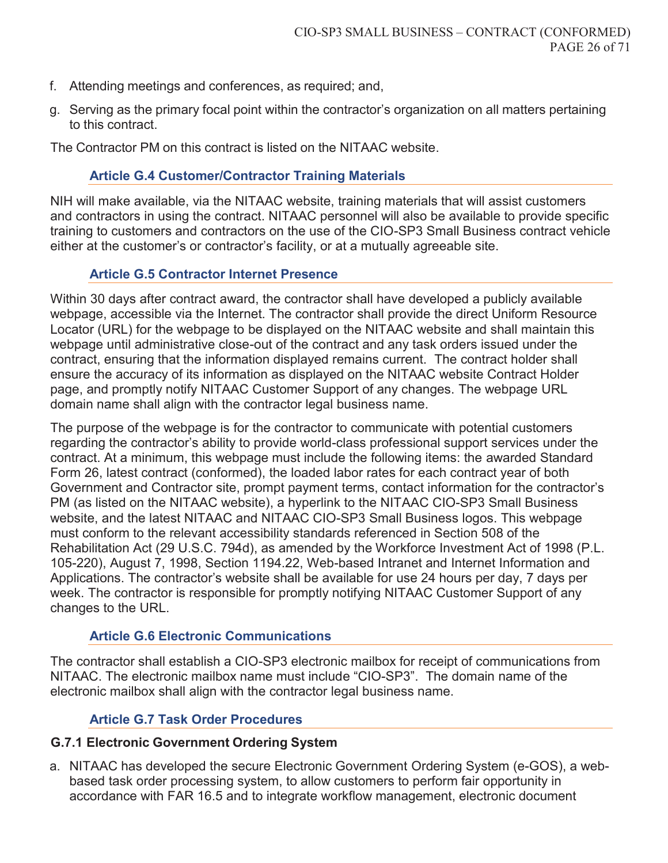- f. Attending meetings and conferences, as required; and,
- g. Serving as the primary focal point within the contractor's organization on all matters pertaining to this contract.

The Contractor PM on this contract is listed on the NITAAC website.

#### **Article G.4 Customer/Contractor Training Materials**

NIH will make available, via the NITAAC website, training materials that will assist customers and contractors in using the contract. NITAAC personnel will also be available to provide specific training to customers and contractors on the use of the CIO-SP3 Small Business contract vehicle either at the customer's or contractor's facility, or at a mutually agreeable site.

#### **Article G.5 Contractor Internet Presence**

Within 30 days after contract award, the contractor shall have developed a publicly available webpage, accessible via the Internet. The contractor shall provide the direct Uniform Resource Locator (URL) for the webpage to be displayed on the NITAAC website and shall maintain this webpage until administrative close-out of the contract and any task orders issued under the contract, ensuring that the information displayed remains current. The contract holder shall ensure the accuracy of its information as displayed on the NITAAC website Contract Holder page, and promptly notify NITAAC Customer Support of any changes. The webpage URL domain name shall align with the contractor legal business name.

The purpose of the webpage is for the contractor to communicate with potential customers regarding the contractor's ability to provide world-class professional support services under the contract. At a minimum, this webpage must include the following items: the awarded Standard Form 26, latest contract (conformed), the loaded labor rates for each contract year of both Government and Contractor site, prompt payment terms, contact information for the contractor's PM (as listed on the NITAAC website), a hyperlink to the NITAAC CIO-SP3 Small Business website, and the latest NITAAC and NITAAC CIO-SP3 Small Business logos. This webpage must conform to the relevant accessibility standards referenced in Section 508 of the Rehabilitation Act (29 U.S.C. 794d), as amended by the Workforce Investment Act of 1998 (P.L. 105-220), August 7, 1998, Section 1194.22, Web-based Intranet and Internet Information and Applications. The contractor's website shall be available for use 24 hours per day, 7 days per week. The contractor is responsible for promptly notifying NITAAC Customer Support of any changes to the URL.

#### **Article G.6 Electronic Communications**

The contractor shall establish a CIO-SP3 electronic mailbox for receipt of communications from NITAAC. The electronic mailbox name must include "CIO-SP3". The domain name of the electronic mailbox shall align with the contractor legal business name.

### **Article G.7 Task Order Procedures**

#### **G.7.1 Electronic Government Ordering System**

a. NITAAC has developed the secure Electronic Government Ordering System (e-GOS), a webbased task order processing system, to allow customers to perform fair opportunity in accordance with FAR 16.5 and to integrate workflow management, electronic document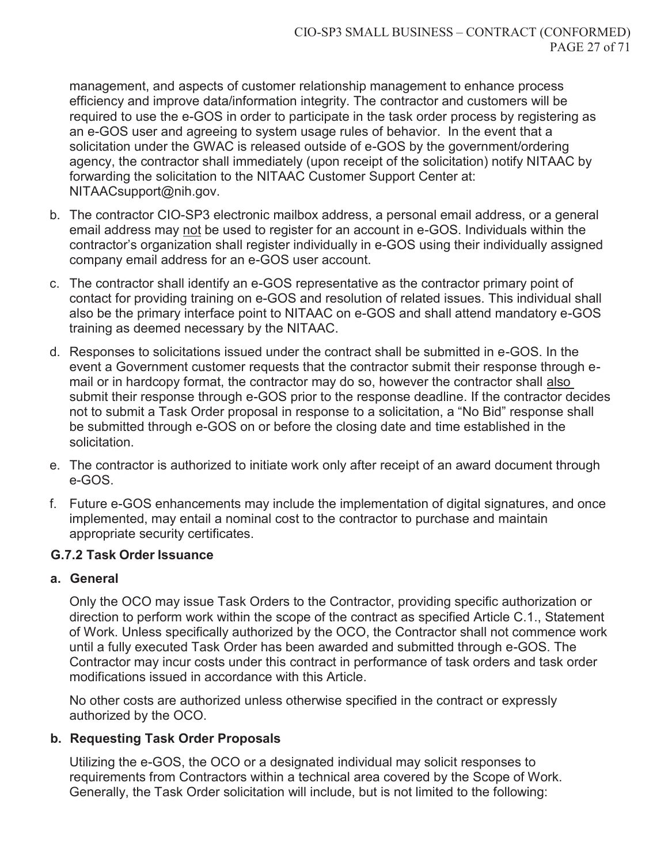management, and aspects of customer relationship management to enhance process efficiency and improve data/information integrity. The contractor and customers will be required to use the e-GOS in order to participate in the task order process by registering as an e-GOS user and agreeing to system usage rules of behavior. In the event that a solicitation under the GWAC is released outside of e-GOS by the government/ordering agency, the contractor shall immediately (upon receipt of the solicitation) notify NITAAC by forwarding the solicitation to the NITAAC Customer Support Center at: NITAACsupport@nih.gov.

- b. The contractor CIO-SP3 electronic mailbox address, a personal email address, or a general email address may not be used to register for an account in e-GOS. Individuals within the contractor's organization shall register individually in e-GOS using their individually assigned company email address for an e-GOS user account.
- c. The contractor shall identify an e-GOS representative as the contractor primary point of contact for providing training on e-GOS and resolution of related issues. This individual shall also be the primary interface point to NITAAC on e-GOS and shall attend mandatory e-GOS training as deemed necessary by the NITAAC.
- d. Responses to solicitations issued under the contract shall be submitted in e-GOS. In the event a Government customer requests that the contractor submit their response through email or in hardcopy format, the contractor may do so, however the contractor shall also submit their response through e-GOS prior to the response deadline. If the contractor decides not to submit a Task Order proposal in response to a solicitation, a "No Bid" response shall be submitted through e-GOS on or before the closing date and time established in the solicitation.
- e. The contractor is authorized to initiate work only after receipt of an award document through e-GOS.
- f. Future e-GOS enhancements may include the implementation of digital signatures, and once implemented, may entail a nominal cost to the contractor to purchase and maintain appropriate security certificates.

### **G.7.2 Task Order Issuance**

#### **a. General**

Only the OCO may issue Task Orders to the Contractor, providing specific authorization or direction to perform work within the scope of the contract as specified Article C.1., Statement of Work. Unless specifically authorized by the OCO, the Contractor shall not commence work until a fully executed Task Order has been awarded and submitted through e-GOS. The Contractor may incur costs under this contract in performance of task orders and task order modifications issued in accordance with this Article.

No other costs are authorized unless otherwise specified in the contract or expressly authorized by the OCO.

### **b. Requesting Task Order Proposals**

Utilizing the e-GOS, the OCO or a designated individual may solicit responses to requirements from Contractors within a technical area covered by the Scope of Work. Generally, the Task Order solicitation will include, but is not limited to the following: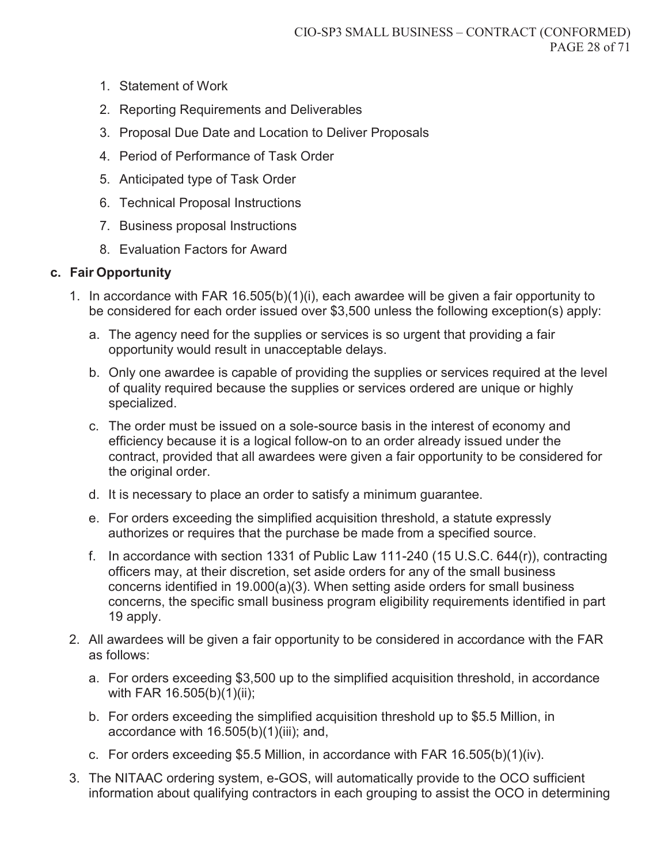- 1. Statement of Work
- 2. Reporting Requirements and Deliverables
- 3. Proposal Due Date and Location to Deliver Proposals
- 4. Period of Performance of Task Order
- 5. Anticipated type of Task Order
- 6. Technical Proposal Instructions
- 7. Business proposal Instructions
- 8. Evaluation Factors for Award

### **c. Fair Opportunity**

- 1. In accordance with FAR 16.505(b)(1)(i), each awardee will be given a fair opportunity to be considered for each order issued over \$3,500 unless the following exception(s) apply:
	- a. The agency need for the supplies or services is so urgent that providing a fair opportunity would result in unacceptable delays.
	- b. Only one awardee is capable of providing the supplies or services required at the level of quality required because the supplies or services ordered are unique or highly specialized.
	- c. The order must be issued on a sole-source basis in the interest of economy and efficiency because it is a logical follow-on to an order already issued under the contract, provided that all awardees were given a fair opportunity to be considered for the original order.
	- d. It is necessary to place an order to satisfy a minimum guarantee.
	- e. For orders exceeding the simplified acquisition threshold, a statute expressly authorizes or requires that the purchase be made from a specified source.
	- f. In accordance with section 1331 of Public Law 111-240 (15 U.S.C. 644(r)), contracting officers may, at their discretion, set aside orders for any of the small business concerns identified in 19.000(a)(3). When setting aside orders for small business concerns, the specific small business program eligibility requirements identified in part 19 apply.
- 2. All awardees will be given a fair opportunity to be considered in accordance with the FAR as follows:
	- a. For orders exceeding \$3,500 up to the simplified acquisition threshold, in accordance with FAR 16.505(b)(1)(ii);
	- b. For orders exceeding the simplified acquisition threshold up to \$5.5 Million, in accordance with 16.505(b)(1)(iii); and,
	- c. For orders exceeding \$5.5 Million, in accordance with FAR 16.505(b)(1)(iv).
- 3. The NITAAC ordering system, e-GOS, will automatically provide to the OCO sufficient information about qualifying contractors in each grouping to assist the OCO in determining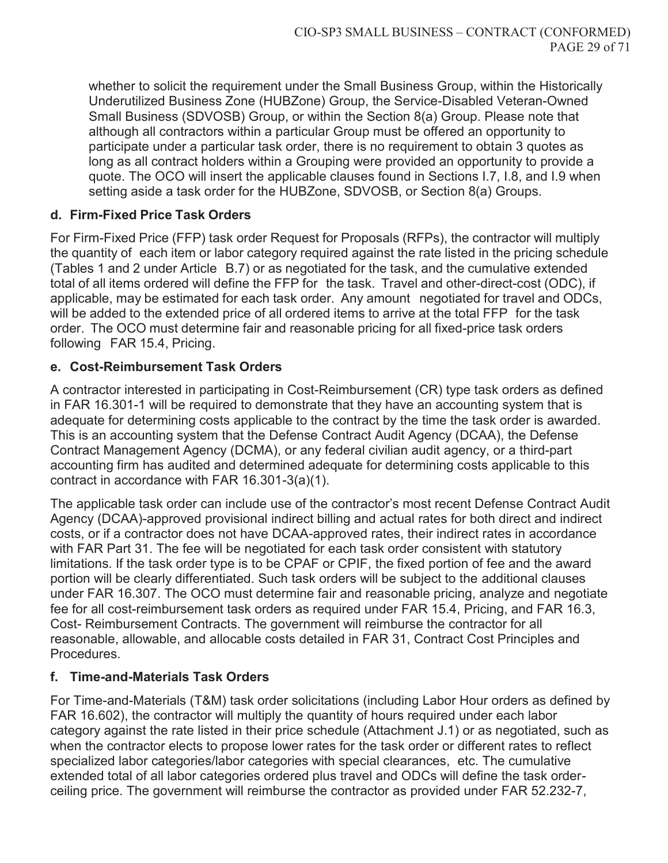whether to solicit the requirement under the Small Business Group, within the Historically Underutilized Business Zone (HUBZone) Group, the Service-Disabled Veteran-Owned Small Business (SDVOSB) Group, or within the Section 8(a) Group. Please note that although all contractors within a particular Group must be offered an opportunity to participate under a particular task order, there is no requirement to obtain 3 quotes as long as all contract holders within a Grouping were provided an opportunity to provide a quote. The OCO will insert the applicable clauses found in Sections I.7, I.8, and I.9 when setting aside a task order for the HUBZone, SDVOSB, or Section 8(a) Groups.

### **d. Firm-Fixed Price Task Orders**

For Firm-Fixed Price (FFP) task order Request for Proposals (RFPs), the contractor will multiply the quantity of each item or labor category required against the rate listed in the pricing schedule (Tables 1 and 2 under Article B.7) or as negotiated for the task, and the cumulative extended total of all items ordered will define the FFP for the task. Travel and other-direct-cost (ODC), if applicable, may be estimated for each task order. Any amount negotiated for travel and ODCs, will be added to the extended price of all ordered items to arrive at the total FFP for the task order. The OCO must determine fair and reasonable pricing for all fixed-price task orders following FAR 15.4, Pricing.

#### **e. Cost-Reimbursement Task Orders**

A contractor interested in participating in Cost-Reimbursement (CR) type task orders as defined in FAR 16.301-1 will be required to demonstrate that they have an accounting system that is adequate for determining costs applicable to the contract by the time the task order is awarded. This is an accounting system that the Defense Contract Audit Agency (DCAA), the Defense Contract Management Agency (DCMA), or any federal civilian audit agency, or a third-part accounting firm has audited and determined adequate for determining costs applicable to this contract in accordance with FAR 16.301-3(a)(1).

The applicable task order can include use of the contractor's most recent Defense Contract Audit Agency (DCAA)-approved provisional indirect billing and actual rates for both direct and indirect costs, or if a contractor does not have DCAA-approved rates, their indirect rates in accordance with FAR Part 31. The fee will be negotiated for each task order consistent with statutory limitations. If the task order type is to be CPAF or CPIF, the fixed portion of fee and the award portion will be clearly differentiated. Such task orders will be subject to the additional clauses under FAR 16.307. The OCO must determine fair and reasonable pricing, analyze and negotiate fee for all cost-reimbursement task orders as required under FAR 15.4, Pricing, and FAR 16.3, Cost- Reimbursement Contracts. The government will reimburse the contractor for all reasonable, allowable, and allocable costs detailed in FAR 31, Contract Cost Principles and Procedures.

### **f. Time-and-Materials Task Orders**

For Time-and-Materials (T&M) task order solicitations (including Labor Hour orders as defined by FAR 16.602), the contractor will multiply the quantity of hours required under each labor category against the rate listed in their price schedule (Attachment J.1) or as negotiated, such as when the contractor elects to propose lower rates for the task order or different rates to reflect specialized labor categories/labor categories with special clearances, etc. The cumulative extended total of all labor categories ordered plus travel and ODCs will define the task orderceiling price. The government will reimburse the contractor as provided under FAR 52.232-7,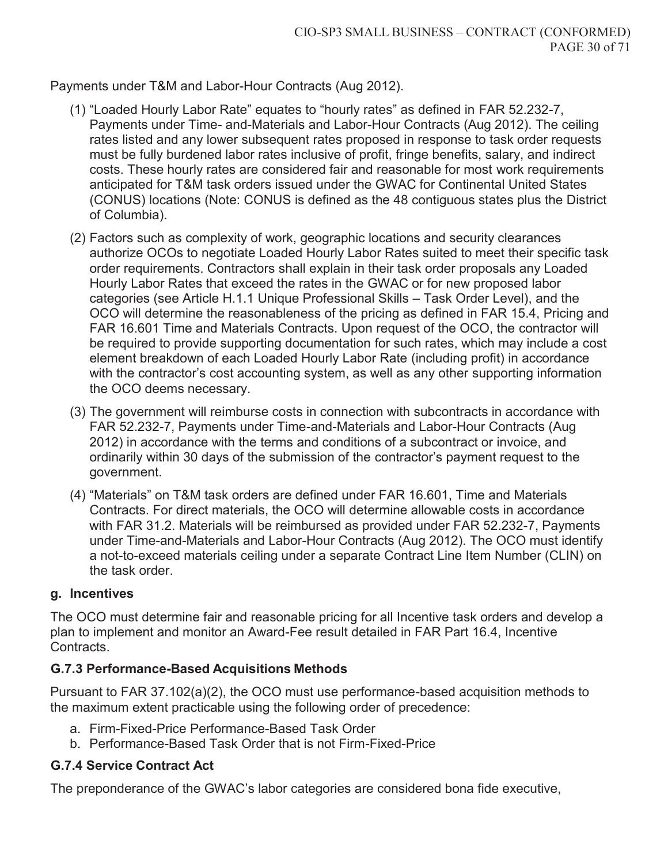Payments under T&M and Labor-Hour Contracts (Aug 2012).

- (1) "Loaded Hourly Labor Rate" equates to "hourly rates" as defined in FAR 52.232-7, Payments under Time- and-Materials and Labor-Hour Contracts (Aug 2012). The ceiling rates listed and any lower subsequent rates proposed in response to task order requests must be fully burdened labor rates inclusive of profit, fringe benefits, salary, and indirect costs. These hourly rates are considered fair and reasonable for most work requirements anticipated for T&M task orders issued under the GWAC for Continental United States (CONUS) locations (Note: CONUS is defined as the 48 contiguous states plus the District of Columbia).
- (2) Factors such as complexity of work, geographic locations and security clearances authorize OCOs to negotiate Loaded Hourly Labor Rates suited to meet their specific task order requirements. Contractors shall explain in their task order proposals any Loaded Hourly Labor Rates that exceed the rates in the GWAC or for new proposed labor categories (see Article H.1.1 Unique Professional Skills – Task Order Level), and the OCO will determine the reasonableness of the pricing as defined in FAR 15.4, Pricing and FAR 16.601 Time and Materials Contracts. Upon request of the OCO, the contractor will be required to provide supporting documentation for such rates, which may include a cost element breakdown of each Loaded Hourly Labor Rate (including profit) in accordance with the contractor's cost accounting system, as well as any other supporting information the OCO deems necessary.
- (3) The government will reimburse costs in connection with subcontracts in accordance with FAR 52.232-7, Payments under Time-and-Materials and Labor-Hour Contracts (Aug 2012) in accordance with the terms and conditions of a subcontract or invoice, and ordinarily within 30 days of the submission of the contractor's payment request to the government.
- (4) "Materials" on T&M task orders are defined under FAR 16.601, Time and Materials Contracts. For direct materials, the OCO will determine allowable costs in accordance with FAR 31.2. Materials will be reimbursed as provided under FAR 52.232-7, Payments under Time-and-Materials and Labor-Hour Contracts (Aug 2012). The OCO must identify a not-to-exceed materials ceiling under a separate Contract Line Item Number (CLIN) on the task order.

## **g. Incentives**

The OCO must determine fair and reasonable pricing for all Incentive task orders and develop a plan to implement and monitor an Award-Fee result detailed in FAR Part 16.4, Incentive Contracts.

## **G.7.3 Performance-Based Acquisitions Methods**

Pursuant to FAR 37.102(a)(2), the OCO must use performance-based acquisition methods to the maximum extent practicable using the following order of precedence:

- a. Firm-Fixed-Price Performance-Based Task Order
- b. Performance-Based Task Order that is not Firm-Fixed-Price

# **G.7.4 Service Contract Act**

The preponderance of the GWAC's labor categories are considered bona fide executive,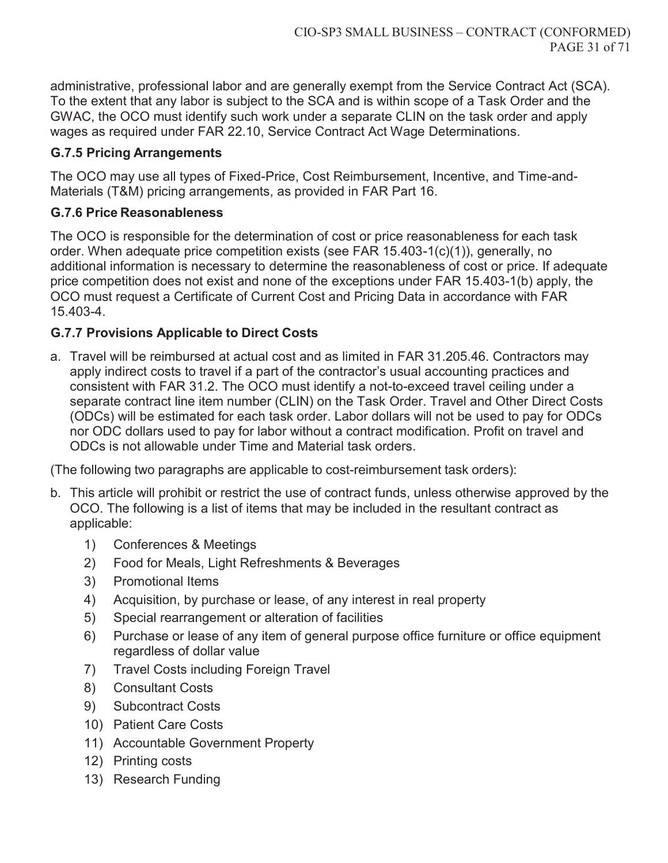administrative, professional labor and are generally exempt from the Service Contract Act (SCA). To the extent that any labor is subject to the SCA and is within scope of a Task Order and the GWAC, the OCO must identify such work under a separate CLIN on the task order and apply wages as required under FAR 22.10, Service Contract Act Wage Determinations.

## **G.7.5 Pricing Arrangements**

The OCO may use all types of Fixed-Price, Cost Reimbursement, Incentive, and Time-and-Materials (T&M) pricing arrangements, as provided in FAR Part 16.

## **G.7.6 Price Reasonableness**

The OCO is responsible for the determination of cost or price reasonableness for each task order. When adequate price competition exists (see FAR 15.403-1(c)(1)), generally, no additional information is necessary to determine the reasonableness of cost or price. If adequate price competition does not exist and none of the exceptions under FAR 15.403-1(b) apply, the OCO must request a Certificate of Current Cost and Pricing Data in accordance with FAR 15.403-4.

## **G.7.7 Provisions Applicable to Direct Costs**

a. Travel will be reimbursed at actual cost and as limited in FAR 31.205.46. Contractors may apply indirect costs to travel if a part of the contractor's usual accounting practices and consistent with FAR 31.2. The OCO must identify a not-to-exceed travel ceiling under a separate contract line item number (CLIN) on the Task Order. Travel and Other Direct Costs (ODCs) will be estimated for each task order. Labor dollars will not be used to pay for ODCs nor ODC dollars used to pay for labor without a contract modification. Profit on travel and ODCs is not allowable under Time and Material task orders.

(The following two paragraphs are applicable to cost-reimbursement task orders):

- b. This article will prohibit or restrict the use of contract funds, unless otherwise approved by the OCO. The following is a list of items that may be included in the resultant contract as applicable:
	- 1) Conferences & Meetings
	- 2) Food for Meals, Light Refreshments & Beverages
	- 3) Promotional Items
	- 4) Acquisition, by purchase or lease, of any interest in real property
	- 5) Special rearrangement or alteration of facilities
	- 6) Purchase or lease of any item of general purpose office furniture or office equipment regardless of dollar value
	- 7) Travel Costs including Foreign Travel
	- 8) Consultant Costs
	- 9) Subcontract Costs
	- 10) Patient Care Costs
	- 11) Accountable Government Property
	- 12) Printing costs
	- 13) Research Funding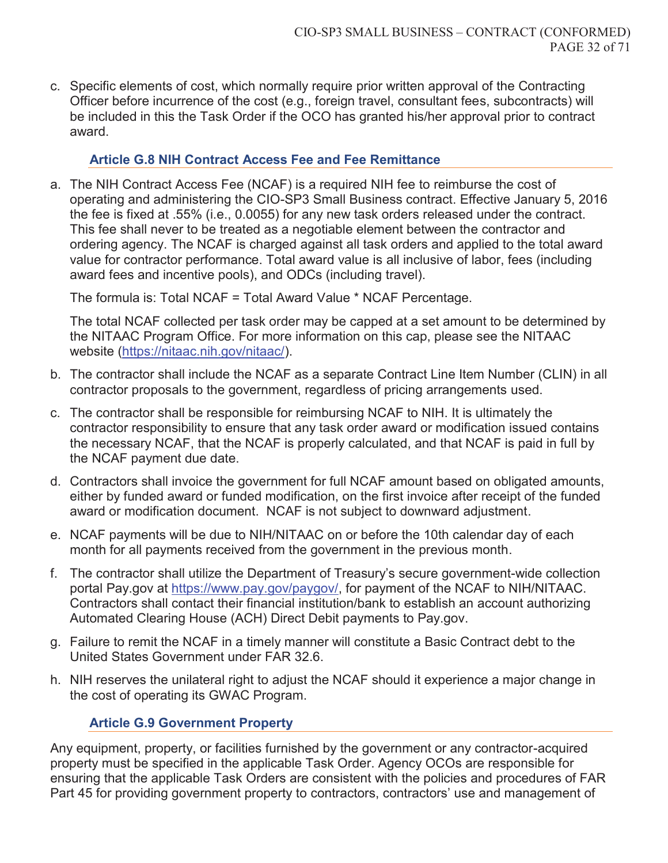c. Specific elements of cost, which normally require prior written approval of the Contracting Officer before incurrence of the cost (e.g., foreign travel, consultant fees, subcontracts) will be included in this the Task Order if the OCO has granted his/her approval prior to contract award.

#### **Article G.8 NIH Contract Access Fee and Fee Remittance**

a. The NIH Contract Access Fee (NCAF) is a required NIH fee to reimburse the cost of operating and administering the CIO-SP3 Small Business contract. Effective January 5, 2016 the fee is fixed at .55% (i.e., 0.0055) for any new task orders released under the contract. This fee shall never to be treated as a negotiable element between the contractor and ordering agency. The NCAF is charged against all task orders and applied to the total award value for contractor performance. Total award value is all inclusive of labor, fees (including award fees and incentive pools), and ODCs (including travel).

The formula is: Total NCAF = Total Award Value \* NCAF Percentage.

The total NCAF collected per task order may be capped at a set amount to be determined by the NITAAC Program Office. For more information on this cap, please see the NITAAC website (https://nitaac.nih.gov/nitaac/).

- b. The contractor shall include the NCAF as a separate Contract Line Item Number (CLIN) in all contractor proposals to the government, regardless of pricing arrangements used.
- c. The contractor shall be responsible for reimbursing NCAF to NIH. It is ultimately the contractor responsibility to ensure that any task order award or modification issued contains the necessary NCAF, that the NCAF is properly calculated, and that NCAF is paid in full by the NCAF payment due date.
- d. Contractors shall invoice the government for full NCAF amount based on obligated amounts, either by funded award or funded modification, on the first invoice after receipt of the funded award or modification document. NCAF is not subject to downward adjustment.
- e. NCAF payments will be due to NIH/NITAAC on or before the 10th calendar day of each month for all payments received from the government in the previous month.
- f. The contractor shall utilize the Department of Treasury's secure government-wide collection portal Pay.gov at https://www.pay.gov/paygov/, for payment of the NCAF to NIH/NITAAC. Contractors shall contact their financial institution/bank to establish an account authorizing Automated Clearing House (ACH) Direct Debit payments to Pay.gov.
- g. Failure to remit the NCAF in a timely manner will constitute a Basic Contract debt to the United States Government under FAR 32.6.
- h. NIH reserves the unilateral right to adjust the NCAF should it experience a major change in the cost of operating its GWAC Program.

### **Article G.9 Government Property**

Any equipment, property, or facilities furnished by the government or any contractor-acquired property must be specified in the applicable Task Order. Agency OCOs are responsible for ensuring that the applicable Task Orders are consistent with the policies and procedures of FAR Part 45 for providing government property to contractors, contractors' use and management of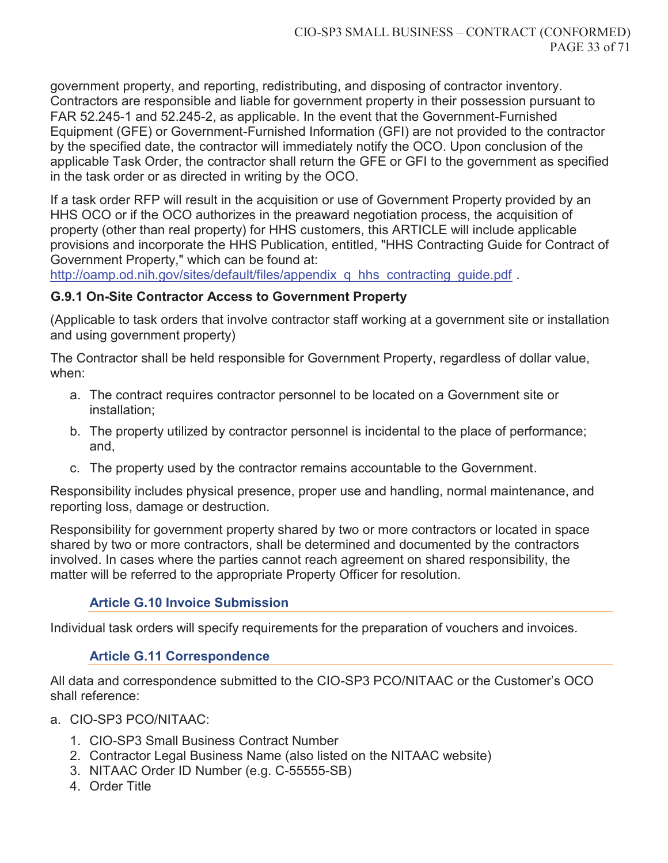government property, and reporting, redistributing, and disposing of contractor inventory. Contractors are responsible and liable for government property in their possession pursuant to FAR 52.245-1 and 52.245-2, as applicable. In the event that the Government-Furnished Equipment (GFE) or Government-Furnished Information (GFI) are not provided to the contractor by the specified date, the contractor will immediately notify the OCO. Upon conclusion of the applicable Task Order, the contractor shall return the GFE or GFI to the government as specified in the task order or as directed in writing by the OCO.

If a task order RFP will result in the acquisition or use of Government Property provided by an HHS OCO or if the OCO authorizes in the preaward negotiation process, the acquisition of property (other than real property) for HHS customers, this ARTICLE will include applicable provisions and incorporate the HHS Publication, entitled, "HHS Contracting Guide for Contract of Government Property," which can be found at:

http://oamp.od.nih.gov/sites/default/files/appendix\_q\_hhs\_contracting\_guide.pdf .

### **G.9.1 On-Site Contractor Access to Government Property**

(Applicable to task orders that involve contractor staff working at a government site or installation and using government property)

The Contractor shall be held responsible for Government Property, regardless of dollar value, when:

- a. The contract requires contractor personnel to be located on a Government site or installation;
- b. The property utilized by contractor personnel is incidental to the place of performance; and,
- c. The property used by the contractor remains accountable to the Government.

Responsibility includes physical presence, proper use and handling, normal maintenance, and reporting loss, damage or destruction.

Responsibility for government property shared by two or more contractors or located in space shared by two or more contractors, shall be determined and documented by the contractors involved. In cases where the parties cannot reach agreement on shared responsibility, the matter will be referred to the appropriate Property Officer for resolution.

### **Article G.10 Invoice Submission**

Individual task orders will specify requirements for the preparation of vouchers and invoices.

### **Article G.11 Correspondence**

All data and correspondence submitted to the CIO-SP3 PCO/NITAAC or the Customer's OCO shall reference:

- a. CIO-SP3 PCO/NITAAC:
	- 1. CIO-SP3 Small Business Contract Number
	- 2. Contractor Legal Business Name (also listed on the NITAAC website)
	- 3. NITAAC Order ID Number (e.g. C-55555-SB)
	- 4. Order Title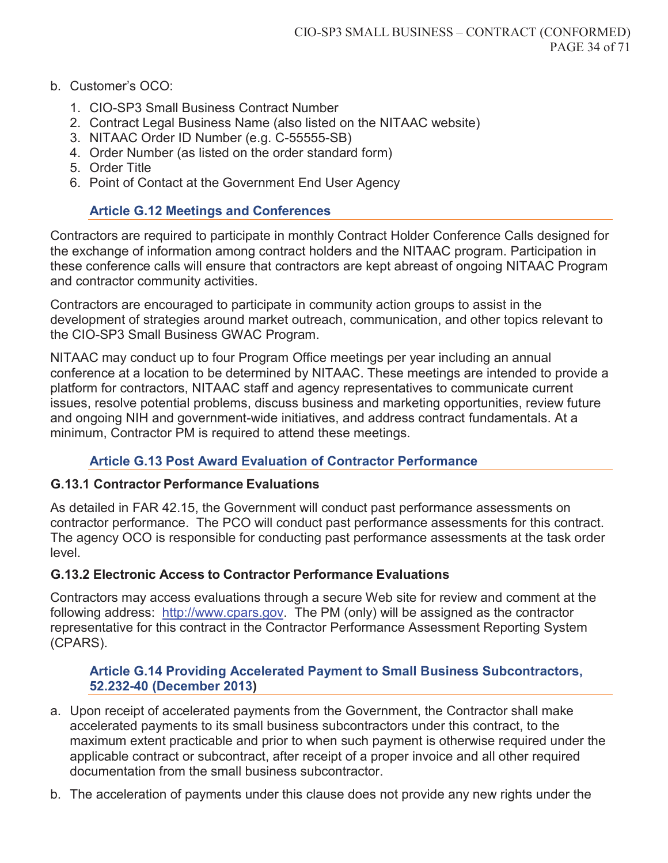#### b. Customer's OCO:

- 1. CIO-SP3 Small Business Contract Number
- 2. Contract Legal Business Name (also listed on the NITAAC website)
- 3. NITAAC Order ID Number (e.g. C-55555-SB)
- 4. Order Number (as listed on the order standard form)
- 5. Order Title
- 6. Point of Contact at the Government End User Agency

## **Article G.12 Meetings and Conferences**

Contractors are required to participate in monthly Contract Holder Conference Calls designed for the exchange of information among contract holders and the NITAAC program. Participation in these conference calls will ensure that contractors are kept abreast of ongoing NITAAC Program and contractor community activities.

Contractors are encouraged to participate in community action groups to assist in the development of strategies around market outreach, communication, and other topics relevant to the CIO-SP3 Small Business GWAC Program.

NITAAC may conduct up to four Program Office meetings per year including an annual conference at a location to be determined by NITAAC. These meetings are intended to provide a platform for contractors, NITAAC staff and agency representatives to communicate current issues, resolve potential problems, discuss business and marketing opportunities, review future and ongoing NIH and government-wide initiatives, and address contract fundamentals. At a minimum, Contractor PM is required to attend these meetings.

## **Article G.13 Post Award Evaluation of Contractor Performance**

### **G.13.1 Contractor Performance Evaluations**

As detailed in FAR 42.15, the Government will conduct past performance assessments on contractor performance. The PCO will conduct past performance assessments for this contract. The agency OCO is responsible for conducting past performance assessments at the task order level.

## **G.13.2 Electronic Access to Contractor Performance Evaluations**

Contractors may access evaluations through a secure Web site for review and comment at the following address: http://www.cpars.gov. The PM (only) will be assigned as the contractor representative for this contract in the Contractor Performance Assessment Reporting System (CPARS).

### **Article G.14 Providing Accelerated Payment to Small Business Subcontractors, 52.232-40 (December 2013)**

- a. Upon receipt of accelerated payments from the Government, the Contractor shall make accelerated payments to its small business subcontractors under this contract, to the maximum extent practicable and prior to when such payment is otherwise required under the applicable contract or subcontract, after receipt of a proper invoice and all other required documentation from the small business subcontractor.
- b. The acceleration of payments under this clause does not provide any new rights under the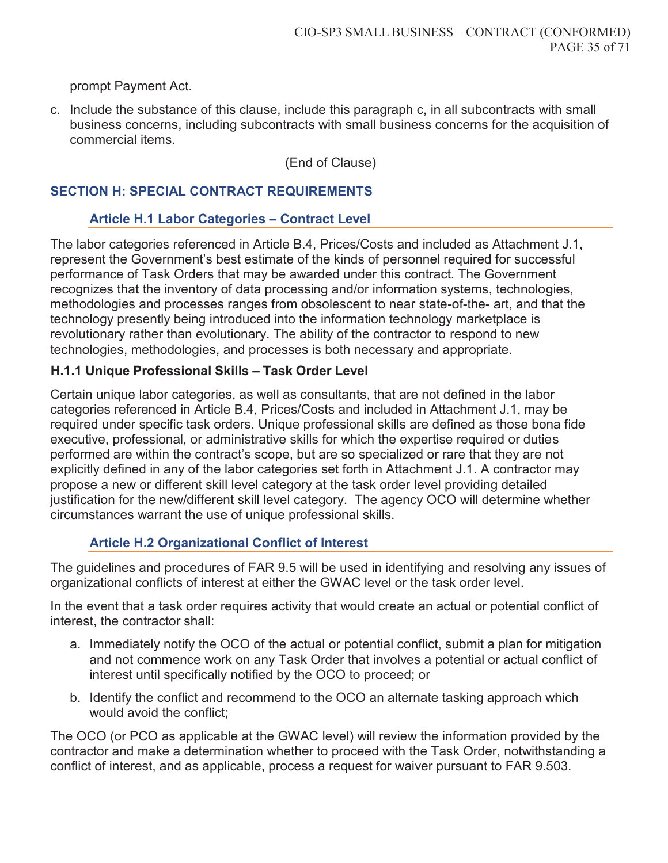prompt Payment Act.

c. Include the substance of this clause, include this paragraph c, in all subcontracts with small business concerns, including subcontracts with small business concerns for the acquisition of commercial items.

(End of Clause)

#### **SECTION H: SPECIAL CONTRACT REQUIREMENTS**

#### **Article H.1 Labor Categories – Contract Level**

The labor categories referenced in Article B.4, Prices/Costs and included as Attachment J.1, represent the Government's best estimate of the kinds of personnel required for successful performance of Task Orders that may be awarded under this contract. The Government recognizes that the inventory of data processing and/or information systems, technologies, methodologies and processes ranges from obsolescent to near state-of-the- art, and that the technology presently being introduced into the information technology marketplace is revolutionary rather than evolutionary. The ability of the contractor to respond to new technologies, methodologies, and processes is both necessary and appropriate.

#### **H.1.1 Unique Professional Skills – Task Order Level**

Certain unique labor categories, as well as consultants, that are not defined in the labor categories referenced in Article B.4, Prices/Costs and included in Attachment J.1, may be required under specific task orders. Unique professional skills are defined as those bona fide executive, professional, or administrative skills for which the expertise required or duties performed are within the contract's scope, but are so specialized or rare that they are not explicitly defined in any of the labor categories set forth in Attachment J.1. A contractor may propose a new or different skill level category at the task order level providing detailed justification for the new/different skill level category. The agency OCO will determine whether circumstances warrant the use of unique professional skills.

### **Article H.2 Organizational Conflict of Interest**

The guidelines and procedures of FAR 9.5 will be used in identifying and resolving any issues of organizational conflicts of interest at either the GWAC level or the task order level.

In the event that a task order requires activity that would create an actual or potential conflict of interest, the contractor shall:

- a. Immediately notify the OCO of the actual or potential conflict, submit a plan for mitigation and not commence work on any Task Order that involves a potential or actual conflict of interest until specifically notified by the OCO to proceed; or
- b. Identify the conflict and recommend to the OCO an alternate tasking approach which would avoid the conflict;

The OCO (or PCO as applicable at the GWAC level) will review the information provided by the contractor and make a determination whether to proceed with the Task Order, notwithstanding a conflict of interest, and as applicable, process a request for waiver pursuant to FAR 9.503.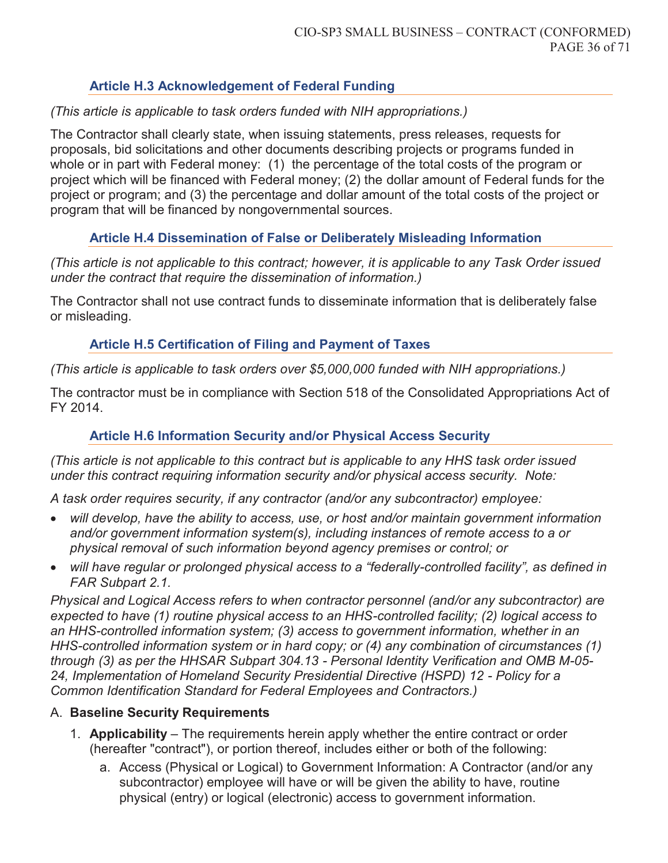### **Article H.3 Acknowledgement of Federal Funding**

### *(This article is applicable to task orders funded with NIH appropriations.)*

The Contractor shall clearly state, when issuing statements, press releases, requests for proposals, bid solicitations and other documents describing projects or programs funded in whole or in part with Federal money: (1) the percentage of the total costs of the program or project which will be financed with Federal money; (2) the dollar amount of Federal funds for the project or program; and (3) the percentage and dollar amount of the total costs of the project or program that will be financed by nongovernmental sources.

### **Article H.4 Dissemination of False or Deliberately Misleading Information**

*(This article is not applicable to this contract; however, it is applicable to any Task Order issued under the contract that require the dissemination of information.)* 

The Contractor shall not use contract funds to disseminate information that is deliberately false or misleading.

### **Article H.5 Certification of Filing and Payment of Taxes**

*(This article is applicable to task orders over \$5,000,000 funded with NIH appropriations.)* 

The contractor must be in compliance with Section 518 of the Consolidated Appropriations Act of FY 2014.

## **Article H.6 Information Security and/or Physical Access Security**

*(This article is not applicable to this contract but is applicable to any HHS task order issued under this contract requiring information security and/or physical access security. Note:* 

*A task order requires security, if any contractor (and/or any subcontractor) employee:* 

- x *will develop, have the ability to access, use, or host and/or maintain government information and/or government information system(s), including instances of remote access to a or physical removal of such information beyond agency premises or control; or*
- will have regular or prolonged physical access to a "federally-controlled facility", as defined in *FAR Subpart 2.1.*

*Physical and Logical Access refers to when contractor personnel (and/or any subcontractor) are expected to have (1) routine physical access to an HHS-controlled facility; (2) logical access to an HHS-controlled information system; (3) access to government information, whether in an HHS-controlled information system or in hard copy; or (4) any combination of circumstances (1) through (3) as per the HHSAR Subpart 304.13 - Personal Identity Verification and OMB M-05- 24, Implementation of Homeland Security Presidential Directive (HSPD) 12 - Policy for a Common Identification Standard for Federal Employees and Contractors.)*

### A. **Baseline Security Requirements**

- 1. **Applicability** The requirements herein apply whether the entire contract or order (hereafter "contract"), or portion thereof, includes either or both of the following:
	- a. Access (Physical or Logical) to Government Information: A Contractor (and/or any subcontractor) employee will have or will be given the ability to have, routine physical (entry) or logical (electronic) access to government information.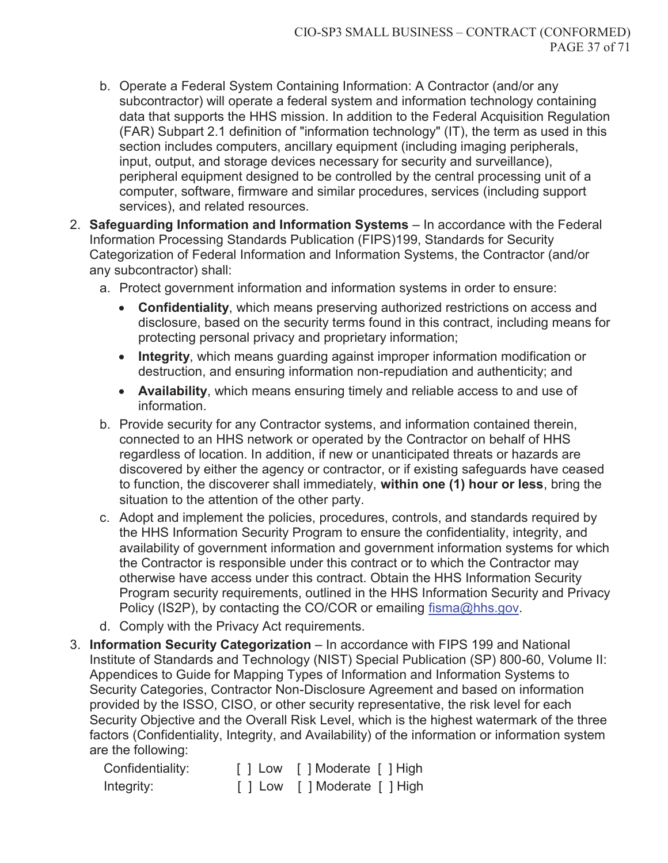- b. Operate a Federal System Containing Information: A Contractor (and/or any subcontractor) will operate a federal system and information technology containing data that supports the HHS mission. In addition to the Federal Acquisition Regulation (FAR) Subpart 2.1 definition of "information technology" (IT), the term as used in this section includes computers, ancillary equipment (including imaging peripherals, input, output, and storage devices necessary for security and surveillance), peripheral equipment designed to be controlled by the central processing unit of a computer, software, firmware and similar procedures, services (including support services), and related resources.
- 2. **Safeguarding Information and Information Systems**  In accordance with the Federal Information Processing Standards Publication (FIPS)199, Standards for Security Categorization of Federal Information and Information Systems, the Contractor (and/or any subcontractor) shall:
	- a. Protect government information and information systems in order to ensure:
		- **Confidentiality**, which means preserving authorized restrictions on access and disclosure, based on the security terms found in this contract, including means for protecting personal privacy and proprietary information;
		- **Integrity**, which means guarding against improper information modification or destruction, and ensuring information non-repudiation and authenticity; and
		- **Availability**, which means ensuring timely and reliable access to and use of information.
	- b. Provide security for any Contractor systems, and information contained therein, connected to an HHS network or operated by the Contractor on behalf of HHS regardless of location. In addition, if new or unanticipated threats or hazards are discovered by either the agency or contractor, or if existing safeguards have ceased to function, the discoverer shall immediately, **within one (1) hour or less**, bring the situation to the attention of the other party.
	- c. Adopt and implement the policies, procedures, controls, and standards required by the HHS Information Security Program to ensure the confidentiality, integrity, and availability of government information and government information systems for which the Contractor is responsible under this contract or to which the Contractor may otherwise have access under this contract. Obtain the HHS Information Security Program security requirements, outlined in the HHS Information Security and Privacy Policy (IS2P), by contacting the CO/COR or emailing fisma@hhs.gov.
	- d. Comply with the Privacy Act requirements.
- 3. **Information Security Categorization**  In accordance with FIPS 199 and National Institute of Standards and Technology (NIST) Special Publication (SP) 800-60, Volume II: Appendices to Guide for Mapping Types of Information and Information Systems to Security Categories, Contractor Non-Disclosure Agreement and based on information provided by the ISSO, CISO, or other security representative, the risk level for each Security Objective and the Overall Risk Level, which is the highest watermark of the three factors (Confidentiality, Integrity, and Availability) of the information or information system are the following:

| Confidentiality: | [ ] Low [ ] Moderate [ ] High |
|------------------|-------------------------------|
| Integrity:       | [ ] Low [ ] Moderate [ ] High |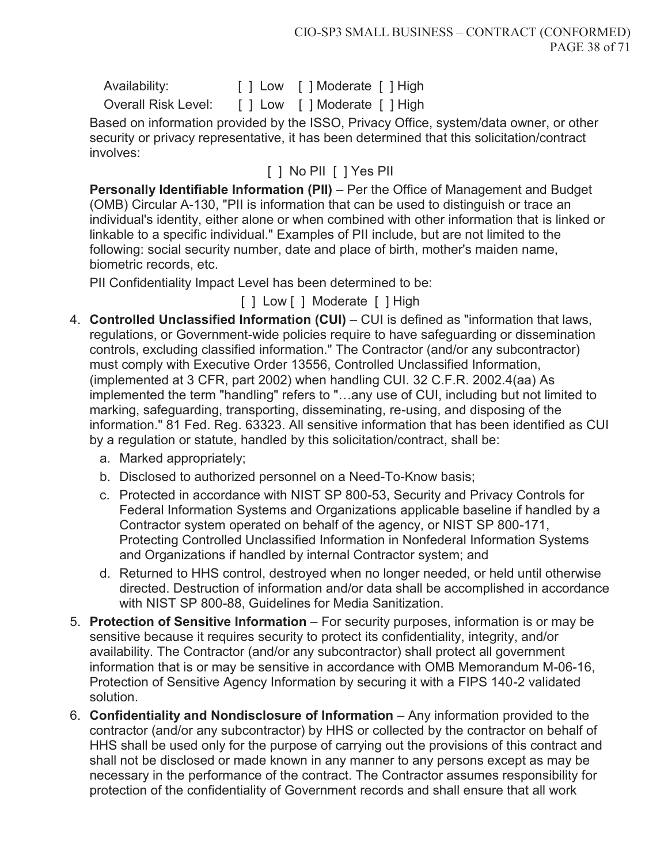| Availability:              | [ ] Low [ ] Moderate [ ] High |  |
|----------------------------|-------------------------------|--|
| <b>Overall Risk Level:</b> | [ ] Low [ ] Moderate [ ] High |  |

Based on information provided by the ISSO, Privacy Office, system/data owner, or other security or privacy representative, it has been determined that this solicitation/contract involves:

[ ] No PII [ ] Yes PII

**Personally Identifiable Information (PII)** – Per the Office of Management and Budget (OMB) Circular A-130, "PII is information that can be used to distinguish or trace an individual's identity, either alone or when combined with other information that is linked or linkable to a specific individual." Examples of PII include, but are not limited to the following: social security number, date and place of birth, mother's maiden name, biometric records, etc.

PII Confidentiality Impact Level has been determined to be:

[ ] Low [ ] Moderate [ ] High

- 4. **Controlled Unclassified Information (CUI)**  CUI is defined as "information that laws, regulations, or Government-wide policies require to have safeguarding or dissemination controls, excluding classified information." The Contractor (and/or any subcontractor) must comply with Executive Order 13556, Controlled Unclassified Information, (implemented at 3 CFR, part 2002) when handling CUI. 32 C.F.R. 2002.4(aa) As implemented the term "handling" refers to "…any use of CUI, including but not limited to marking, safeguarding, transporting, disseminating, re-using, and disposing of the information." 81 Fed. Reg. 63323. All sensitive information that has been identified as CUI by a regulation or statute, handled by this solicitation/contract, shall be:
	- a. Marked appropriately;
	- b. Disclosed to authorized personnel on a Need-To-Know basis;
	- c. Protected in accordance with NIST SP 800-53, Security and Privacy Controls for Federal Information Systems and Organizations applicable baseline if handled by a Contractor system operated on behalf of the agency, or NIST SP 800-171, Protecting Controlled Unclassified Information in Nonfederal Information Systems and Organizations if handled by internal Contractor system; and
	- d. Returned to HHS control, destroyed when no longer needed, or held until otherwise directed. Destruction of information and/or data shall be accomplished in accordance with NIST SP 800-88, Guidelines for Media Sanitization.
- 5. **Protection of Sensitive Information**  For security purposes, information is or may be sensitive because it requires security to protect its confidentiality, integrity, and/or availability. The Contractor (and/or any subcontractor) shall protect all government information that is or may be sensitive in accordance with OMB Memorandum M-06-16, Protection of Sensitive Agency Information by securing it with a FIPS 140-2 validated solution.
- 6. **Confidentiality and Nondisclosure of Information**  Any information provided to the contractor (and/or any subcontractor) by HHS or collected by the contractor on behalf of HHS shall be used only for the purpose of carrying out the provisions of this contract and shall not be disclosed or made known in any manner to any persons except as may be necessary in the performance of the contract. The Contractor assumes responsibility for protection of the confidentiality of Government records and shall ensure that all work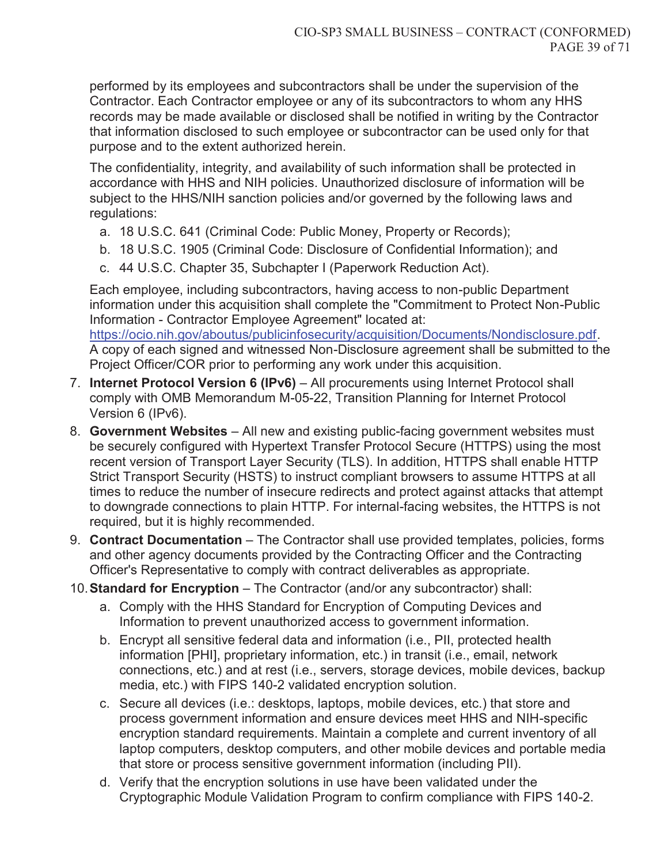performed by its employees and subcontractors shall be under the supervision of the Contractor. Each Contractor employee or any of its subcontractors to whom any HHS records may be made available or disclosed shall be notified in writing by the Contractor that information disclosed to such employee or subcontractor can be used only for that purpose and to the extent authorized herein.

The confidentiality, integrity, and availability of such information shall be protected in accordance with HHS and NIH policies. Unauthorized disclosure of information will be subject to the HHS/NIH sanction policies and/or governed by the following laws and regulations:

- a. 18 U.S.C. 641 (Criminal Code: Public Money, Property or Records);
- b. 18 U.S.C. 1905 (Criminal Code: Disclosure of Confidential Information); and
- c. 44 U.S.C. Chapter 35, Subchapter I (Paperwork Reduction Act).

Each employee, including subcontractors, having access to non-public Department information under this acquisition shall complete the "Commitment to Protect Non-Public Information - Contractor Employee Agreement" located at:

https://ocio.nih.gov/aboutus/publicinfosecurity/acquisition/Documents/Nondisclosure.pdf. A copy of each signed and witnessed Non-Disclosure agreement shall be submitted to the Project Officer/COR prior to performing any work under this acquisition.

- 7. **Internet Protocol Version 6 (IPv6)** All procurements using Internet Protocol shall comply with OMB Memorandum M-05-22, Transition Planning for Internet Protocol Version 6 (IPv6).
- 8. **Government Websites**  All new and existing public-facing government websites must be securely configured with Hypertext Transfer Protocol Secure (HTTPS) using the most recent version of Transport Layer Security (TLS). In addition, HTTPS shall enable HTTP Strict Transport Security (HSTS) to instruct compliant browsers to assume HTTPS at all times to reduce the number of insecure redirects and protect against attacks that attempt to downgrade connections to plain HTTP. For internal-facing websites, the HTTPS is not required, but it is highly recommended.
- 9. **Contract Documentation**  The Contractor shall use provided templates, policies, forms and other agency documents provided by the Contracting Officer and the Contracting Officer's Representative to comply with contract deliverables as appropriate.

10. **Standard for Encryption** – The Contractor (and/or any subcontractor) shall:

- a. Comply with the HHS Standard for Encryption of Computing Devices and Information to prevent unauthorized access to government information.
- b. Encrypt all sensitive federal data and information (i.e., PII, protected health information [PHI], proprietary information, etc.) in transit (i.e., email, network connections, etc.) and at rest (i.e., servers, storage devices, mobile devices, backup media, etc.) with FIPS 140-2 validated encryption solution.
- c. Secure all devices (i.e.: desktops, laptops, mobile devices, etc.) that store and process government information and ensure devices meet HHS and NIH-specific encryption standard requirements. Maintain a complete and current inventory of all laptop computers, desktop computers, and other mobile devices and portable media that store or process sensitive government information (including PII).
- d. Verify that the encryption solutions in use have been validated under the Cryptographic Module Validation Program to confirm compliance with FIPS 140-2.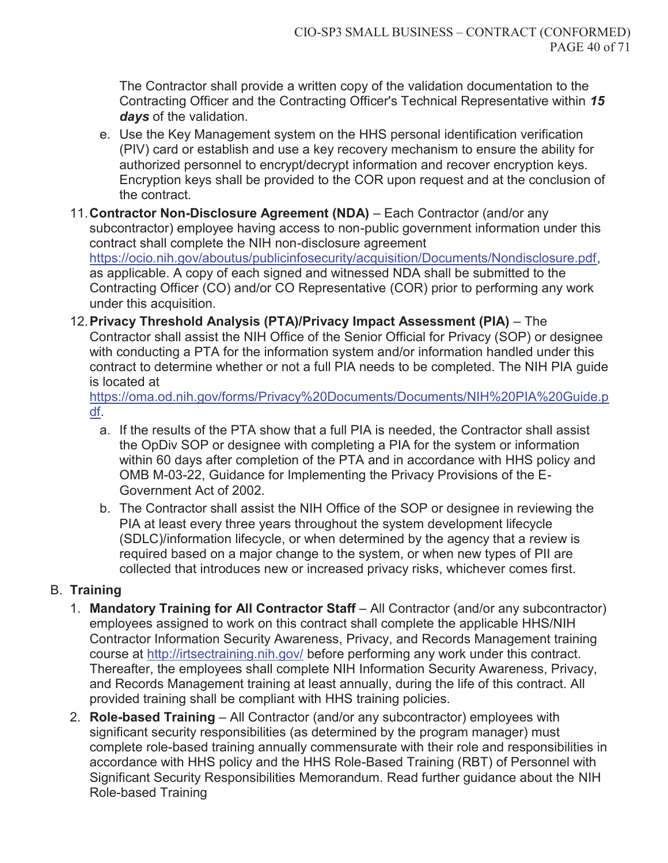The Contractor shall provide a written copy of the validation documentation to the Contracting Officer and the Contracting Officer's Technical Representative within *15 days* of the validation.

- e. Use the Key Management system on the HHS personal identification verification (PIV) card or establish and use a key recovery mechanism to ensure the ability for authorized personnel to encrypt/decrypt information and recover encryption keys. Encryption keys shall be provided to the COR upon request and at the conclusion of the contract.
- 11. **Contractor Non-Disclosure Agreement (NDA)**  Each Contractor (and/or any subcontractor) employee having access to non-public government information under this contract shall complete the NIH non-disclosure agreement https://ocio.nih.gov/aboutus/publicinfosecurity/acquisition/Documents/Nondisclosure.pdf, as applicable. A copy of each signed and witnessed NDA shall be submitted to the Contracting Officer (CO) and/or CO Representative (COR) prior to performing any work under this acquisition.
- 12. **Privacy Threshold Analysis (PTA)/Privacy Impact Assessment (PIA)**  The Contractor shall assist the NIH Office of the Senior Official for Privacy (SOP) or designee with conducting a PTA for the information system and/or information handled under this contract to determine whether or not a full PIA needs to be completed. The NIH PIA guide is located at

https://oma.od.nih.gov/forms/Privacy%20Documents/Documents/NIH%20PIA%20Guide.p df.

- a. If the results of the PTA show that a full PIA is needed, the Contractor shall assist the OpDiv SOP or designee with completing a PIA for the system or information within 60 days after completion of the PTA and in accordance with HHS policy and OMB M-03-22, Guidance for Implementing the Privacy Provisions of the E-Government Act of 2002.
- b. The Contractor shall assist the NIH Office of the SOP or designee in reviewing the PIA at least every three years throughout the system development lifecycle (SDLC)/information lifecycle, or when determined by the agency that a review is required based on a major change to the system, or when new types of PII are collected that introduces new or increased privacy risks, whichever comes first.

## B. **Training**

- 1. **Mandatory Training for All Contractor Staff** All Contractor (and/or any subcontractor) employees assigned to work on this contract shall complete the applicable HHS/NIH Contractor Information Security Awareness, Privacy, and Records Management training course at http://irtsectraining.nih.gov/ before performing any work under this contract. Thereafter, the employees shall complete NIH Information Security Awareness, Privacy, and Records Management training at least annually, during the life of this contract. All provided training shall be compliant with HHS training policies.
- 2. **Role-based Training**  All Contractor (and/or any subcontractor) employees with significant security responsibilities (as determined by the program manager) must complete role-based training annually commensurate with their role and responsibilities in accordance with HHS policy and the HHS Role-Based Training (RBT) of Personnel with Significant Security Responsibilities Memorandum. Read further guidance about the NIH Role-based Training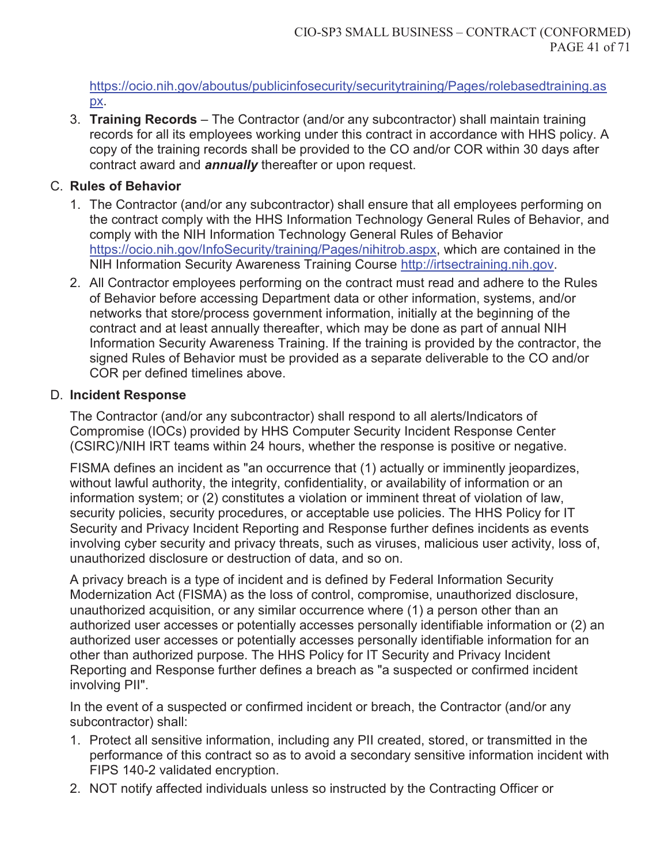https://ocio.nih.gov/aboutus/publicinfosecurity/securitytraining/Pages/rolebasedtraining.as px.

3. **Training Records** – The Contractor (and/or any subcontractor) shall maintain training records for all its employees working under this contract in accordance with HHS policy. A copy of the training records shall be provided to the CO and/or COR within 30 days after contract award and *annually* thereafter or upon request.

## C. **Rules of Behavior**

- 1. The Contractor (and/or any subcontractor) shall ensure that all employees performing on the contract comply with the HHS Information Technology General Rules of Behavior, and comply with the NIH Information Technology General Rules of Behavior https://ocio.nih.gov/InfoSecurity/training/Pages/nihitrob.aspx, which are contained in the NIH Information Security Awareness Training Course http://irtsectraining.nih.gov.
- 2. All Contractor employees performing on the contract must read and adhere to the Rules of Behavior before accessing Department data or other information, systems, and/or networks that store/process government information, initially at the beginning of the contract and at least annually thereafter, which may be done as part of annual NIH Information Security Awareness Training. If the training is provided by the contractor, the signed Rules of Behavior must be provided as a separate deliverable to the CO and/or COR per defined timelines above.

## D. **Incident Response**

The Contractor (and/or any subcontractor) shall respond to all alerts/Indicators of Compromise (IOCs) provided by HHS Computer Security Incident Response Center (CSIRC)/NIH IRT teams within 24 hours, whether the response is positive or negative.

FISMA defines an incident as "an occurrence that (1) actually or imminently jeopardizes, without lawful authority, the integrity, confidentiality, or availability of information or an information system; or (2) constitutes a violation or imminent threat of violation of law, security policies, security procedures, or acceptable use policies. The HHS Policy for IT Security and Privacy Incident Reporting and Response further defines incidents as events involving cyber security and privacy threats, such as viruses, malicious user activity, loss of, unauthorized disclosure or destruction of data, and so on.

A privacy breach is a type of incident and is defined by Federal Information Security Modernization Act (FISMA) as the loss of control, compromise, unauthorized disclosure, unauthorized acquisition, or any similar occurrence where (1) a person other than an authorized user accesses or potentially accesses personally identifiable information or (2) an authorized user accesses or potentially accesses personally identifiable information for an other than authorized purpose. The HHS Policy for IT Security and Privacy Incident Reporting and Response further defines a breach as "a suspected or confirmed incident involving PII".

In the event of a suspected or confirmed incident or breach, the Contractor (and/or any subcontractor) shall:

- 1. Protect all sensitive information, including any PII created, stored, or transmitted in the performance of this contract so as to avoid a secondary sensitive information incident with FIPS 140-2 validated encryption.
- 2. NOT notify affected individuals unless so instructed by the Contracting Officer or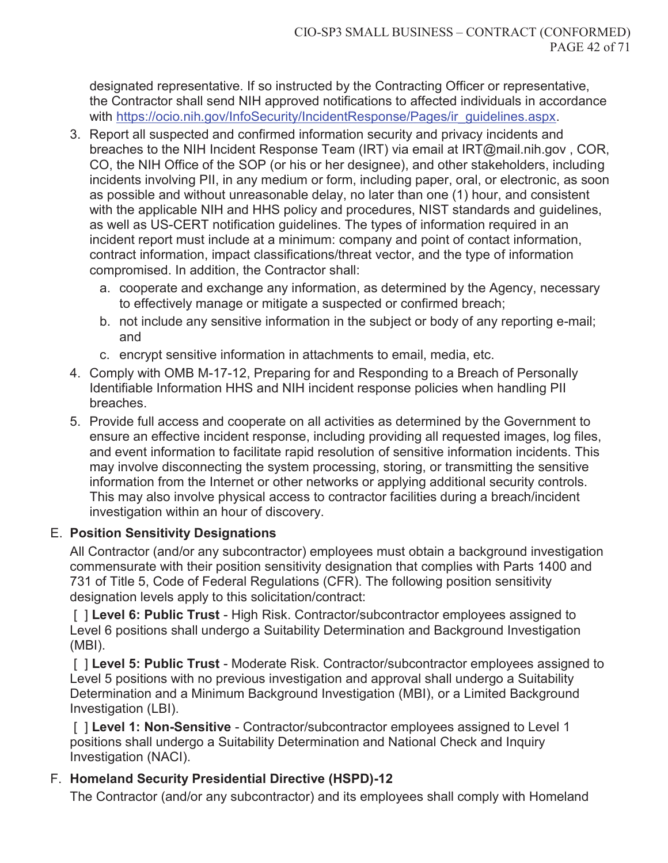designated representative. If so instructed by the Contracting Officer or representative, the Contractor shall send NIH approved notifications to affected individuals in accordance with https://ocio.nih.gov/InfoSecurity/IncidentResponse/Pages/ir\_guidelines.aspx.

- 3. Report all suspected and confirmed information security and privacy incidents and breaches to the NIH Incident Response Team (IRT) via email at IRT@mail.nih.gov , COR, CO, the NIH Office of the SOP (or his or her designee), and other stakeholders, including incidents involving PII, in any medium or form, including paper, oral, or electronic, as soon as possible and without unreasonable delay, no later than one (1) hour, and consistent with the applicable NIH and HHS policy and procedures, NIST standards and guidelines, as well as US-CERT notification guidelines. The types of information required in an incident report must include at a minimum: company and point of contact information, contract information, impact classifications/threat vector, and the type of information compromised. In addition, the Contractor shall:
	- a. cooperate and exchange any information, as determined by the Agency, necessary to effectively manage or mitigate a suspected or confirmed breach;
	- b. not include any sensitive information in the subject or body of any reporting e-mail; and
	- c. encrypt sensitive information in attachments to email, media, etc.
- 4. Comply with OMB M-17-12, Preparing for and Responding to a Breach of Personally Identifiable Information HHS and NIH incident response policies when handling PII breaches.
- 5. Provide full access and cooperate on all activities as determined by the Government to ensure an effective incident response, including providing all requested images, log files, and event information to facilitate rapid resolution of sensitive information incidents. This may involve disconnecting the system processing, storing, or transmitting the sensitive information from the Internet or other networks or applying additional security controls. This may also involve physical access to contractor facilities during a breach/incident investigation within an hour of discovery.

### E. **Position Sensitivity Designations**

All Contractor (and/or any subcontractor) employees must obtain a background investigation commensurate with their position sensitivity designation that complies with Parts 1400 and 731 of Title 5, Code of Federal Regulations (CFR). The following position sensitivity designation levels apply to this solicitation/contract:

[ ] Level 6: Public Trust - High Risk. Contractor/subcontractor employees assigned to Level 6 positions shall undergo a Suitability Determination and Background Investigation (MBI).

 [ ] **Level 5: Public Trust** - Moderate Risk. Contractor/subcontractor employees assigned to Level 5 positions with no previous investigation and approval shall undergo a Suitability Determination and a Minimum Background Investigation (MBI), or a Limited Background Investigation (LBI).

 [ ] **Level 1: Non-Sensitive** - Contractor/subcontractor employees assigned to Level 1 positions shall undergo a Suitability Determination and National Check and Inquiry Investigation (NACI).

## F. **Homeland Security Presidential Directive (HSPD)-12**

The Contractor (and/or any subcontractor) and its employees shall comply with Homeland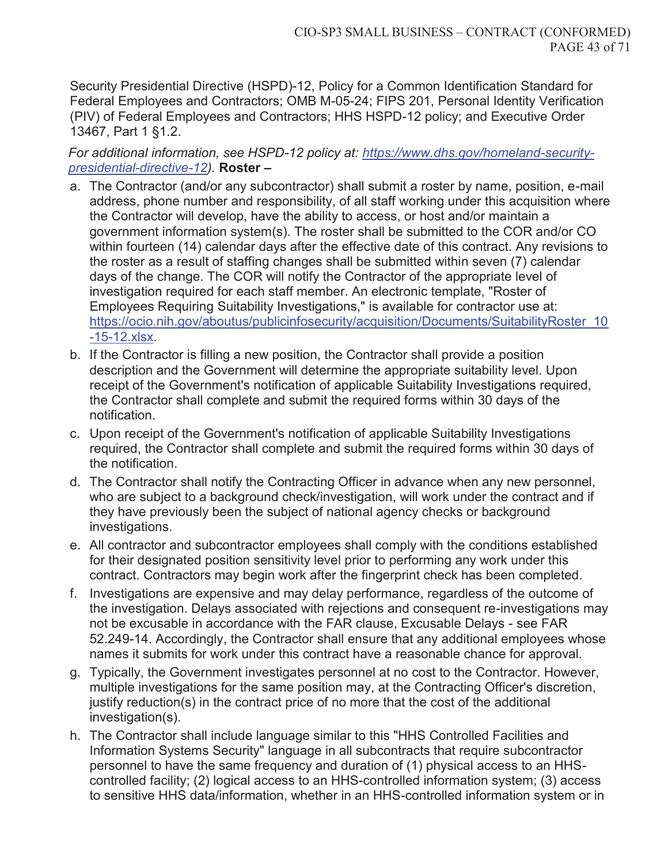Security Presidential Directive (HSPD)-12, Policy for a Common Identification Standard for Federal Employees and Contractors; OMB M-05-24; FIPS 201, Personal Identity Verification (PIV) of Federal Employees and Contractors; HHS HSPD-12 policy; and Executive Order 13467, Part 1 §1.2.

*For additional information, see HSPD-12 policy at: https://www.dhs.gov/homeland-securitypresidential-directive-12).* **Roster –**

- a. The Contractor (and/or any subcontractor) shall submit a roster by name, position, e-mail address, phone number and responsibility, of all staff working under this acquisition where the Contractor will develop, have the ability to access, or host and/or maintain a government information system(s). The roster shall be submitted to the COR and/or CO within fourteen (14) calendar days after the effective date of this contract. Any revisions to the roster as a result of staffing changes shall be submitted within seven (7) calendar days of the change. The COR will notify the Contractor of the appropriate level of investigation required for each staff member. An electronic template, "Roster of Employees Requiring Suitability Investigations," is available for contractor use at: https://ocio.nih.gov/aboutus/publicinfosecurity/acquisition/Documents/SuitabilityRoster\_10 -15-12.xlsx.
- b. If the Contractor is filling a new position, the Contractor shall provide a position description and the Government will determine the appropriate suitability level. Upon receipt of the Government's notification of applicable Suitability Investigations required, the Contractor shall complete and submit the required forms within 30 days of the notification.
- c. Upon receipt of the Government's notification of applicable Suitability Investigations required, the Contractor shall complete and submit the required forms within 30 days of the notification.
- d. The Contractor shall notify the Contracting Officer in advance when any new personnel, who are subject to a background check/investigation, will work under the contract and if they have previously been the subject of national agency checks or background investigations.
- e. All contractor and subcontractor employees shall comply with the conditions established for their designated position sensitivity level prior to performing any work under this contract. Contractors may begin work after the fingerprint check has been completed.
- f. Investigations are expensive and may delay performance, regardless of the outcome of the investigation. Delays associated with rejections and consequent re-investigations may not be excusable in accordance with the FAR clause, Excusable Delays - see FAR 52.249-14. Accordingly, the Contractor shall ensure that any additional employees whose names it submits for work under this contract have a reasonable chance for approval.
- g. Typically, the Government investigates personnel at no cost to the Contractor. However, multiple investigations for the same position may, at the Contracting Officer's discretion, justify reduction(s) in the contract price of no more that the cost of the additional investigation(s).
- h. The Contractor shall include language similar to this "HHS Controlled Facilities and Information Systems Security" language in all subcontracts that require subcontractor personnel to have the same frequency and duration of (1) physical access to an HHScontrolled facility; (2) logical access to an HHS-controlled information system; (3) access to sensitive HHS data/information, whether in an HHS-controlled information system or in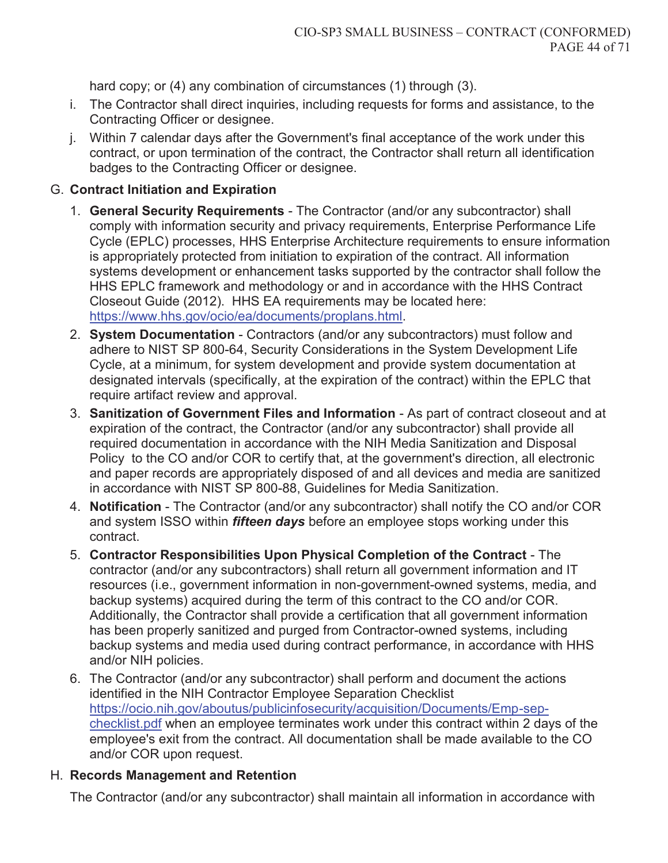hard copy; or (4) any combination of circumstances (1) through (3).

- i. The Contractor shall direct inquiries, including requests for forms and assistance, to the Contracting Officer or designee.
- j. Within 7 calendar days after the Government's final acceptance of the work under this contract, or upon termination of the contract, the Contractor shall return all identification badges to the Contracting Officer or designee.

## G. **Contract Initiation and Expiration**

- 1. **General Security Requirements** The Contractor (and/or any subcontractor) shall comply with information security and privacy requirements, Enterprise Performance Life Cycle (EPLC) processes, HHS Enterprise Architecture requirements to ensure information is appropriately protected from initiation to expiration of the contract. All information systems development or enhancement tasks supported by the contractor shall follow the HHS EPLC framework and methodology or and in accordance with the HHS Contract Closeout Guide (2012). HHS EA requirements may be located here: https://www.hhs.gov/ocio/ea/documents/proplans.html.
- 2. **System Documentation** Contractors (and/or any subcontractors) must follow and adhere to NIST SP 800-64, Security Considerations in the System Development Life Cycle, at a minimum, for system development and provide system documentation at designated intervals (specifically, at the expiration of the contract) within the EPLC that require artifact review and approval.
- 3. **Sanitization of Government Files and Information** As part of contract closeout and at expiration of the contract, the Contractor (and/or any subcontractor) shall provide all required documentation in accordance with the NIH Media Sanitization and Disposal Policy to the CO and/or COR to certify that, at the government's direction, all electronic and paper records are appropriately disposed of and all devices and media are sanitized in accordance with NIST SP 800-88, Guidelines for Media Sanitization.
- 4. **Notification** The Contractor (and/or any subcontractor) shall notify the CO and/or COR and system ISSO within *fifteen days* before an employee stops working under this contract.
- 5. **Contractor Responsibilities Upon Physical Completion of the Contract** The contractor (and/or any subcontractors) shall return all government information and IT resources (i.e., government information in non-government-owned systems, media, and backup systems) acquired during the term of this contract to the CO and/or COR. Additionally, the Contractor shall provide a certification that all government information has been properly sanitized and purged from Contractor-owned systems, including backup systems and media used during contract performance, in accordance with HHS and/or NIH policies.
- 6. The Contractor (and/or any subcontractor) shall perform and document the actions identified in the NIH Contractor Employee Separation Checklist https://ocio.nih.gov/aboutus/publicinfosecurity/acquisition/Documents/Emp-sepchecklist.pdf when an employee terminates work under this contract within 2 days of the employee's exit from the contract. All documentation shall be made available to the CO and/or COR upon request.

## H. **Records Management and Retention**

The Contractor (and/or any subcontractor) shall maintain all information in accordance with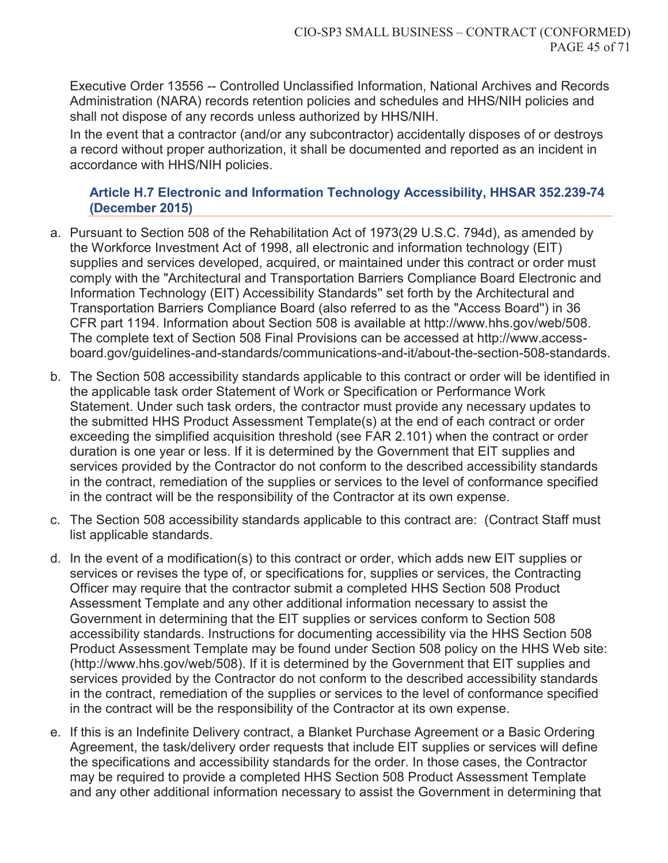Executive Order 13556 -- Controlled Unclassified Information, National Archives and Records Administration (NARA) records retention policies and schedules and HHS/NIH policies and shall not dispose of any records unless authorized by HHS/NIH.

In the event that a contractor (and/or any subcontractor) accidentally disposes of or destroys a record without proper authorization, it shall be documented and reported as an incident in accordance with HHS/NIH policies.

### **Article H.7 Electronic and Information Technology Accessibility, HHSAR 352.239-74 (December 2015)**

- a. Pursuant to Section 508 of the Rehabilitation Act of 1973(29 U.S.C. 794d), as amended by the Workforce Investment Act of 1998, all electronic and information technology (EIT) supplies and services developed, acquired, or maintained under this contract or order must comply with the "Architectural and Transportation Barriers Compliance Board Electronic and Information Technology (EIT) Accessibility Standards'' set forth by the Architectural and Transportation Barriers Compliance Board (also referred to as the "Access Board'') in 36 CFR part 1194. Information about Section 508 is available at http://www.hhs.gov/web/508. The complete text of Section 508 Final Provisions can be accessed at http://www.accessboard.gov/guidelines-and-standards/communications-and-it/about-the-section-508-standards.
- b. The Section 508 accessibility standards applicable to this contract or order will be identified in the applicable task order Statement of Work or Specification or Performance Work Statement. Under such task orders, the contractor must provide any necessary updates to the submitted HHS Product Assessment Template(s) at the end of each contract or order exceeding the simplified acquisition threshold (see FAR 2.101) when the contract or order duration is one year or less. If it is determined by the Government that EIT supplies and services provided by the Contractor do not conform to the described accessibility standards in the contract, remediation of the supplies or services to the level of conformance specified in the contract will be the responsibility of the Contractor at its own expense.
- c. The Section 508 accessibility standards applicable to this contract are: (Contract Staff must list applicable standards.
- d. In the event of a modification(s) to this contract or order, which adds new EIT supplies or services or revises the type of, or specifications for, supplies or services, the Contracting Officer may require that the contractor submit a completed HHS Section 508 Product Assessment Template and any other additional information necessary to assist the Government in determining that the EIT supplies or services conform to Section 508 accessibility standards. Instructions for documenting accessibility via the HHS Section 508 Product Assessment Template may be found under Section 508 policy on the HHS Web site: (http://www.hhs.gov/web/508). If it is determined by the Government that EIT supplies and services provided by the Contractor do not conform to the described accessibility standards in the contract, remediation of the supplies or services to the level of conformance specified in the contract will be the responsibility of the Contractor at its own expense.
- e. If this is an Indefinite Delivery contract, a Blanket Purchase Agreement or a Basic Ordering Agreement, the task/delivery order requests that include EIT supplies or services will define the specifications and accessibility standards for the order. In those cases, the Contractor may be required to provide a completed HHS Section 508 Product Assessment Template and any other additional information necessary to assist the Government in determining that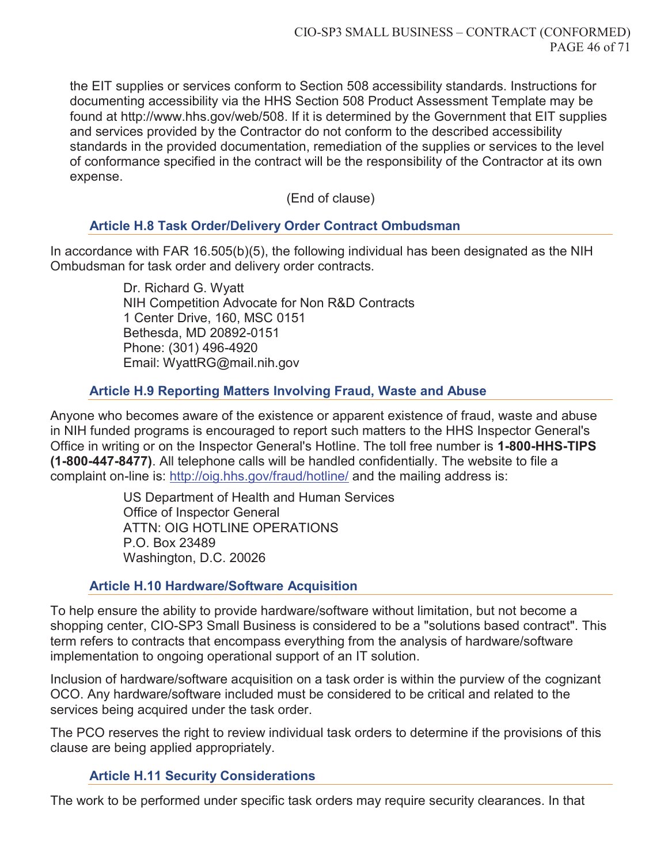the EIT supplies or services conform to Section 508 accessibility standards. Instructions for documenting accessibility via the HHS Section 508 Product Assessment Template may be found at http://www.hhs.gov/web/508. If it is determined by the Government that EIT supplies and services provided by the Contractor do not conform to the described accessibility standards in the provided documentation, remediation of the supplies or services to the level of conformance specified in the contract will be the responsibility of the Contractor at its own expense.

(End of clause)

### **Article H.8 Task Order/Delivery Order Contract Ombudsman**

In accordance with FAR 16.505(b)(5), the following individual has been designated as the NIH Ombudsman for task order and delivery order contracts.

> Dr. Richard G. Wyatt NIH Competition Advocate for Non R&D Contracts 1 Center Drive, 160, MSC 0151 Bethesda, MD 20892-0151 Phone: (301) 496-4920 Email: WyattRG@mail.nih.gov

### **Article H.9 Reporting Matters Involving Fraud, Waste and Abuse**

Anyone who becomes aware of the existence or apparent existence of fraud, waste and abuse in NIH funded programs is encouraged to report such matters to the HHS Inspector General's Office in writing or on the Inspector General's Hotline. The toll free number is **1-800-HHS-TIPS (1-800-447-8477)**. All telephone calls will be handled confidentially. The website to file a complaint on-line is: http://oig.hhs.gov/fraud/hotline/ and the mailing address is:

> US Department of Health and Human Services Office of Inspector General ATTN: OIG HOTLINE OPERATIONS P.O. Box 23489 Washington, D.C. 20026

### **Article H.10 Hardware/Software Acquisition**

To help ensure the ability to provide hardware/software without limitation, but not become a shopping center, CIO-SP3 Small Business is considered to be a "solutions based contract". This term refers to contracts that encompass everything from the analysis of hardware/software implementation to ongoing operational support of an IT solution.

Inclusion of hardware/software acquisition on a task order is within the purview of the cognizant OCO. Any hardware/software included must be considered to be critical and related to the services being acquired under the task order.

The PCO reserves the right to review individual task orders to determine if the provisions of this clause are being applied appropriately.

### **Article H.11 Security Considerations**

The work to be performed under specific task orders may require security clearances. In that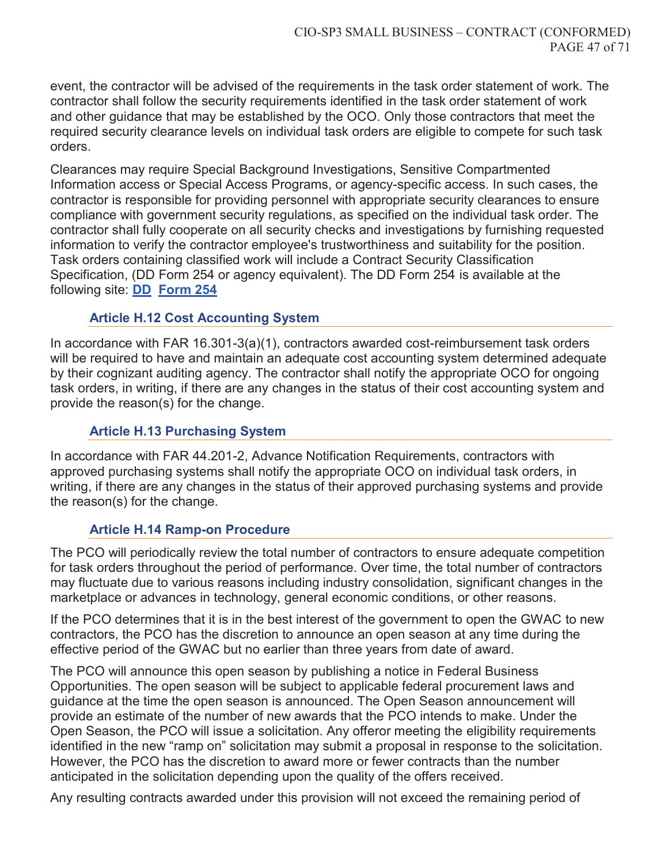event, the contractor will be advised of the requirements in the task order statement of work. The contractor shall follow the security requirements identified in the task order statement of work and other guidance that may be established by the OCO. Only those contractors that meet the required security clearance levels on individual task orders are eligible to compete for such task orders.

Clearances may require Special Background Investigations, Sensitive Compartmented Information access or Special Access Programs, or agency-specific access. In such cases, the contractor is responsible for providing personnel with appropriate security clearances to ensure compliance with government security regulations, as specified on the individual task order. The contractor shall fully cooperate on all security checks and investigations by furnishing requested information to verify the contractor employee's trustworthiness and suitability for the position. Task orders containing classified work will include a Contract Security Classification Specification, (DD Form 254 or agency equivalent). The DD Form 254 is available at the following site: **DD Form 254**

### **Article H.12 Cost Accounting System**

In accordance with FAR 16.301-3(a)(1), contractors awarded cost-reimbursement task orders will be required to have and maintain an adequate cost accounting system determined adequate by their cognizant auditing agency. The contractor shall notify the appropriate OCO for ongoing task orders, in writing, if there are any changes in the status of their cost accounting system and provide the reason(s) for the change.

#### **Article H.13 Purchasing System**

In accordance with FAR 44.201-2, Advance Notification Requirements, contractors with approved purchasing systems shall notify the appropriate OCO on individual task orders, in writing, if there are any changes in the status of their approved purchasing systems and provide the reason(s) for the change.

#### **Article H.14 Ramp-on Procedure**

The PCO will periodically review the total number of contractors to ensure adequate competition for task orders throughout the period of performance. Over time, the total number of contractors may fluctuate due to various reasons including industry consolidation, significant changes in the marketplace or advances in technology, general economic conditions, or other reasons.

If the PCO determines that it is in the best interest of the government to open the GWAC to new contractors, the PCO has the discretion to announce an open season at any time during the effective period of the GWAC but no earlier than three years from date of award.

The PCO will announce this open season by publishing a notice in Federal Business Opportunities. The open season will be subject to applicable federal procurement laws and guidance at the time the open season is announced. The Open Season announcement will provide an estimate of the number of new awards that the PCO intends to make. Under the Open Season, the PCO will issue a solicitation. Any offeror meeting the eligibility requirements identified in the new "ramp on" solicitation may submit a proposal in response to the solicitation. However, the PCO has the discretion to award more or fewer contracts than the number anticipated in the solicitation depending upon the quality of the offers received.

Any resulting contracts awarded under this provision will not exceed the remaining period of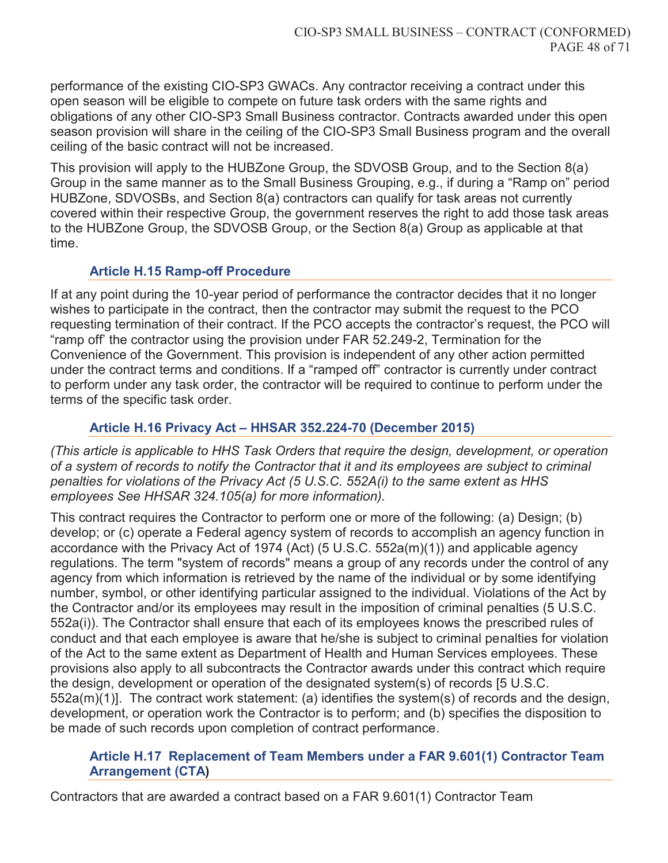performance of the existing CIO-SP3 GWACs. Any contractor receiving a contract under this open season will be eligible to compete on future task orders with the same rights and obligations of any other CIO-SP3 Small Business contractor. Contracts awarded under this open season provision will share in the ceiling of the CIO-SP3 Small Business program and the overall ceiling of the basic contract will not be increased.

This provision will apply to the HUBZone Group, the SDVOSB Group, and to the Section 8(a) Group in the same manner as to the Small Business Grouping, e.g., if during a "Ramp on" period HUBZone, SDVOSBs, and Section 8(a) contractors can qualify for task areas not currently covered within their respective Group, the government reserves the right to add those task areas to the HUBZone Group, the SDVOSB Group, or the Section 8(a) Group as applicable at that time.

## **Article H.15 Ramp-off Procedure**

If at any point during the 10-year period of performance the contractor decides that it no longer wishes to participate in the contract, then the contractor may submit the request to the PCO requesting termination of their contract. If the PCO accepts the contractor's request, the PCO will "ramp off' the contractor using the provision under FAR 52.249-2, Termination for the Convenience of the Government. This provision is independent of any other action permitted under the contract terms and conditions. If a "ramped off" contractor is currently under contract to perform under any task order, the contractor will be required to continue to perform under the terms of the specific task order.

## **Article H.16 Privacy Act – HHSAR 352.224-70 (December 2015)**

*(This article is applicable to HHS Task Orders that require the design, development, or operation of a system of records to notify the Contractor that it and its employees are subject to criminal penalties for violations of the Privacy Act (5 U.S.C. 552A(i) to the same extent as HHS employees See HHSAR 324.105(a) for more information).*

This contract requires the Contractor to perform one or more of the following: (a) Design; (b) develop; or (c) operate a Federal agency system of records to accomplish an agency function in accordance with the Privacy Act of 1974 (Act) (5 U.S.C. 552a(m)(1)) and applicable agency regulations. The term "system of records" means a group of any records under the control of any agency from which information is retrieved by the name of the individual or by some identifying number, symbol, or other identifying particular assigned to the individual. Violations of the Act by the Contractor and/or its employees may result in the imposition of criminal penalties (5 U.S.C. 552a(i)). The Contractor shall ensure that each of its employees knows the prescribed rules of conduct and that each employee is aware that he/she is subject to criminal penalties for violation of the Act to the same extent as Department of Health and Human Services employees. These provisions also apply to all subcontracts the Contractor awards under this contract which require the design, development or operation of the designated system(s) of records [5 U.S.C. 552a(m)(1)]. The contract work statement: (a) identifies the system(s) of records and the design, development, or operation work the Contractor is to perform; and (b) specifies the disposition to be made of such records upon completion of contract performance.

### **Article H.17 Replacement of Team Members under a FAR 9.601(1) Contractor Team Arrangement (CTA)**

Contractors that are awarded a contract based on a FAR 9.601(1) Contractor Team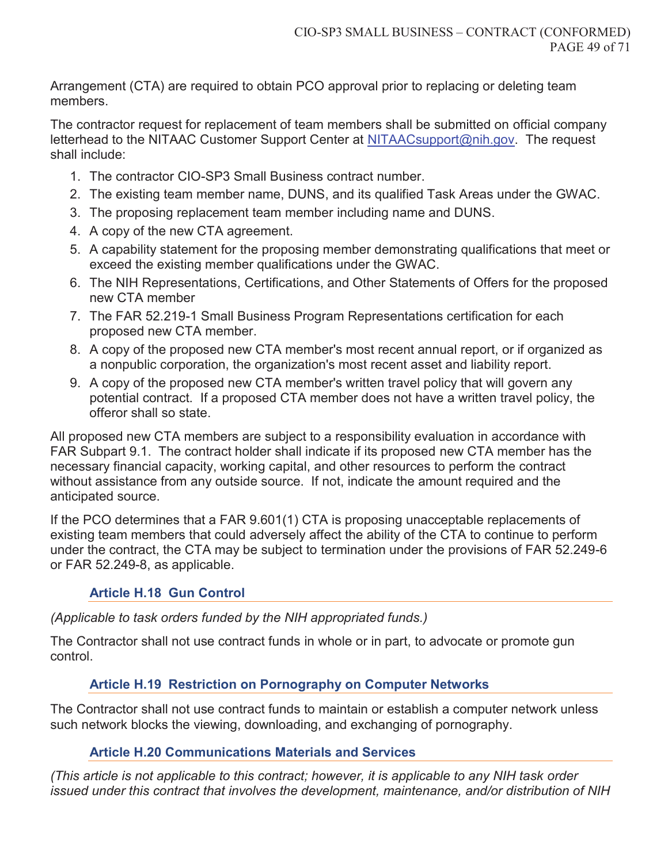Arrangement (CTA) are required to obtain PCO approval prior to replacing or deleting team members.

The contractor request for replacement of team members shall be submitted on official company letterhead to the NITAAC Customer Support Center at NITAACsupport@nih.gov. The request shall include:

- 1. The contractor CIO-SP3 Small Business contract number.
- 2. The existing team member name, DUNS, and its qualified Task Areas under the GWAC.
- 3. The proposing replacement team member including name and DUNS.
- 4. A copy of the new CTA agreement.
- 5. A capability statement for the proposing member demonstrating qualifications that meet or exceed the existing member qualifications under the GWAC.
- 6. The NIH Representations, Certifications, and Other Statements of Offers for the proposed new CTA member
- 7. The FAR 52.219-1 Small Business Program Representations certification for each proposed new CTA member.
- 8. А copy of the proposed new СТА member's most recent annual report, or if organized as а nonpublic corporation, the organization's most recent asset and liability report.
- 9. А copy of the proposed new СТА member's written travel policy that will govern any potential contract. If a proposed СТА member does not have а written travel policy, the offeror shall so state.

All proposed new СТА members are subject to а responsibility evaluation in accordance with FAR Subpart 9.1. The contract holder shall indicate if its proposed new СТА member has the necessary financial capacity, working capital, and other resources to perform the contract without assistance from any outside source. If not, indicate the amount required and the anticipated source.

If the PCO determines that a FAR 9.601(1) CTA is proposing unacceptable replacements of existing team members that could adversely affect the ability of the CTA to continue to perform under the contract, the CTA may be subject to termination under the provisions of FAR 52.249-6 or FAR 52.249-8, as applicable.

## **Article H.18 Gun Control**

## *(Applicable to task orders funded by the NIH appropriated funds.)*

The Contractor shall not use contract funds in whole or in part, to advocate or promote gun control.

## **Article H.19 Restriction on Pornography on Computer Networks**

The Contractor shall not use contract funds to maintain or establish a computer network unless such network blocks the viewing, downloading, and exchanging of pornography.

## **Article H.20 Communications Materials and Services**

*(This article is not applicable to this contract; however, it is applicable to any NIH task order issued under this contract that involves the development, maintenance, and/or distribution of NIH*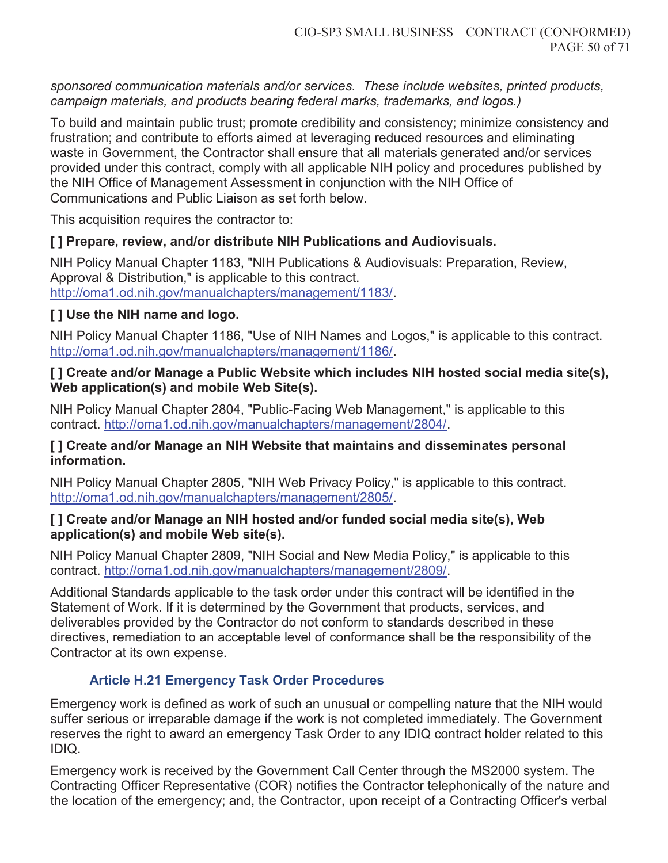*sponsored communication materials and/or services. These include websites, printed products, campaign materials, and products bearing federal marks, trademarks, and logos.)*

To build and maintain public trust; promote credibility and consistency; minimize consistency and frustration; and contribute to efforts aimed at leveraging reduced resources and eliminating waste in Government, the Contractor shall ensure that all materials generated and/or services provided under this contract, comply with all applicable NIH policy and procedures published by the NIH Office of Management Assessment in conjunction with the NIH Office of Communications and Public Liaison as set forth below.

This acquisition requires the contractor to:

## **[ ] Prepare, review, and/or distribute NIH Publications and Audiovisuals.**

NIH Policy Manual Chapter 1183, "NIH Publications & Audiovisuals: Preparation, Review, Approval & Distribution," is applicable to this contract. http://oma1.od.nih.gov/manualchapters/management/1183/.

## **[ ] Use the NIH name and logo.**

NIH Policy Manual Chapter 1186, "Use of NIH Names and Logos," is applicable to this contract. http://oma1.od.nih.gov/manualchapters/management/1186/.

### **[ ] Create and/or Manage a Public Website which includes NIH hosted social media site(s), Web application(s) and mobile Web Site(s).**

NIH Policy Manual Chapter 2804, "Public-Facing Web Management," is applicable to this contract. http://oma1.od.nih.gov/manualchapters/management/2804/.

### **[ ] Create and/or Manage an NIH Website that maintains and disseminates personal information.**

NIH Policy Manual Chapter 2805, "NIH Web Privacy Policy," is applicable to this contract. http://oma1.od.nih.gov/manualchapters/management/2805/.

### **[ ] Create and/or Manage an NIH hosted and/or funded social media site(s), Web application(s) and mobile Web site(s).**

NIH Policy Manual Chapter 2809, "NIH Social and New Media Policy," is applicable to this contract. http://oma1.od.nih.gov/manualchapters/management/2809/.

Additional Standards applicable to the task order under this contract will be identified in the Statement of Work. If it is determined by the Government that products, services, and deliverables provided by the Contractor do not conform to standards described in these directives, remediation to an acceptable level of conformance shall be the responsibility of the Contractor at its own expense.

## **Article H.21 Emergency Task Order Procedures**

Emergency work is defined as work of such an unusual or compelling nature that the NIH would suffer serious or irreparable damage if the work is not completed immediately. The Government reserves the right to award an emergency Task Order to any IDIQ contract holder related to this IDIQ.

Emergency work is received by the Government Call Center through the MS2000 system. The Contracting Officer Representative (COR) notifies the Contractor telephonically of the nature and the location of the emergency; and, the Contractor, upon receipt of a Contracting Officer's verbal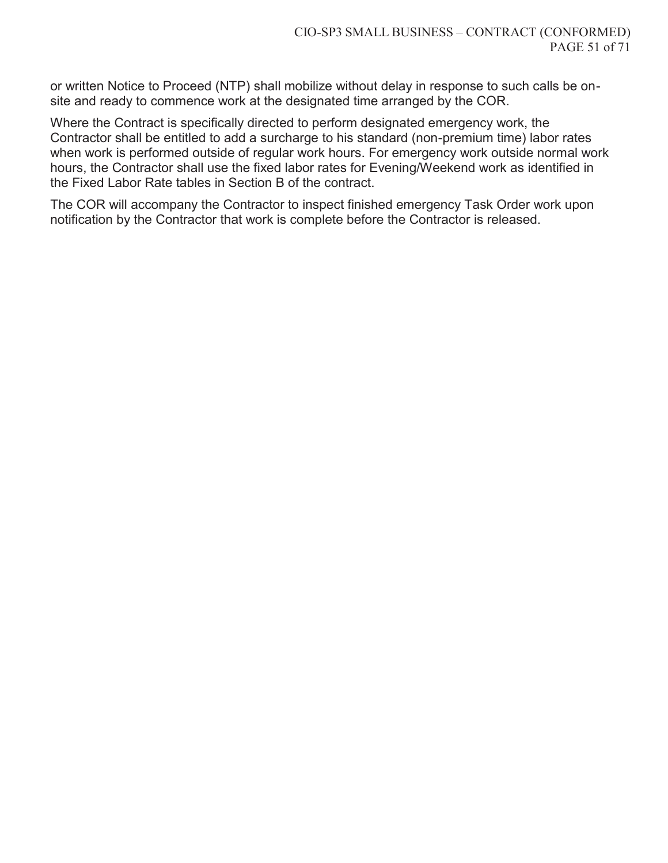or written Notice to Proceed (NTP) shall mobilize without delay in response to such calls be onsite and ready to commence work at the designated time arranged by the COR.

Where the Contract is specifically directed to perform designated emergency work, the Contractor shall be entitled to add a surcharge to his standard (non-premium time) labor rates when work is performed outside of regular work hours. For emergency work outside normal work hours, the Contractor shall use the fixed labor rates for Evening/Weekend work as identified in the Fixed Labor Rate tables in Section B of the contract.

The COR will accompany the Contractor to inspect finished emergency Task Order work upon notification by the Contractor that work is complete before the Contractor is released.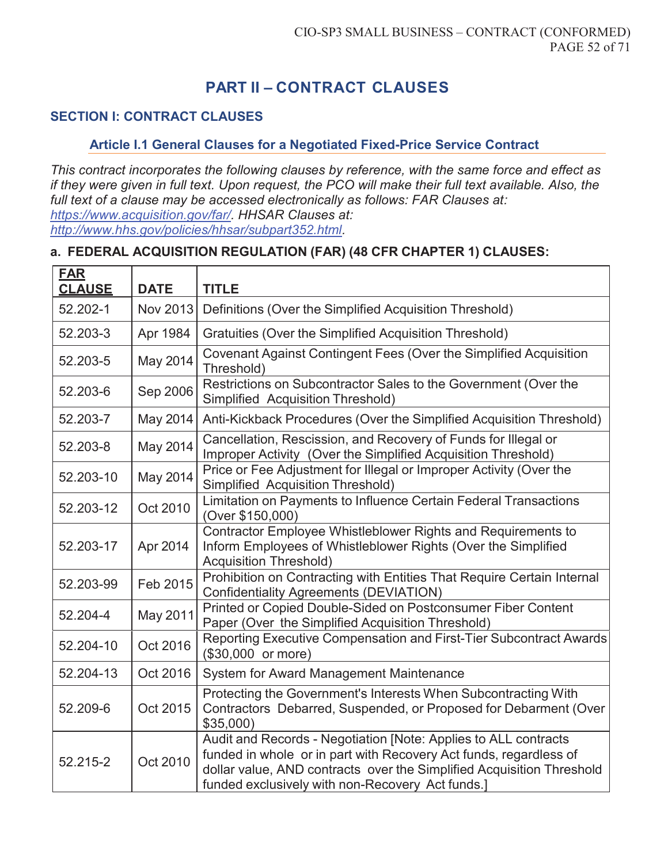# **PART II – CONTRACT CLAUSES**

## **SECTION I: CONTRACT CLAUSES**

#### **Article I.1 General Clauses for a Negotiated Fixed-Price Service Contract**

*This contract incorporates the following clauses by reference, with the same force and effect as if they were given in full text. Upon request, the PCO will make their full text available. Also, the full text of a clause may be accessed electronically as follows: FAR Clauses at: https://www.acquisition.gov/far/. HHSAR Clauses at: http://www.hhs.gov/policies/hhsar/subpart352.html.* 

### **a. FEDERAL ACQUISITION REGULATION (FAR) (48 CFR CHAPTER 1) CLAUSES:**

| <b>FAR</b><br><b>CLAUSE</b> | <b>DATE</b> | <b>TITLE</b>                                                                                                                                                                                                                                                      |
|-----------------------------|-------------|-------------------------------------------------------------------------------------------------------------------------------------------------------------------------------------------------------------------------------------------------------------------|
| 52.202-1                    | Nov 2013    | Definitions (Over the Simplified Acquisition Threshold)                                                                                                                                                                                                           |
| 52.203-3                    | Apr 1984    | Gratuities (Over the Simplified Acquisition Threshold)                                                                                                                                                                                                            |
| 52.203-5                    | May 2014    | Covenant Against Contingent Fees (Over the Simplified Acquisition<br>Threshold)                                                                                                                                                                                   |
| 52.203-6                    | Sep 2006    | Restrictions on Subcontractor Sales to the Government (Over the<br><b>Simplified Acquisition Threshold)</b>                                                                                                                                                       |
| 52.203-7                    | May 2014    | Anti-Kickback Procedures (Over the Simplified Acquisition Threshold)                                                                                                                                                                                              |
| 52.203-8                    | May 2014    | Cancellation, Rescission, and Recovery of Funds for Illegal or<br>Improper Activity (Over the Simplified Acquisition Threshold)                                                                                                                                   |
| 52.203-10                   | May 2014    | Price or Fee Adjustment for Illegal or Improper Activity (Over the<br><b>Simplified Acquisition Threshold)</b>                                                                                                                                                    |
| 52.203-12                   | Oct 2010    | Limitation on Payments to Influence Certain Federal Transactions<br>(Over \$150,000)                                                                                                                                                                              |
| 52.203-17                   | Apr 2014    | Contractor Employee Whistleblower Rights and Requirements to<br>Inform Employees of Whistleblower Rights (Over the Simplified<br><b>Acquisition Threshold)</b>                                                                                                    |
| 52.203-99                   | Feb 2015    | Prohibition on Contracting with Entities That Require Certain Internal<br><b>Confidentiality Agreements (DEVIATION)</b>                                                                                                                                           |
| 52.204-4                    | May 2011    | Printed or Copied Double-Sided on Postconsumer Fiber Content<br>Paper (Over the Simplified Acquisition Threshold)                                                                                                                                                 |
| 52.204-10                   | Oct 2016    | Reporting Executive Compensation and First-Tier Subcontract Awards<br>(\$30,000 or more)                                                                                                                                                                          |
| 52.204-13                   | Oct 2016    | System for Award Management Maintenance                                                                                                                                                                                                                           |
| 52.209-6                    | Oct 2015    | Protecting the Government's Interests When Subcontracting With<br>Contractors Debarred, Suspended, or Proposed for Debarment (Over<br>$$35,000$ )                                                                                                                 |
| 52.215-2                    | Oct 2010    | Audit and Records - Negotiation [Note: Applies to ALL contracts<br>funded in whole or in part with Recovery Act funds, regardless of<br>dollar value, AND contracts over the Simplified Acquisition Threshold<br>funded exclusively with non-Recovery Act funds.] |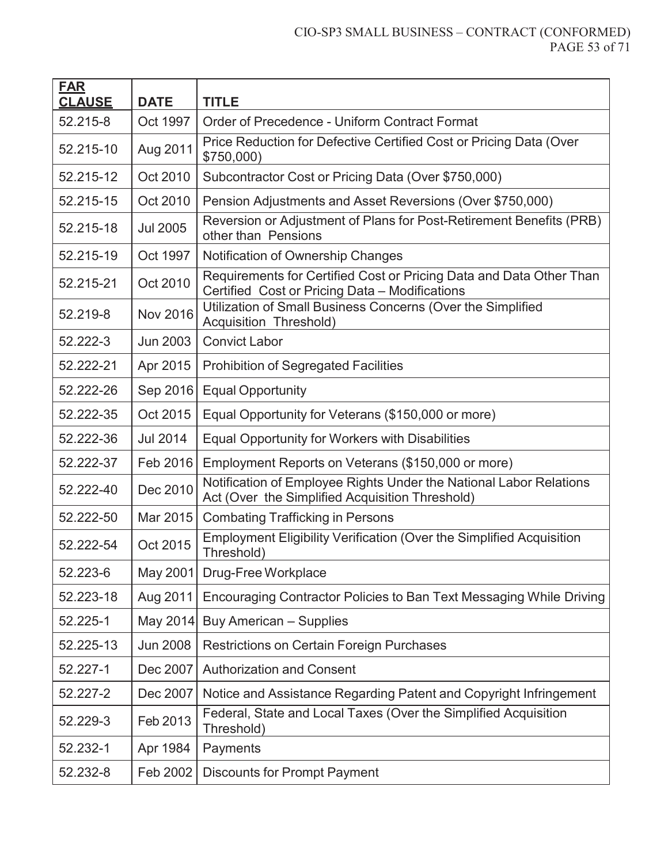#### CIO-SP3 SMALL BUSINESS – CONTRACT (CONFORMED) PAGE 53 of 71

| <b>FAR</b><br><b>CLAUSE</b> | <b>DATE</b>     | <b>TITLE</b>                                                                                                          |
|-----------------------------|-----------------|-----------------------------------------------------------------------------------------------------------------------|
| 52.215-8                    | Oct 1997        | Order of Precedence - Uniform Contract Format                                                                         |
| 52.215-10                   | Aug 2011        | Price Reduction for Defective Certified Cost or Pricing Data (Over<br>\$750,000                                       |
| 52.215-12                   | Oct 2010        | Subcontractor Cost or Pricing Data (Over \$750,000)                                                                   |
| 52.215-15                   | Oct 2010        | Pension Adjustments and Asset Reversions (Over \$750,000)                                                             |
| 52.215-18                   | <b>Jul 2005</b> | Reversion or Adjustment of Plans for Post-Retirement Benefits (PRB)<br>other than Pensions                            |
| 52.215-19                   | Oct 1997        | Notification of Ownership Changes                                                                                     |
| 52.215-21                   | Oct 2010        | Requirements for Certified Cost or Pricing Data and Data Other Than<br>Certified Cost or Pricing Data - Modifications |
| 52.219-8                    | <b>Nov 2016</b> | Utilization of Small Business Concerns (Over the Simplified<br><b>Acquisition Threshold)</b>                          |
| 52.222-3                    | Jun 2003        | <b>Convict Labor</b>                                                                                                  |
| 52.222-21                   | Apr 2015        | <b>Prohibition of Segregated Facilities</b>                                                                           |
| 52.222-26                   | Sep 2016        | <b>Equal Opportunity</b>                                                                                              |
| 52.222-35                   | Oct 2015        | Equal Opportunity for Veterans (\$150,000 or more)                                                                    |
| 52.222-36                   | <b>Jul 2014</b> | Equal Opportunity for Workers with Disabilities                                                                       |
| 52.222-37                   | Feb 2016        | Employment Reports on Veterans (\$150,000 or more)                                                                    |
| 52.222-40                   | Dec 2010        | Notification of Employee Rights Under the National Labor Relations<br>Act (Over the Simplified Acquisition Threshold) |
| 52.222-50                   | Mar 2015        | <b>Combating Trafficking in Persons</b>                                                                               |
| 52.222-54                   | Oct 2015        | <b>Employment Eligibility Verification (Over the Simplified Acquisition</b><br>Threshold)                             |
| 52.223-6                    | May 2001        | Drug-Free Workplace                                                                                                   |
| 52.223-18                   | Aug 2011        | Encouraging Contractor Policies to Ban Text Messaging While Driving                                                   |
| 52.225-1                    | May 2014        | <b>Buy American - Supplies</b>                                                                                        |
| 52.225-13                   | <b>Jun 2008</b> | <b>Restrictions on Certain Foreign Purchases</b>                                                                      |
| 52.227-1                    | Dec 2007        | <b>Authorization and Consent</b>                                                                                      |
| 52.227-2                    | Dec 2007        | Notice and Assistance Regarding Patent and Copyright Infringement                                                     |
| 52.229-3                    | Feb 2013        | Federal, State and Local Taxes (Over the Simplified Acquisition<br>Threshold)                                         |
| 52.232-1                    | Apr 1984        | Payments                                                                                                              |
| 52.232-8                    | Feb 2002        | <b>Discounts for Prompt Payment</b>                                                                                   |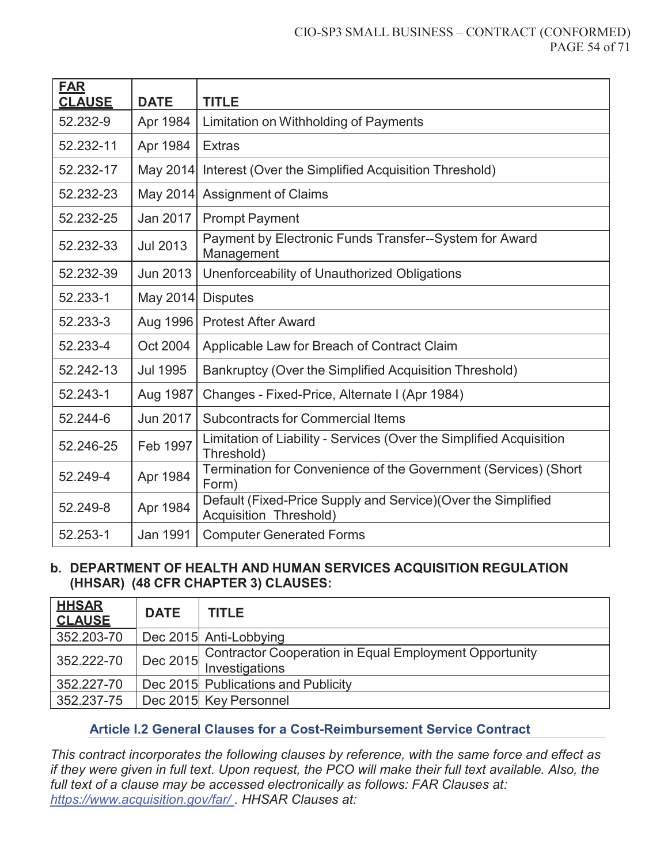#### CIO-SP3 SMALL BUSINESS – CONTRACT (CONFORMED) PAGE 54 of 71

| <b>FAR</b><br><b>CLAUSE</b> | <b>DATE</b>     | <b>TITLE</b>                                                                                   |
|-----------------------------|-----------------|------------------------------------------------------------------------------------------------|
| 52.232-9                    | Apr 1984        | Limitation on Withholding of Payments                                                          |
| 52.232-11                   | Apr 1984        | <b>Extras</b>                                                                                  |
| 52.232-17                   | May 2014        | Interest (Over the Simplified Acquisition Threshold)                                           |
| 52.232-23                   | May 2014        | <b>Assignment of Claims</b>                                                                    |
| 52.232-25                   | Jan 2017        | <b>Prompt Payment</b>                                                                          |
| 52.232-33                   | <b>Jul 2013</b> | Payment by Electronic Funds Transfer--System for Award<br>Management                           |
| 52.232-39                   | Jun 2013        | Unenforceability of Unauthorized Obligations                                                   |
| 52.233-1                    | May 2014        | <b>Disputes</b>                                                                                |
| 52.233-3                    | Aug 1996        | <b>Protest After Award</b>                                                                     |
| 52.233-4                    | Oct 2004        | Applicable Law for Breach of Contract Claim                                                    |
| 52.242-13                   | <b>Jul 1995</b> | Bankruptcy (Over the Simplified Acquisition Threshold)                                         |
| 52.243-1                    | Aug 1987        | Changes - Fixed-Price, Alternate I (Apr 1984)                                                  |
| 52.244-6                    | Jun 2017        | <b>Subcontracts for Commercial Items</b>                                                       |
| 52.246-25                   | Feb 1997        | Limitation of Liability - Services (Over the Simplified Acquisition<br>Threshold)              |
| 52.249-4                    | Apr 1984        | Termination for Convenience of the Government (Services) (Short<br>Form)                       |
| 52.249-8                    | Apr 1984        | Default (Fixed-Price Supply and Service) (Over the Simplified<br><b>Acquisition Threshold)</b> |
| 52.253-1                    | <b>Jan 1991</b> | <b>Computer Generated Forms</b>                                                                |

#### **b. DEPARTMENT OF HEALTH AND HUMAN SERVICES ACQUISITION REGULATION (HHSAR) (48 CFR CHAPTER 3) CLAUSES:**

| <b>HHSAR</b><br><b>CLAUSE</b> | <b>DATE</b> | <b>TITLE</b>                                                                      |
|-------------------------------|-------------|-----------------------------------------------------------------------------------|
| 352.203-70                    |             | Dec 2015 Anti-Lobbying                                                            |
| 352.222-70                    |             | Dec 2015 Contractor Cooperation in Equal Employment Opportunity<br>Investigations |
| 352.227-70                    |             | Dec 2015 Publications and Publicity                                               |
| 352.237-75                    |             | Dec 2015 Key Personnel                                                            |

### **Article I.2 General Clauses for a Cost-Reimbursement Service Contract**

*This contract incorporates the following clauses by reference, with the same force and effect as if they were given in full text. Upon request, the PCO will make their full text available. Also, the full text of a clause may be accessed electronically as follows: FAR Clauses at: https://www.acquisition.gov/far/ . HHSAR Clauses at:*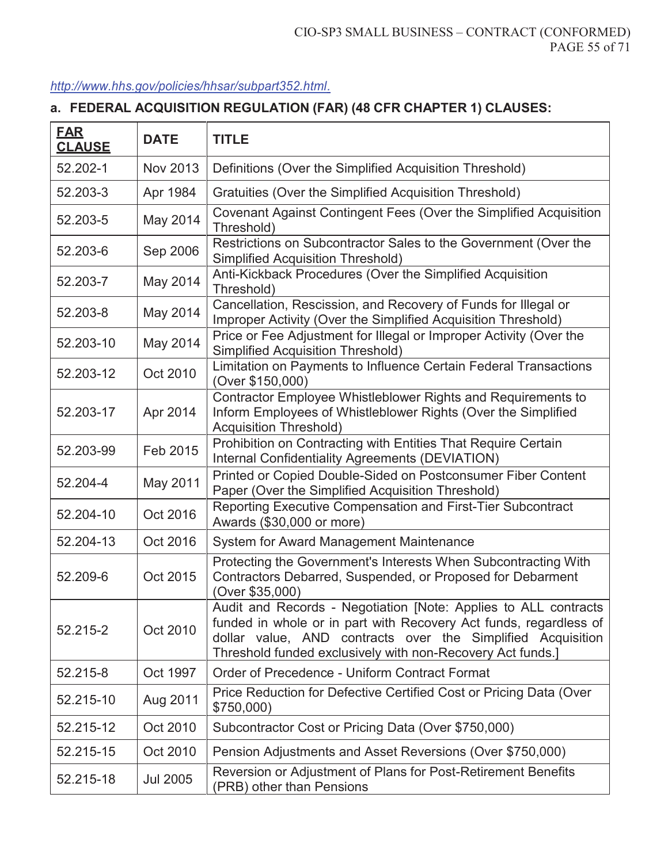### *http://www.hhs.gov/policies/hhsar/subpart352.html.*

## **a. FEDERAL ACQUISITION REGULATION (FAR) (48 CFR CHAPTER 1) CLAUSES:**

| <b>FAR</b><br><b>CLAUSE</b> | <b>DATE</b>     | <b>TITLE</b>                                                                                                                                                                                                                                                      |
|-----------------------------|-----------------|-------------------------------------------------------------------------------------------------------------------------------------------------------------------------------------------------------------------------------------------------------------------|
| 52.202-1                    | Nov 2013        | Definitions (Over the Simplified Acquisition Threshold)                                                                                                                                                                                                           |
| 52.203-3                    | Apr 1984        | Gratuities (Over the Simplified Acquisition Threshold)                                                                                                                                                                                                            |
| 52.203-5                    | May 2014        | Covenant Against Contingent Fees (Over the Simplified Acquisition<br>Threshold)                                                                                                                                                                                   |
| 52.203-6                    | Sep 2006        | Restrictions on Subcontractor Sales to the Government (Over the<br><b>Simplified Acquisition Threshold)</b>                                                                                                                                                       |
| 52.203-7                    | May 2014        | Anti-Kickback Procedures (Over the Simplified Acquisition<br>Threshold)                                                                                                                                                                                           |
| 52.203-8                    | May 2014        | Cancellation, Rescission, and Recovery of Funds for Illegal or<br>Improper Activity (Over the Simplified Acquisition Threshold)                                                                                                                                   |
| 52.203-10                   | May 2014        | Price or Fee Adjustment for Illegal or Improper Activity (Over the<br><b>Simplified Acquisition Threshold)</b>                                                                                                                                                    |
| 52.203-12                   | Oct 2010        | Limitation on Payments to Influence Certain Federal Transactions<br>(Over \$150,000)                                                                                                                                                                              |
| 52.203-17                   | Apr 2014        | Contractor Employee Whistleblower Rights and Requirements to<br>Inform Employees of Whistleblower Rights (Over the Simplified<br><b>Acquisition Threshold)</b>                                                                                                    |
| 52.203-99                   | Feb 2015        | Prohibition on Contracting with Entities That Require Certain<br>Internal Confidentiality Agreements (DEVIATION)                                                                                                                                                  |
| 52.204-4                    | May 2011        | Printed or Copied Double-Sided on Postconsumer Fiber Content<br>Paper (Over the Simplified Acquisition Threshold)                                                                                                                                                 |
| 52.204-10                   | Oct 2016        | Reporting Executive Compensation and First-Tier Subcontract<br>Awards (\$30,000 or more)                                                                                                                                                                          |
| 52.204-13                   | Oct 2016        | System for Award Management Maintenance                                                                                                                                                                                                                           |
| 52.209-6                    | Oct 2015        | Protecting the Government's Interests When Subcontracting With<br>Contractors Debarred, Suspended, or Proposed for Debarment<br>(Over \$35,000)                                                                                                                   |
| 52.215-2                    | Oct 2010        | Audit and Records - Negotiation [Note: Applies to ALL contracts<br>funded in whole or in part with Recovery Act funds, regardless of<br>dollar value, AND contracts over the Simplified Acquisition<br>Threshold funded exclusively with non-Recovery Act funds.] |
| 52.215-8                    | Oct 1997        | Order of Precedence - Uniform Contract Format                                                                                                                                                                                                                     |
| 52.215-10                   | Aug 2011        | Price Reduction for Defective Certified Cost or Pricing Data (Over<br>\$750,000)                                                                                                                                                                                  |
| 52.215-12                   | Oct 2010        | Subcontractor Cost or Pricing Data (Over \$750,000)                                                                                                                                                                                                               |
| 52.215-15                   | Oct 2010        | Pension Adjustments and Asset Reversions (Over \$750,000)                                                                                                                                                                                                         |
| 52.215-18                   | <b>Jul 2005</b> | Reversion or Adjustment of Plans for Post-Retirement Benefits<br>(PRB) other than Pensions                                                                                                                                                                        |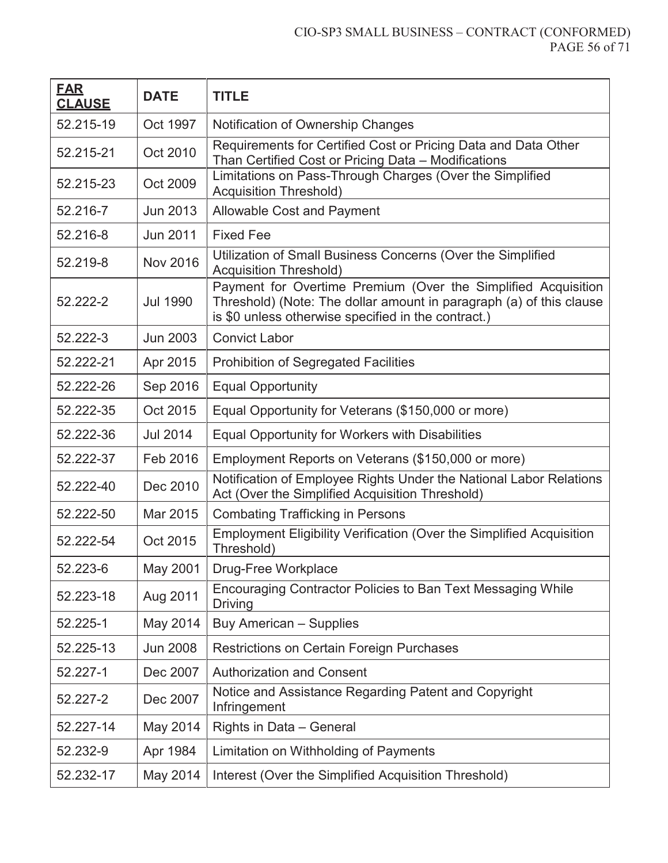#### CIO-SP3 SMALL BUSINESS – CONTRACT (CONFORMED) PAGE 56 of 71

| <b>FAR</b><br><b>CLAUSE</b> | <b>DATE</b>     | <b>TITLE</b>                                                                                                                                                                                |
|-----------------------------|-----------------|---------------------------------------------------------------------------------------------------------------------------------------------------------------------------------------------|
| 52.215-19                   | Oct 1997        | Notification of Ownership Changes                                                                                                                                                           |
| 52.215-21                   | Oct 2010        | Requirements for Certified Cost or Pricing Data and Data Other<br>Than Certified Cost or Pricing Data - Modifications                                                                       |
| 52.215-23                   | Oct 2009        | Limitations on Pass-Through Charges (Over the Simplified<br><b>Acquisition Threshold)</b>                                                                                                   |
| 52.216-7                    | <b>Jun 2013</b> | <b>Allowable Cost and Payment</b>                                                                                                                                                           |
| 52.216-8                    | <b>Jun 2011</b> | <b>Fixed Fee</b>                                                                                                                                                                            |
| 52.219-8                    | <b>Nov 2016</b> | Utilization of Small Business Concerns (Over the Simplified<br><b>Acquisition Threshold)</b>                                                                                                |
| 52.222-2                    | <b>Jul 1990</b> | Payment for Overtime Premium (Over the Simplified Acquisition<br>Threshold) (Note: The dollar amount in paragraph (a) of this clause<br>is \$0 unless otherwise specified in the contract.) |
| 52.222-3                    | <b>Jun 2003</b> | <b>Convict Labor</b>                                                                                                                                                                        |
| 52.222-21                   | Apr 2015        | <b>Prohibition of Segregated Facilities</b>                                                                                                                                                 |
| 52.222-26                   | Sep 2016        | <b>Equal Opportunity</b>                                                                                                                                                                    |
| 52.222-35                   | Oct 2015        | Equal Opportunity for Veterans (\$150,000 or more)                                                                                                                                          |
| 52.222-36                   | <b>Jul 2014</b> | Equal Opportunity for Workers with Disabilities                                                                                                                                             |
| 52.222-37                   | Feb 2016        | Employment Reports on Veterans (\$150,000 or more)                                                                                                                                          |
| 52.222-40                   | Dec 2010        | Notification of Employee Rights Under the National Labor Relations<br>Act (Over the Simplified Acquisition Threshold)                                                                       |
| 52.222-50                   | Mar 2015        | <b>Combating Trafficking in Persons</b>                                                                                                                                                     |
| 52.222-54                   | Oct 2015        | Employment Eligibility Verification (Over the Simplified Acquisition<br>Threshold)                                                                                                          |
| 52.223-6                    | May 2001        | Drug-Free Workplace                                                                                                                                                                         |
| 52.223-18                   | Aug 2011        | Encouraging Contractor Policies to Ban Text Messaging While<br><b>Driving</b>                                                                                                               |
| 52.225-1                    | May 2014        | <b>Buy American - Supplies</b>                                                                                                                                                              |
| 52.225-13                   | <b>Jun 2008</b> | <b>Restrictions on Certain Foreign Purchases</b>                                                                                                                                            |
| 52.227-1                    | Dec 2007        | <b>Authorization and Consent</b>                                                                                                                                                            |
| 52.227-2                    | Dec 2007        | Notice and Assistance Regarding Patent and Copyright<br>Infringement                                                                                                                        |
| 52.227-14                   | May 2014        | Rights in Data - General                                                                                                                                                                    |
| 52.232-9                    | Apr 1984        | Limitation on Withholding of Payments                                                                                                                                                       |
| 52.232-17                   | May 2014        | Interest (Over the Simplified Acquisition Threshold)                                                                                                                                        |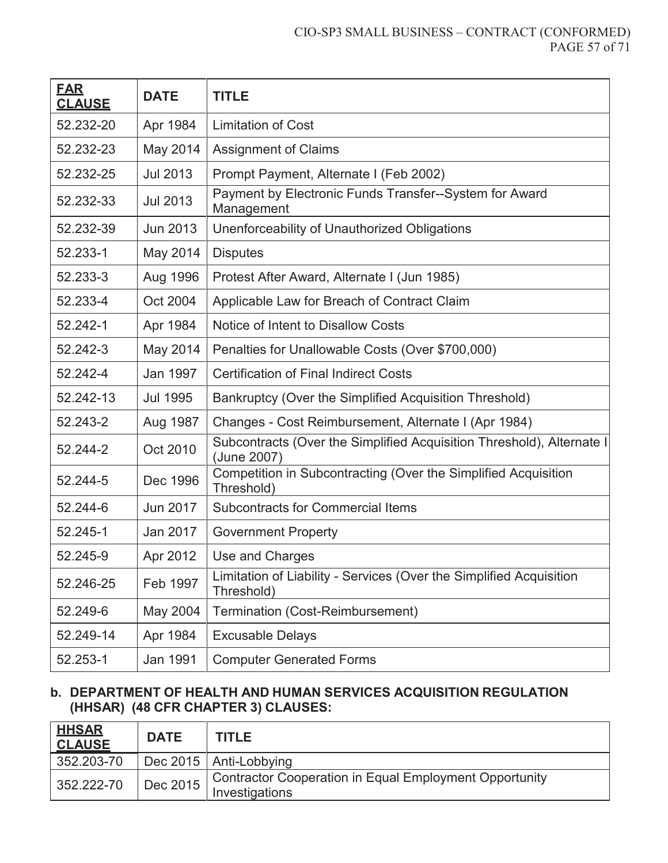#### CIO-SP3 SMALL BUSINESS – CONTRACT (CONFORMED) PAGE 57 of 71

| <b>FAR</b><br><b>CLAUSE</b> | <b>DATE</b>     | <b>TITLE</b>                                                                         |
|-----------------------------|-----------------|--------------------------------------------------------------------------------------|
| 52.232-20                   | Apr 1984        | <b>Limitation of Cost</b>                                                            |
| 52.232-23                   | May 2014        | <b>Assignment of Claims</b>                                                          |
| 52.232-25                   | <b>Jul 2013</b> | Prompt Payment, Alternate I (Feb 2002)                                               |
| 52.232-33                   | <b>Jul 2013</b> | Payment by Electronic Funds Transfer--System for Award<br>Management                 |
| 52.232-39                   | <b>Jun 2013</b> | Unenforceability of Unauthorized Obligations                                         |
| 52.233-1                    | May 2014        | <b>Disputes</b>                                                                      |
| 52.233-3                    | Aug 1996        | Protest After Award, Alternate I (Jun 1985)                                          |
| 52.233-4                    | Oct 2004        | Applicable Law for Breach of Contract Claim                                          |
| 52.242-1                    | Apr 1984        | Notice of Intent to Disallow Costs                                                   |
| 52.242-3                    | May 2014        | Penalties for Unallowable Costs (Over \$700,000)                                     |
| 52.242-4                    | Jan 1997        | <b>Certification of Final Indirect Costs</b>                                         |
| 52.242-13                   | <b>Jul 1995</b> | Bankruptcy (Over the Simplified Acquisition Threshold)                               |
| 52.243-2                    | Aug 1987        | Changes - Cost Reimbursement, Alternate I (Apr 1984)                                 |
| 52.244-2                    | Oct 2010        | Subcontracts (Over the Simplified Acquisition Threshold), Alternate I<br>(June 2007) |
| 52.244-5                    | Dec 1996        | Competition in Subcontracting (Over the Simplified Acquisition<br>Threshold)         |
| 52.244-6                    | <b>Jun 2017</b> | <b>Subcontracts for Commercial Items</b>                                             |
| 52.245-1                    | Jan 2017        | <b>Government Property</b>                                                           |
| 52.245-9                    | Apr 2012        | Use and Charges                                                                      |
| 52.246-25                   | Feb 1997        | Limitation of Liability - Services (Over the Simplified Acquisition<br>Threshold)    |
| 52.249-6                    | May 2004        | Termination (Cost-Reimbursement)                                                     |
| 52.249-14                   | Apr 1984        | <b>Excusable Delays</b>                                                              |
| 52.253-1                    | Jan 1991        | <b>Computer Generated Forms</b>                                                      |

#### **b. DEPARTMENT OF HEALTH AND HUMAN SERVICES ACQUISITION REGULATION (HHSAR) (48 CFR CHAPTER 3) CLAUSES:**

| <u>HHSAR</u><br><b>CLAUSE</b> | <b>DATE</b> | <b>TITLE</b>                                                             |
|-------------------------------|-------------|--------------------------------------------------------------------------|
| 352.203-70                    |             | Dec 2015   Anti-Lobbying                                                 |
| $352.222 - 70$                | Dec 2015    | Contractor Cooperation in Equal Employment Opportunity<br>Investigations |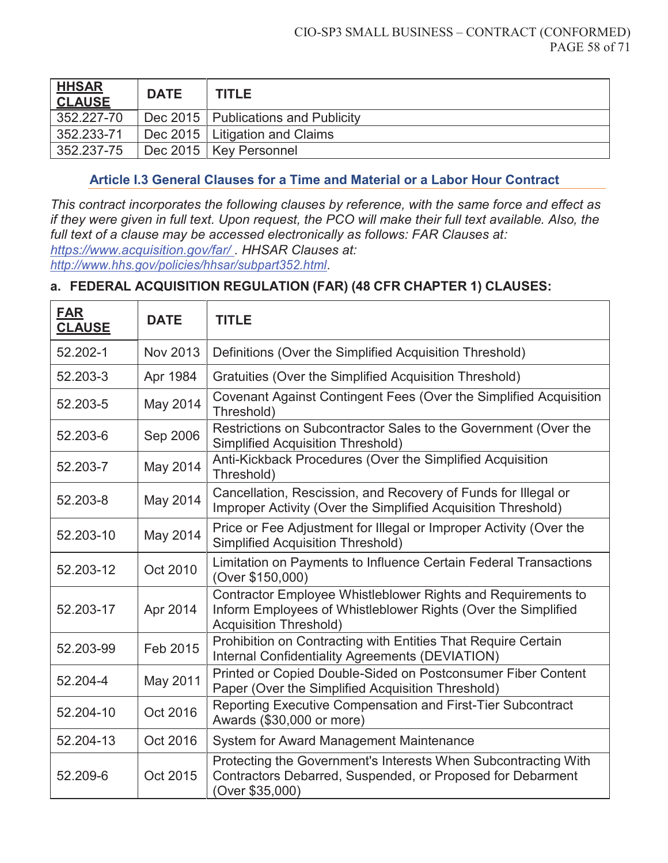| <b>HHSAR</b><br><b>CLAUSE</b> | <b>DATE</b> | <b>TITLE</b>                          |
|-------------------------------|-------------|---------------------------------------|
| $352.227 - 70$                |             | Dec 2015   Publications and Publicity |
| 352.233-71                    |             | Dec 2015   Litigation and Claims      |
| $352.237 - 75$                |             | Dec 2015   Key Personnel              |

#### **Article I.3 General Clauses for a Time and Material or a Labor Hour Contract**

*This contract incorporates the following clauses by reference, with the same force and effect as if they were given in full text. Upon request, the PCO will make their full text available. Also, the full text of a clause may be accessed electronically as follows: FAR Clauses at: https://www.acquisition.gov/far/ . HHSAR Clauses at:* 

*http://www.hhs.gov/policies/hhsar/subpart352.html.*

#### **a. FEDERAL ACQUISITION REGULATION (FAR) (48 CFR CHAPTER 1) CLAUSES:**

| <b>FAR</b><br><b>CLAUSE</b> | <b>DATE</b> | <b>TITLE</b>                                                                                                                                                   |
|-----------------------------|-------------|----------------------------------------------------------------------------------------------------------------------------------------------------------------|
| 52.202-1                    | Nov 2013    | Definitions (Over the Simplified Acquisition Threshold)                                                                                                        |
| 52.203-3                    | Apr 1984    | Gratuities (Over the Simplified Acquisition Threshold)                                                                                                         |
| 52.203-5                    | May 2014    | Covenant Against Contingent Fees (Over the Simplified Acquisition<br>Threshold)                                                                                |
| 52.203-6                    | Sep 2006    | Restrictions on Subcontractor Sales to the Government (Over the<br><b>Simplified Acquisition Threshold)</b>                                                    |
| 52.203-7                    | May 2014    | Anti-Kickback Procedures (Over the Simplified Acquisition<br>Threshold)                                                                                        |
| 52.203-8                    | May 2014    | Cancellation, Rescission, and Recovery of Funds for Illegal or<br>Improper Activity (Over the Simplified Acquisition Threshold)                                |
| 52.203-10                   | May 2014    | Price or Fee Adjustment for Illegal or Improper Activity (Over the<br><b>Simplified Acquisition Threshold)</b>                                                 |
| 52.203-12                   | Oct 2010    | Limitation on Payments to Influence Certain Federal Transactions<br>(Over \$150,000)                                                                           |
| 52.203-17                   | Apr 2014    | Contractor Employee Whistleblower Rights and Requirements to<br>Inform Employees of Whistleblower Rights (Over the Simplified<br><b>Acquisition Threshold)</b> |
| 52.203-99                   | Feb 2015    | Prohibition on Contracting with Entities That Require Certain<br>Internal Confidentiality Agreements (DEVIATION)                                               |
| 52.204-4                    | May 2011    | Printed or Copied Double-Sided on Postconsumer Fiber Content<br>Paper (Over the Simplified Acquisition Threshold)                                              |
| 52.204-10                   | Oct 2016    | Reporting Executive Compensation and First-Tier Subcontract<br>Awards (\$30,000 or more)                                                                       |
| 52.204-13                   | Oct 2016    | System for Award Management Maintenance                                                                                                                        |
| 52.209-6                    | Oct 2015    | Protecting the Government's Interests When Subcontracting With<br>Contractors Debarred, Suspended, or Proposed for Debarment<br>(Over \$35,000)                |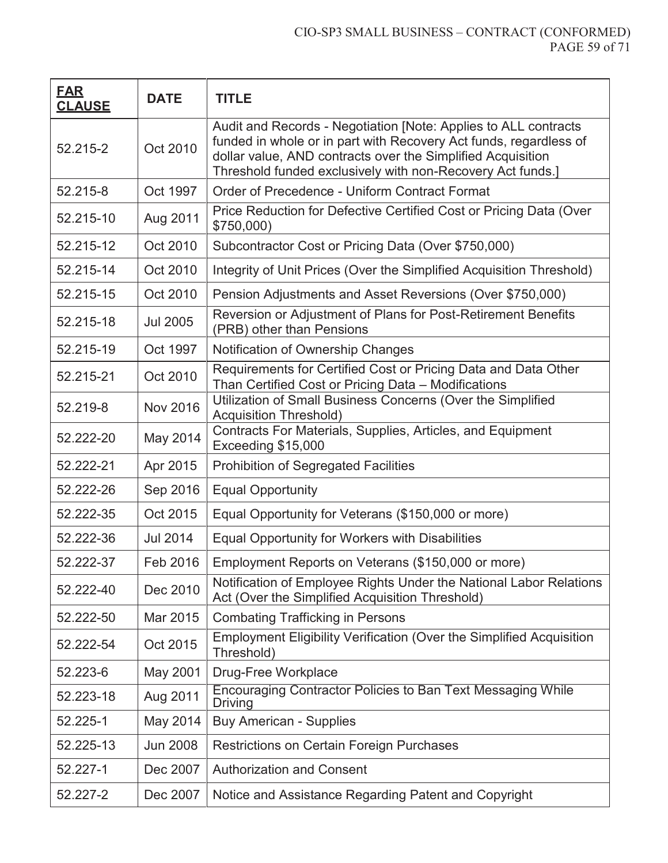| <b>FAR</b><br><b>CLAUSE</b> | <b>DATE</b>     | <b>TITLE</b>                                                                                                                                                                                                                                                      |
|-----------------------------|-----------------|-------------------------------------------------------------------------------------------------------------------------------------------------------------------------------------------------------------------------------------------------------------------|
| 52.215-2                    | Oct 2010        | Audit and Records - Negotiation [Note: Applies to ALL contracts<br>funded in whole or in part with Recovery Act funds, regardless of<br>dollar value, AND contracts over the Simplified Acquisition<br>Threshold funded exclusively with non-Recovery Act funds.] |
| 52.215-8                    | Oct 1997        | Order of Precedence - Uniform Contract Format                                                                                                                                                                                                                     |
| 52.215-10                   | Aug 2011        | Price Reduction for Defective Certified Cost or Pricing Data (Over<br>\$750,000                                                                                                                                                                                   |
| 52.215-12                   | Oct 2010        | Subcontractor Cost or Pricing Data (Over \$750,000)                                                                                                                                                                                                               |
| 52.215-14                   | Oct 2010        | Integrity of Unit Prices (Over the Simplified Acquisition Threshold)                                                                                                                                                                                              |
| 52.215-15                   | Oct 2010        | Pension Adjustments and Asset Reversions (Over \$750,000)                                                                                                                                                                                                         |
| 52.215-18                   | <b>Jul 2005</b> | Reversion or Adjustment of Plans for Post-Retirement Benefits<br>(PRB) other than Pensions                                                                                                                                                                        |
| 52.215-19                   | Oct 1997        | Notification of Ownership Changes                                                                                                                                                                                                                                 |
| 52.215-21                   | Oct 2010        | Requirements for Certified Cost or Pricing Data and Data Other<br>Than Certified Cost or Pricing Data - Modifications                                                                                                                                             |
| 52.219-8                    | <b>Nov 2016</b> | Utilization of Small Business Concerns (Over the Simplified<br><b>Acquisition Threshold)</b>                                                                                                                                                                      |
| 52.222-20                   | May 2014        | Contracts For Materials, Supplies, Articles, and Equipment<br>Exceeding \$15,000                                                                                                                                                                                  |
| 52.222-21                   | Apr 2015        | <b>Prohibition of Segregated Facilities</b>                                                                                                                                                                                                                       |
| 52.222-26                   | Sep 2016        | <b>Equal Opportunity</b>                                                                                                                                                                                                                                          |
| 52.222-35                   | Oct 2015        | Equal Opportunity for Veterans (\$150,000 or more)                                                                                                                                                                                                                |
| 52.222-36                   | <b>Jul 2014</b> | Equal Opportunity for Workers with Disabilities                                                                                                                                                                                                                   |
| 52.222-37                   | Feb 2016        | Employment Reports on Veterans (\$150,000 or more)                                                                                                                                                                                                                |
| 52.222-40                   | Dec 2010        | Notification of Employee Rights Under the National Labor Relations<br>Act (Over the Simplified Acquisition Threshold)                                                                                                                                             |
| 52.222-50                   | Mar 2015        | <b>Combating Trafficking in Persons</b>                                                                                                                                                                                                                           |
| 52.222-54                   | Oct 2015        | <b>Employment Eligibility Verification (Over the Simplified Acquisition</b><br>Threshold)                                                                                                                                                                         |
| 52.223-6                    | May 2001        | Drug-Free Workplace                                                                                                                                                                                                                                               |
| 52.223-18                   | Aug 2011        | Encouraging Contractor Policies to Ban Text Messaging While<br>Driving                                                                                                                                                                                            |
| 52.225-1                    | May 2014        | <b>Buy American - Supplies</b>                                                                                                                                                                                                                                    |
| 52.225-13                   | <b>Jun 2008</b> | Restrictions on Certain Foreign Purchases                                                                                                                                                                                                                         |
| 52.227-1                    | Dec 2007        | <b>Authorization and Consent</b>                                                                                                                                                                                                                                  |
| 52.227-2                    | Dec 2007        | Notice and Assistance Regarding Patent and Copyright                                                                                                                                                                                                              |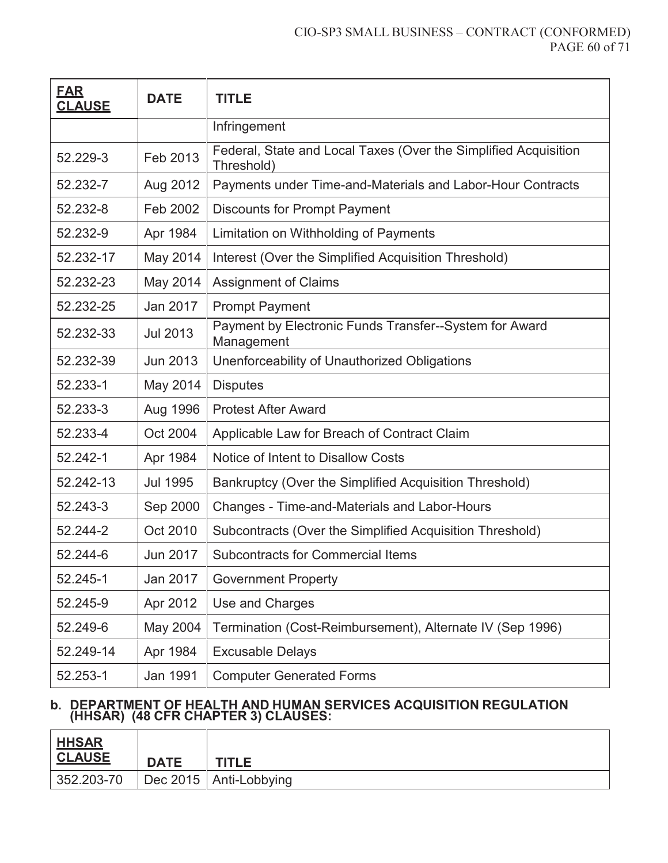#### CIO-SP3 SMALL BUSINESS – CONTRACT (CONFORMED) PAGE 60 of 71

| <b>FAR</b><br><b>CLAUSE</b> | <b>DATE</b>     | <b>TITLE</b>                                                                  |
|-----------------------------|-----------------|-------------------------------------------------------------------------------|
|                             |                 | Infringement                                                                  |
| 52.229-3                    | Feb 2013        | Federal, State and Local Taxes (Over the Simplified Acquisition<br>Threshold) |
| 52.232-7                    | Aug 2012        | Payments under Time-and-Materials and Labor-Hour Contracts                    |
| 52.232-8                    | Feb 2002        | <b>Discounts for Prompt Payment</b>                                           |
| 52.232-9                    | Apr 1984        | Limitation on Withholding of Payments                                         |
| 52.232-17                   | May 2014        | Interest (Over the Simplified Acquisition Threshold)                          |
| 52.232-23                   | May 2014        | <b>Assignment of Claims</b>                                                   |
| 52.232-25                   | Jan 2017        | <b>Prompt Payment</b>                                                         |
| 52.232-33                   | Jul 2013        | Payment by Electronic Funds Transfer--System for Award<br>Management          |
| 52.232-39                   | <b>Jun 2013</b> | Unenforceability of Unauthorized Obligations                                  |
| 52.233-1                    | May 2014        | <b>Disputes</b>                                                               |
| 52.233-3                    | Aug 1996        | <b>Protest After Award</b>                                                    |
| 52.233-4                    | Oct 2004        | Applicable Law for Breach of Contract Claim                                   |
| 52.242-1                    | Apr 1984        | Notice of Intent to Disallow Costs                                            |
| 52.242-13                   | <b>Jul 1995</b> | Bankruptcy (Over the Simplified Acquisition Threshold)                        |
| 52.243-3                    | Sep 2000        | <b>Changes - Time-and-Materials and Labor-Hours</b>                           |
| 52.244-2                    | Oct 2010        | Subcontracts (Over the Simplified Acquisition Threshold)                      |
| 52.244-6                    | <b>Jun 2017</b> | <b>Subcontracts for Commercial Items</b>                                      |
| 52.245-1                    | Jan 2017        | <b>Government Property</b>                                                    |
| 52.245-9                    | Apr 2012        | Use and Charges                                                               |
| 52.249-6                    | May 2004        | Termination (Cost-Reimbursement), Alternate IV (Sep 1996)                     |
| 52.249-14                   | Apr 1984        | <b>Excusable Delays</b>                                                       |
| 52.253-1                    | Jan 1991        | <b>Computer Generated Forms</b>                                               |

#### **b. DEPARTMENT OF HEALTH AND HUMAN SERVICES ACQUISITION REGULATION (HHSAR) (48 CFR CHAPTER 3) CLAUSES:**

| <u>  HHSAR</u><br><b>CLAUSE</b> | <b>DATE</b> | <b>TITLE</b>             |
|---------------------------------|-------------|--------------------------|
| 352.203-70                      |             | Dec 2015   Anti-Lobbying |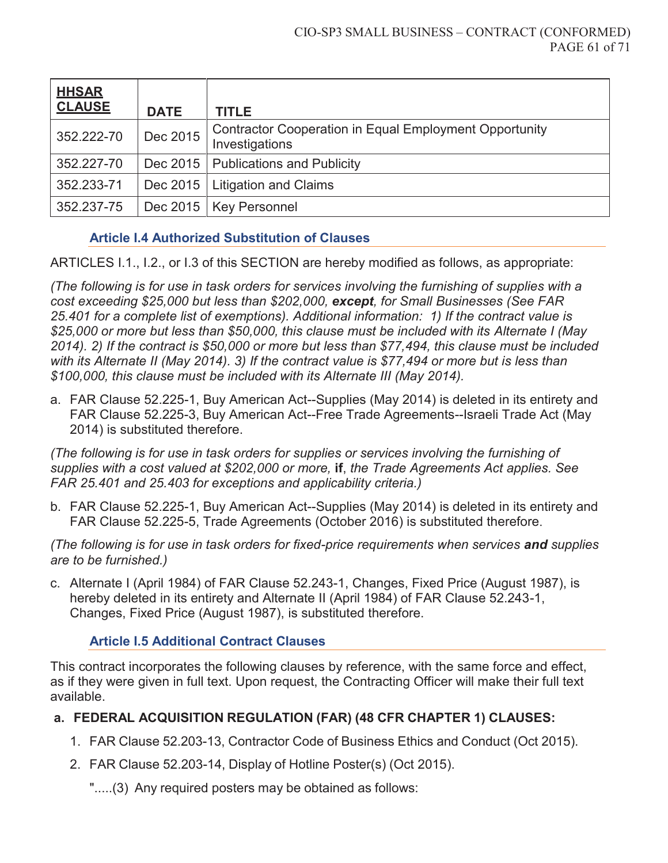| <b>HHSAR</b><br><b>CLAUSE</b> | <b>DATE</b> | <b>TITLE</b>                                                                    |
|-------------------------------|-------------|---------------------------------------------------------------------------------|
| 352.222-70                    | Dec 2015    | <b>Contractor Cooperation in Equal Employment Opportunity</b><br>Investigations |
| 352.227-70                    |             | Dec 2015   Publications and Publicity                                           |
| 352.233-71                    | Dec 2015    | <b>Litigation and Claims</b>                                                    |
| 352.237-75                    |             | Dec 2015   Key Personnel                                                        |

### **Article I.4 Authorized Substitution of Clauses**

ARTICLES I.1., I.2., or I.3 of this SECTION are hereby modified as follows, as appropriate:

*(The following is for use in task orders for services involving the furnishing of supplies with a cost exceeding \$25,000 but less than \$202,000, except, for Small Businesses (See FAR 25.401 for a complete list of exemptions). Additional information: 1) If the contract value is \$25,000 or more but less than \$50,000, this clause must be included with its Alternate I (May 2014). 2) If the contract is \$50,000 or more but less than \$77,494, this clause must be included with its Alternate II (May 2014). 3) If the contract value is \$77,494 or more but is less than \$100,000, this clause must be included with its Alternate III (May 2014).*

a. FAR Clause 52.225-1, Buy American Act--Supplies (May 2014) is deleted in its entirety and FAR Clause 52.225-3, Buy American Act--Free Trade Agreements--Israeli Trade Act (May 2014) is substituted therefore.

*(The following is for use in task orders for supplies or services involving the furnishing of supplies with a cost valued at \$202,000 or more,* **if**, *the Trade Agreements Act applies. See FAR 25.401 and 25.403 for exceptions and applicability criteria.)*

b. FAR Clause 52.225-1, Buy American Act--Supplies (May 2014) is deleted in its entirety and FAR Clause 52.225-5, Trade Agreements (October 2016) is substituted therefore.

*(The following is for use in task orders for fixed-price requirements when services and supplies are to be furnished.)*

c. Alternate I (April 1984) of FAR Clause 52.243-1, Changes, Fixed Price (August 1987), is hereby deleted in its entirety and Alternate II (April 1984) of FAR Clause 52.243-1, Changes, Fixed Price (August 1987), is substituted therefore.

### **Article I.5 Additional Contract Clauses**

This contract incorporates the following clauses by reference, with the same force and effect, as if they were given in full text. Upon request, the Contracting Officer will make their full text available.

### **a. FEDERAL ACQUISITION REGULATION (FAR) (48 CFR CHAPTER 1) CLAUSES:**

- 1. FAR Clause 52.203-13, Contractor Code of Business Ethics and Conduct (Oct 2015).
- 2. FAR Clause 52.203-14, Display of Hotline Poster(s) (Oct 2015).
	- ".....(3) Any required posters may be obtained as follows: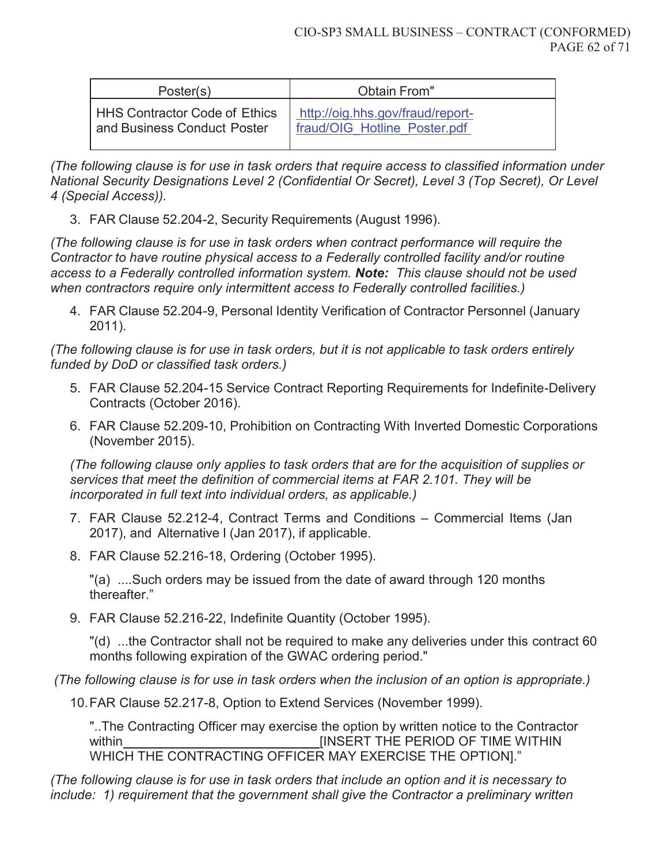| Poster(s)                     | Obtain From"                     |
|-------------------------------|----------------------------------|
| HHS Contractor Code of Ethics | http://oig.hhs.gov/fraud/report- |
| and Business Conduct Poster   | fraud/OIG Hotline Poster.pdf     |

*(The following clause is for use in task orders that require access to classified information under National Security Designations Level 2 (Confidential Or Secret), Level 3 (Top Secret), Or Level 4 (Special Access)).* 

3. FAR Clause 52.204-2, Security Requirements (August 1996).

*(The following clause is for use in task orders when contract performance will require the Contractor to have routine physical access to a Federally controlled facility and/or routine access to a Federally controlled information system. Note: This clause should not be used when contractors require only intermittent access to Federally controlled facilities.)* 

4. FAR Clause 52.204-9, Personal Identity Verification of Contractor Personnel (January 2011).

*(The following clause is for use in task orders, but it is not applicable to task orders entirely funded by DoD or classified task orders.)* 

- 5. FAR Clause 52.204-15 Service Contract Reporting Requirements for Indefinite-Delivery Contracts (October 2016).
- 6. FAR Clause 52.209-10, Prohibition on Contracting With Inverted Domestic Corporations (November 2015).

*(The following clause only applies to task orders that are for the acquisition of supplies or services that meet the definition of commercial items at FAR 2.101. They will be incorporated in full text into individual orders, as applicable.)*

- 7. FAR Clause 52.212-4, Contract Terms and Conditions Commercial Items (Jan 2017), and Alternative I (Jan 2017), if applicable.
- 8. FAR Clause 52.216-18, Ordering (October 1995).

"(a) ....Such orders may be issued from the date of award through 120 months thereafter."

9. FAR Clause 52.216-22, Indefinite Quantity (October 1995).

"(d) ...the Contractor shall not be required to make any deliveries under this contract 60 months following expiration of the GWAC ordering period."

 *(The following clause is for use in task orders when the inclusion of an option is appropriate.)* 

10. FAR Clause 52.217-8, Option to Extend Services (November 1999).

"..The Contracting Officer may exercise the option by written notice to the Contractor within **EXECUTE:** [INSERT THE PERIOD OF TIME WITHIN WHICH THE CONTRACTING OFFICER MAY EXERCISE THE OPTION]."

*(The following clause is for use in task orders that include an option and it is necessary to include: 1) requirement that the government shall give the Contractor a preliminary written*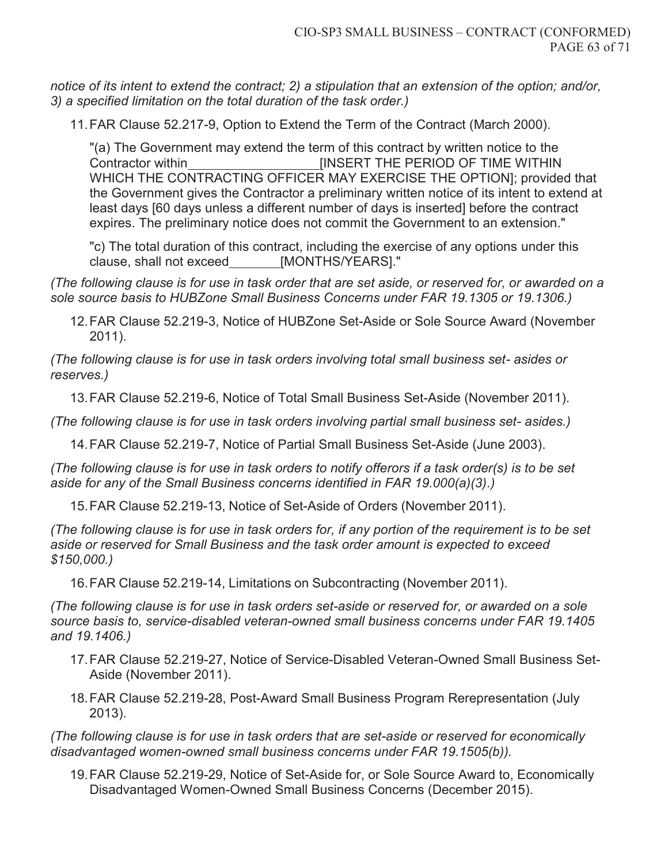*notice of its intent to extend the contract; 2) a stipulation that an extension of the option; and/or, 3) a specified limitation on the total duration of the task order.)*

11. FAR Clause 52.217-9, Option to Extend the Term of the Contract (March 2000).

"(a) The Government may extend the term of this contract by written notice to the Contractor within [INSERT THE PERIOD OF TIME WITHIN WHICH THE CONTRACTING OFFICER MAY EXERCISE THE OPTION]; provided that the Government gives the Contractor a preliminary written notice of its intent to extend at least days [60 days unless a different number of days is inserted] before the contract expires. The preliminary notice does not commit the Government to an extension."

"c) The total duration of this contract, including the exercise of any options under this clause, shall not exceed [MONTHS/YEARS]."

*(The following clause is for use in task order that are set aside, or reserved for, or awarded on a sole source basis to HUBZone Small Business Concerns under FAR 19.1305 or 19.1306.)* 

12. FAR Clause 52.219-3, Notice of HUBZone Set-Aside or Sole Source Award (November 2011).

*(The following clause is for use in task orders involving total small business set- asides or reserves.)* 

13. FAR Clause 52.219-6, Notice of Total Small Business Set-Aside (November 2011).

*(The following clause is for use in task orders involving partial small business set- asides.)*

14. FAR Clause 52.219-7, Notice of Partial Small Business Set-Aside (June 2003).

*(The following clause is for use in task orders to notify offerors if a task order(s) is to be set aside for any of the Small Business concerns identified in FAR 19.000(a)(3).)*

15. FAR Clause 52.219-13, Notice of Set-Aside of Orders (November 2011).

*(The following clause is for use in task orders for, if any portion of the requirement is to be set aside or reserved for Small Business and the task order amount is expected to exceed \$150,000.)*

16. FAR Clause 52.219-14, Limitations on Subcontracting (November 2011).

*(The following clause is for use in task orders set-aside or reserved for, or awarded on a sole source basis to, service-disabled veteran-owned small business concerns under FAR 19.1405 and 19.1406.)*

- 17. FAR Clause 52.219-27, Notice of Service-Disabled Veteran-Owned Small Business Set-Aside (November 2011).
- 18. FAR Clause 52.219-28, Post-Award Small Business Program Rerepresentation (July 2013).

*(The following clause is for use in task orders that are set-aside or reserved for economically disadvantaged women-owned small business concerns under FAR 19.1505(b)).*

19. FAR Clause 52.219-29, Notice of Set-Aside for, or Sole Source Award to, Economically Disadvantaged Women-Owned Small Business Concerns (December 2015).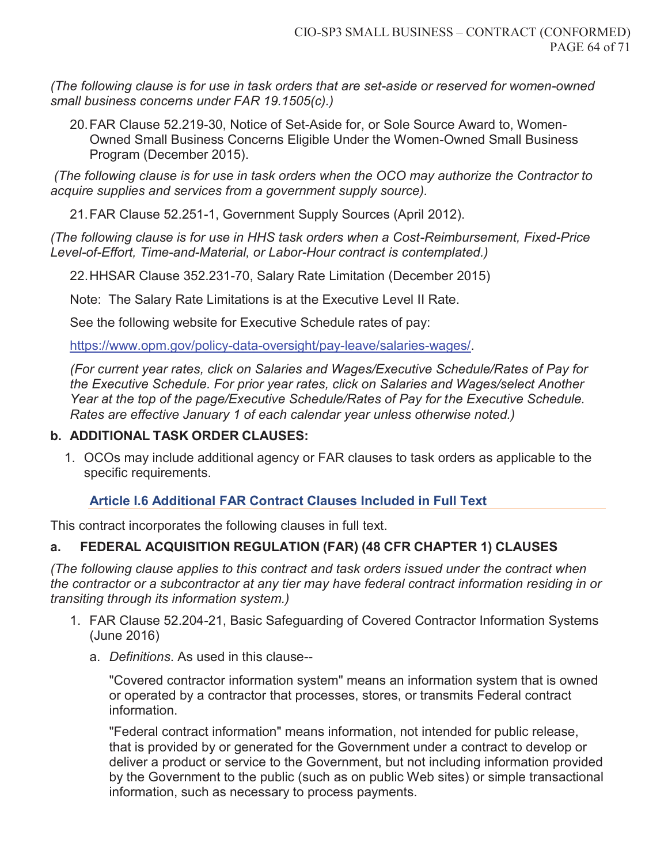*(The following clause is for use in task orders that are set-aside or reserved for women-owned small business concerns under FAR 19.1505(c).)*

20. FAR Clause 52.219-30, Notice of Set-Aside for, or Sole Source Award to, Women-Owned Small Business Concerns Eligible Under the Women-Owned Small Business Program (December 2015).

 *(The following clause is for use in task orders when the OCO may authorize the Contractor to acquire supplies and services from a government supply source).*

21. FAR Clause 52.251-1, Government Supply Sources (April 2012).

*(The following clause is for use in HHS task orders when a Cost-Reimbursement, Fixed-Price Level-of-Effort, Time-and-Material, or Labor-Hour contract is contemplated.)* 

22. HHSAR Clause 352.231-70, Salary Rate Limitation (December 2015)

Note: The Salary Rate Limitations is at the Executive Level II Rate.

See the following website for Executive Schedule rates of pay:

https://www.opm.gov/policy-data-oversight/pay-leave/salaries-wages/.

*(For current year rates, click on Salaries and Wages/Executive Schedule/Rates of Pay for the Executive Schedule. For prior year rates, click on Salaries and Wages/select Another Year at the top of the page/Executive Schedule/Rates of Pay for the Executive Schedule. Rates are effective January 1 of each calendar year unless otherwise noted.)*

## **b. ADDITIONAL TASK ORDER CLAUSES:**

1. OCOs may include additional agency or FAR clauses to task orders as applicable to the specific requirements.

## **Article I.6 Additional FAR Contract Clauses Included in Full Text**

This contract incorporates the following clauses in full text.

# **a. FEDERAL ACQUISITION REGULATION (FAR) (48 CFR CHAPTER 1) CLAUSES**

*(The following clause applies to this contract and task orders issued under the contract when the contractor or a subcontractor at any tier may have federal contract information residing in or transiting through its information system.)* 

- 1. FAR Clause 52.204-21, Basic Safeguarding of Covered Contractor Information Systems (June 2016)
	- a. *Definitions*. As used in this clause--

"Covered contractor information system" means an information system that is owned or operated by a contractor that processes, stores, or transmits Federal contract information.

"Federal contract information" means information, not intended for public release, that is provided by or generated for the Government under a contract to develop or deliver a product or service to the Government, but not including information provided by the Government to the public (such as on public Web sites) or simple transactional information, such as necessary to process payments.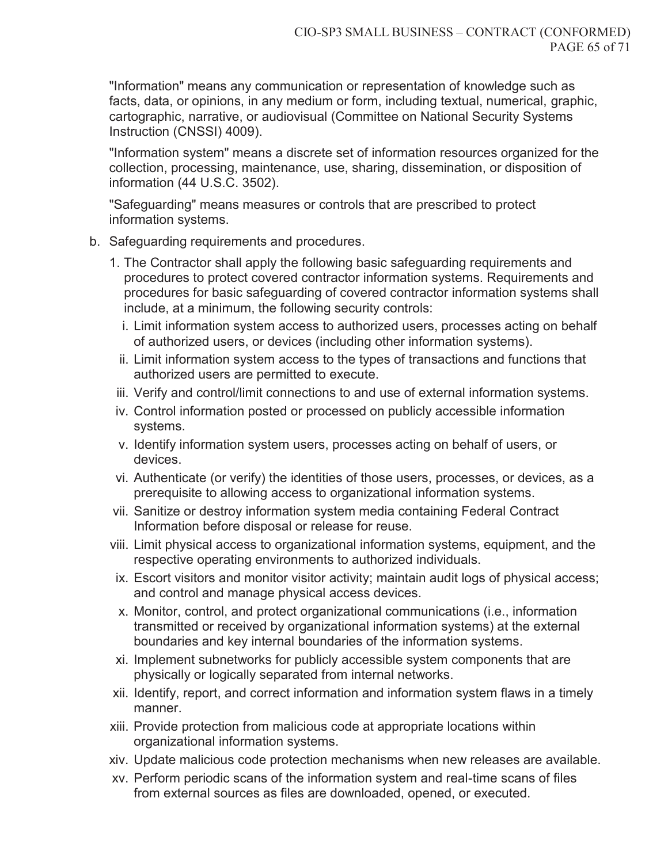"Information" means any communication or representation of knowledge such as facts, data, or opinions, in any medium or form, including textual, numerical, graphic, cartographic, narrative, or audiovisual (Committee on National Security Systems Instruction (CNSSI) 4009).

"Information system" means a discrete set of information resources organized for the collection, processing, maintenance, use, sharing, dissemination, or disposition of information (44 U.S.C. 3502).

"Safeguarding" means measures or controls that are prescribed to protect information systems.

- b. Safeguarding requirements and procedures.
	- 1. The Contractor shall apply the following basic safeguarding requirements and procedures to protect covered contractor information systems. Requirements and procedures for basic safeguarding of covered contractor information systems shall include, at a minimum, the following security controls:
		- i. Limit information system access to authorized users, processes acting on behalf of authorized users, or devices (including other information systems).
		- ii. Limit information system access to the types of transactions and functions that authorized users are permitted to execute.
	- iii. Verify and control/limit connections to and use of external information systems.
	- iv. Control information posted or processed on publicly accessible information systems.
	- v. Identify information system users, processes acting on behalf of users, or devices.
	- vi. Authenticate (or verify) the identities of those users, processes, or devices, as a prerequisite to allowing access to organizational information systems.
	- vii. Sanitize or destroy information system media containing Federal Contract Information before disposal or release for reuse.
	- viii. Limit physical access to organizational information systems, equipment, and the respective operating environments to authorized individuals.
	- ix. Escort visitors and monitor visitor activity; maintain audit logs of physical access; and control and manage physical access devices.
	- x. Monitor, control, and protect organizational communications (i.e., information transmitted or received by organizational information systems) at the external boundaries and key internal boundaries of the information systems.
	- xi. Implement subnetworks for publicly accessible system components that are physically or logically separated from internal networks.
	- xii. Identify, report, and correct information and information system flaws in a timely manner.
	- xiii. Provide protection from malicious code at appropriate locations within organizational information systems.
	- xiv. Update malicious code protection mechanisms when new releases are available.
	- xv. Perform periodic scans of the information system and real-time scans of files from external sources as files are downloaded, opened, or executed.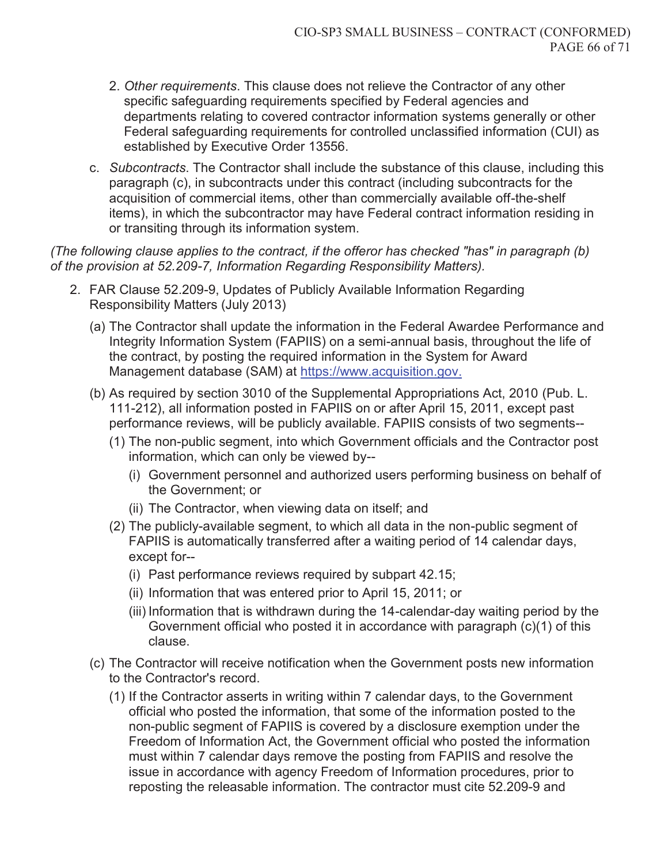- 2. *Other requirements*. This clause does not relieve the Contractor of any other specific safeguarding requirements specified by Federal agencies and departments relating to covered contractor information systems generally or other Federal safeguarding requirements for controlled unclassified information (CUI) as established by Executive Order 13556.
- c. *Subcontracts*. The Contractor shall include the substance of this clause, including this paragraph (c), in subcontracts under this contract (including subcontracts for the acquisition of commercial items, other than commercially available off-the-shelf items), in which the subcontractor may have Federal contract information residing in or transiting through its information system.

*(The following clause applies to the contract, if the offeror has checked "has" in paragraph (b) of the provision at 52.209-7, Information Regarding Responsibility Matters).* 

- 2. FAR Clause 52.209-9, Updates of Publicly Available Information Regarding Responsibility Matters (July 2013)
	- (a) The Contractor shall update the information in the Federal Awardee Performance and Integrity Information System (FAPIIS) on a semi-annual basis, throughout the life of the contract, by posting the required information in the System for Award Management database (SAM) at https://www.acquisition.gov.
	- (b) As required by section 3010 of the Supplemental Appropriations Act, 2010 (Pub. L. 111-212), all information posted in FAPIIS on or after April 15, 2011, except past performance reviews, will be publicly available. FAPIIS consists of two segments--
		- (1) The non-public segment, into which Government officials and the Contractor post information, which can only be viewed by--
			- (i) Government personnel and authorized users performing business on behalf of the Government; or
			- (ii) The Contractor, when viewing data on itself; and
		- (2) The publicly-available segment, to which all data in the non-public segment of FAPIIS is automatically transferred after a waiting period of 14 calendar days, except for--
			- (i) Past performance reviews required by subpart 42.15;
			- (ii) Information that was entered prior to April 15, 2011; or
			- (iii) Information that is withdrawn during the 14-calendar-day waiting period by the Government official who posted it in accordance with paragraph (c)(1) of this clause.
	- (c) The Contractor will receive notification when the Government posts new information to the Contractor's record.
		- (1) If the Contractor asserts in writing within 7 calendar days, to the Government official who posted the information, that some of the information posted to the non-public segment of FAPIIS is covered by a disclosure exemption under the Freedom of Information Act, the Government official who posted the information must within 7 calendar days remove the posting from FAPIIS and resolve the issue in accordance with agency Freedom of Information procedures, prior to reposting the releasable information. The contractor must cite 52.209-9 and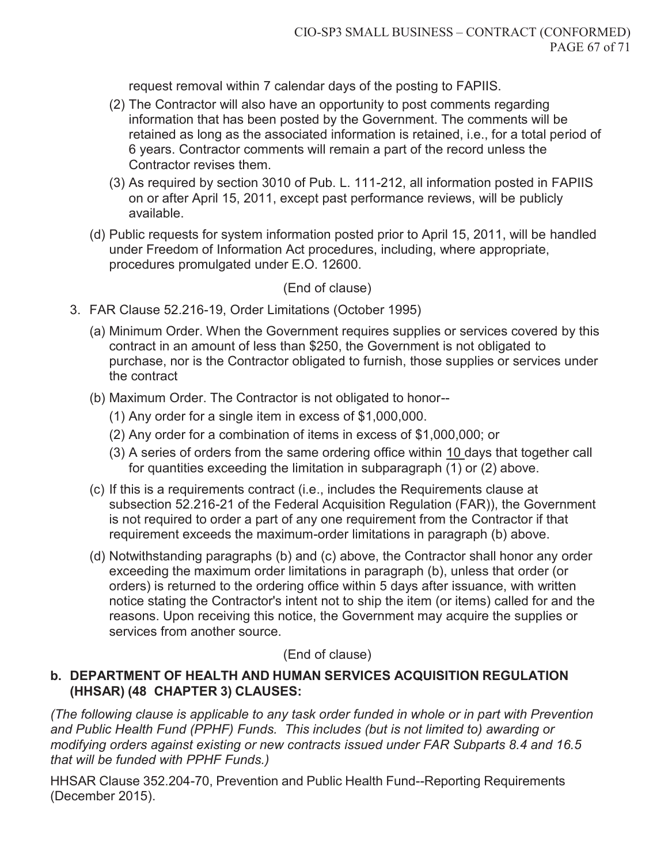request removal within 7 calendar days of the posting to FAPIIS.

- (2) The Contractor will also have an opportunity to post comments regarding information that has been posted by the Government. The comments will be retained as long as the associated information is retained, i.e., for a total period of 6 years. Contractor comments will remain a part of the record unless the Contractor revises them.
- (3) As required by section 3010 of Pub. L. 111-212, all information posted in FAPIIS on or after April 15, 2011, except past performance reviews, will be publicly available.
- (d) Public requests for system information posted prior to April 15, 2011, will be handled under Freedom of Information Act procedures, including, where appropriate, procedures promulgated under E.O. 12600.

### (End of clause)

- 3. FAR Clause 52.216-19, Order Limitations (October 1995)
	- (a) Minimum Order. When the Government requires supplies or services covered by this contract in an amount of less than \$250, the Government is not obligated to purchase, nor is the Contractor obligated to furnish, those supplies or services under the contract
	- (b) Maximum Order. The Contractor is not obligated to honor--
		- (1) Any order for a single item in excess of \$1,000,000.
		- (2) Any order for a combination of items in excess of \$1,000,000; or
		- (3) A series of orders from the same ordering office within 10 days that together call for quantities exceeding the limitation in subparagraph (1) or (2) above.
	- (c) If this is a requirements contract (i.e., includes the Requirements clause at subsection 52.216-21 of the Federal Acquisition Regulation (FAR)), the Government is not required to order a part of any one requirement from the Contractor if that requirement exceeds the maximum-order limitations in paragraph (b) above.
	- (d) Notwithstanding paragraphs (b) and (c) above, the Contractor shall honor any order exceeding the maximum order limitations in paragraph (b), unless that order (or orders) is returned to the ordering office within 5 days after issuance, with written notice stating the Contractor's intent not to ship the item (or items) called for and the reasons. Upon receiving this notice, the Government may acquire the supplies or services from another source.

### (End of clause)

### **b. DEPARTMENT OF HEALTH AND HUMAN SERVICES ACQUISITION REGULATION (HHSAR) (48 CHAPTER 3) CLAUSES:**

*(The following clause is applicable to any task order funded in whole or in part with Prevention and Public Health Fund (PPHF) Funds. This includes (but is not limited to) awarding or modifying orders against existing or new contracts issued under FAR Subparts 8.4 and 16.5 that will be funded with PPHF Funds.)* 

HHSAR Clause 352.204-70, Prevention and Public Health Fund--Reporting Requirements (December 2015).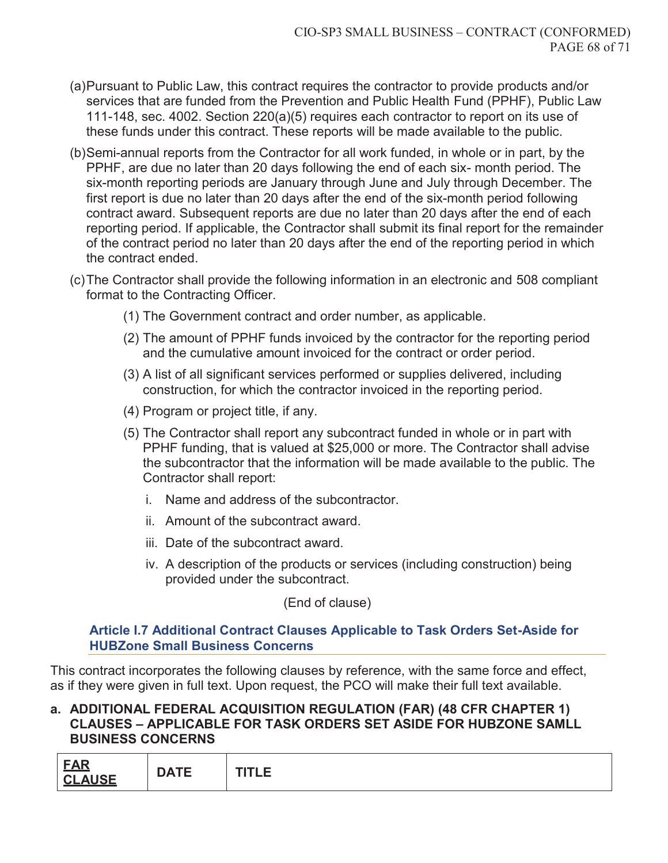- (a) Pursuant to Public Law, this contract requires the contractor to provide products and/or services that are funded from the Prevention and Public Health Fund (PPHF), Public Law 111-148, sec. 4002. Section 220(a)(5) requires each contractor to report on its use of these funds under this contract. These reports will be made available to the public.
- (b) Semi-annual reports from the Contractor for all work funded, in whole or in part, by the PPHF, are due no later than 20 days following the end of each six- month period. The six-month reporting periods are January through June and July through December. The first report is due no later than 20 days after the end of the six-month period following contract award. Subsequent reports are due no later than 20 days after the end of each reporting period. If applicable, the Contractor shall submit its final report for the remainder of the contract period no later than 20 days after the end of the reporting period in which the contract ended.
- (c) The Contractor shall provide the following information in an electronic and 508 compliant format to the Contracting Officer.
	- (1) The Government contract and order number, as applicable.
	- (2) The amount of PPHF funds invoiced by the contractor for the reporting period and the cumulative amount invoiced for the contract or order period.
	- (3) A list of all significant services performed or supplies delivered, including construction, for which the contractor invoiced in the reporting period.
	- (4) Program or project title, if any.
	- (5) The Contractor shall report any subcontract funded in whole or in part with PPHF funding, that is valued at \$25,000 or more. The Contractor shall advise the subcontractor that the information will be made available to the public. The Contractor shall report:
		- i. Name and address of the subcontractor.
		- ii. Amount of the subcontract award.
		- iii. Date of the subcontract award.
		- iv. A description of the products or services (including construction) being provided under the subcontract.

(End of clause)

#### **Article I.7 Additional Contract Clauses Applicable to Task Orders Set-Aside for HUBZone Small Business Concerns**

This contract incorporates the following clauses by reference, with the same force and effect, as if they were given in full text. Upon request, the PCO will make their full text available.

#### **a. ADDITIONAL FEDERAL ACQUISITION REGULATION (FAR) (48 CFR CHAPTER 1) CLAUSES – APPLICABLE FOR TASK ORDERS SET ASIDE FOR HUBZONE SAMLL BUSINESS CONCERNS**

| <b>FAR</b><br><b>DATE</b><br><b>UAIL</b><br><b>ALICE</b><br>$\mathsf{C}$<br>- <b>AVVL</b> | . |
|-------------------------------------------------------------------------------------------|---|
|-------------------------------------------------------------------------------------------|---|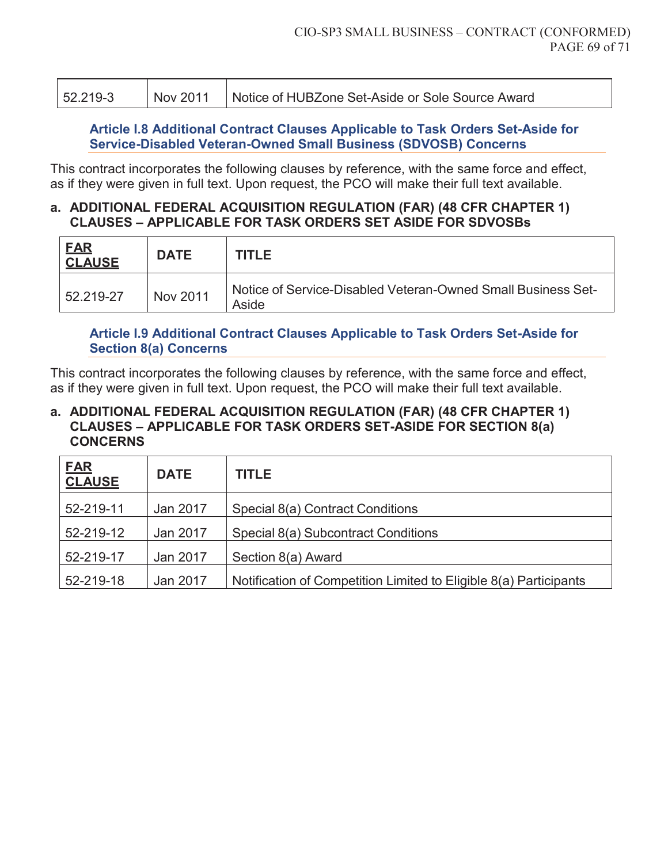| 52.219-3 | Nov 2011 | Notice of HUBZone Set-Aside or Sole Source Award |
|----------|----------|--------------------------------------------------|

#### **Article I.8 Additional Contract Clauses Applicable to Task Orders Set-Aside for Service-Disabled Veteran-Owned Small Business (SDVOSB) Concerns**

This contract incorporates the following clauses by reference, with the same force and effect, as if they were given in full text. Upon request, the PCO will make their full text available.

#### **a. ADDITIONAL FEDERAL ACQUISITION REGULATION (FAR) (48 CFR CHAPTER 1) CLAUSES – APPLICABLE FOR TASK ORDERS SET ASIDE FOR SDVOSBs**

| <b>FAR</b><br><b>CLAUSE</b> | <b>DATE</b> | <b>TITLE</b>                                                          |
|-----------------------------|-------------|-----------------------------------------------------------------------|
| 52.219-27                   | Nov 2011    | Notice of Service-Disabled Veteran-Owned Small Business Set-<br>Aside |

### **Article I.9 Additional Contract Clauses Applicable to Task Orders Set-Aside for Section 8(a) Concerns**

This contract incorporates the following clauses by reference, with the same force and effect, as if they were given in full text. Upon request, the PCO will make their full text available.

#### **a. ADDITIONAL FEDERAL ACQUISITION REGULATION (FAR) (48 CFR CHAPTER 1) CLAUSES – APPLICABLE FOR TASK ORDERS SET-ASIDE FOR SECTION 8(a) CONCERNS**

| <b>FAR</b><br><b>CLAUSE</b> | <b>DATE</b> | <b>TITLE</b>                                                      |
|-----------------------------|-------------|-------------------------------------------------------------------|
| 52-219-11                   | Jan 2017    | Special 8(a) Contract Conditions                                  |
| 52-219-12                   | Jan 2017    | Special 8(a) Subcontract Conditions                               |
| 52-219-17                   | Jan 2017    | Section 8(a) Award                                                |
| 52-219-18                   | Jan 2017    | Notification of Competition Limited to Eligible 8(a) Participants |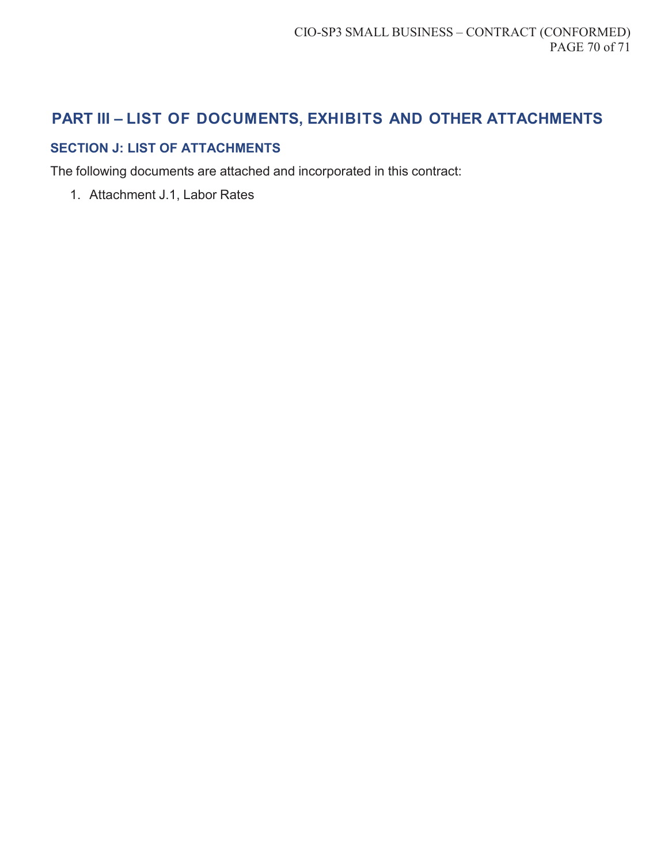# **PART III – LIST OF DOCUMENTS, EXHIBITS AND OTHER ATTACHMENTS**

## **SECTION J: LIST OF ATTACHMENTS**

The following documents are attached and incorporated in this contract:

1. Attachment J.1, Labor Rates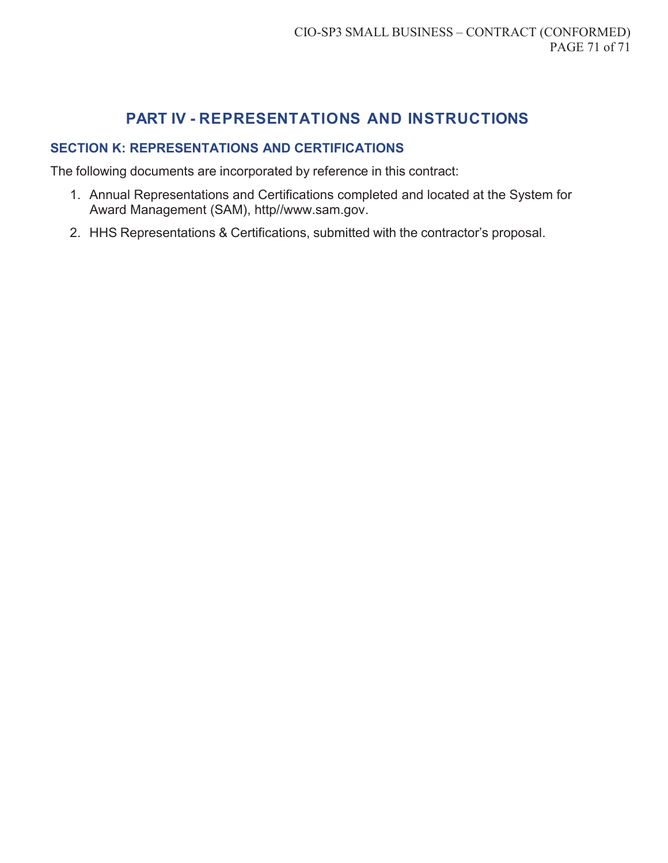# **PART IV - REPRESENTATIONS AND INSTRUCTIONS**

### **SECTION K: REPRESENTATIONS AND CERTIFICATIONS**

The following documents are incorporated by reference in this contract:

- 1. Annual Representations and Certifications completed and located at the System for Award Management (SAM), http//www.sam.gov.
- 2. HHS Representations & Certifications, submitted with the contractor's proposal.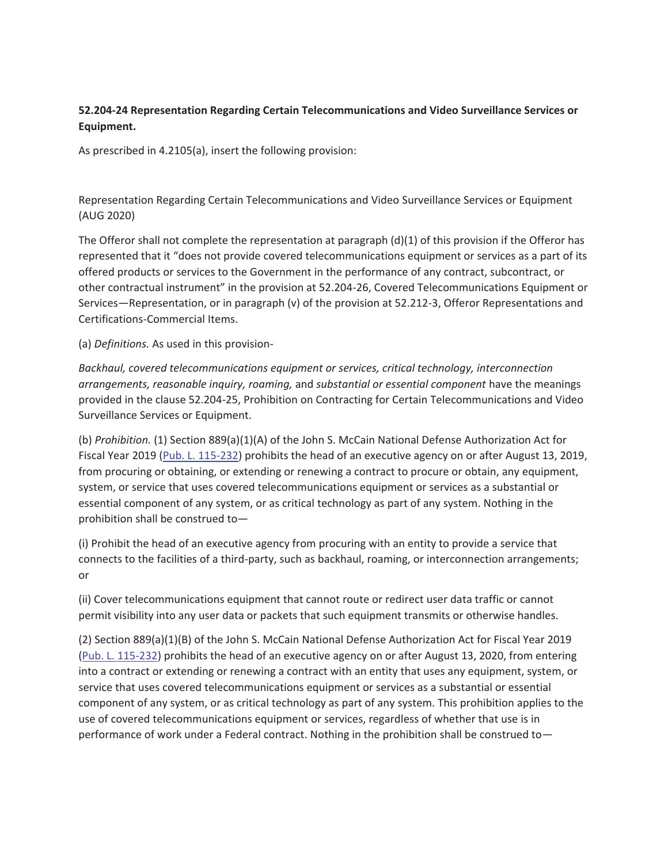#### **52.204-24 Representation Regarding Certain Telecommunications and Video Surveillance Services or Equipment.**

As prescribed in 4.2105(a), insert the following provision:

Representation Regarding Certain Telecommunications and Video Surveillance Services or Equipment (AUG 2020)

The Offeror shall not complete the representation at paragraph (d)(1) of this provision if the Offeror has represented that it "does not provide covered telecommunications equipment or services as a part of its offered products or services to the Government in the performance of any contract, subcontract, or other contractual instrument" in the provision at 52.204-26, Covered Telecommunications Equipment or Services—Representation, or in paragraph (v) of the provision at 52.212-3, Offeror Representations and Certifications-Commercial Items.

(a) *Definitions.* As used in this provision-

*Backhaul, covered telecommunications equipment or services, critical technology, interconnection arrangements, reasonable inquiry, roaming,* and *substantial or essential component* have the meanings provided in the clause 52.204-25, Prohibition on Contracting for Certain Telecommunications and Video Surveillance Services or Equipment.

(b) *Prohibition.* (1) Section 889(a)(1)(A) of the John S. McCain National Defense Authorization Act for Fiscal Year 2019 (Pub. L. 115-232) prohibits the head of an executive agency on or after August 13, 2019, from procuring or obtaining, or extending or renewing a contract to procure or obtain, any equipment, system, or service that uses covered telecommunications equipment or services as a substantial or essential component of any system, or as critical technology as part of any system. Nothing in the prohibition shall be construed to—

(i) Prohibit the head of an executive agency from procuring with an entity to provide a service that connects to the facilities of a third-party, such as backhaul, roaming, or interconnection arrangements; or

(ii) Cover telecommunications equipment that cannot route or redirect user data traffic or cannot permit visibility into any user data or packets that such equipment transmits or otherwise handles.

(2) Section 889(a)(1)(B) of the John S. McCain National Defense Authorization Act for Fiscal Year 2019 (Pub. L. 115-232) prohibits the head of an executive agency on or after August 13, 2020, from entering into a contract or extending or renewing a contract with an entity that uses any equipment, system, or service that uses covered telecommunications equipment or services as a substantial or essential component of any system, or as critical technology as part of any system. This prohibition applies to the use of covered telecommunications equipment or services, regardless of whether that use is in performance of work under a Federal contract. Nothing in the prohibition shall be construed to—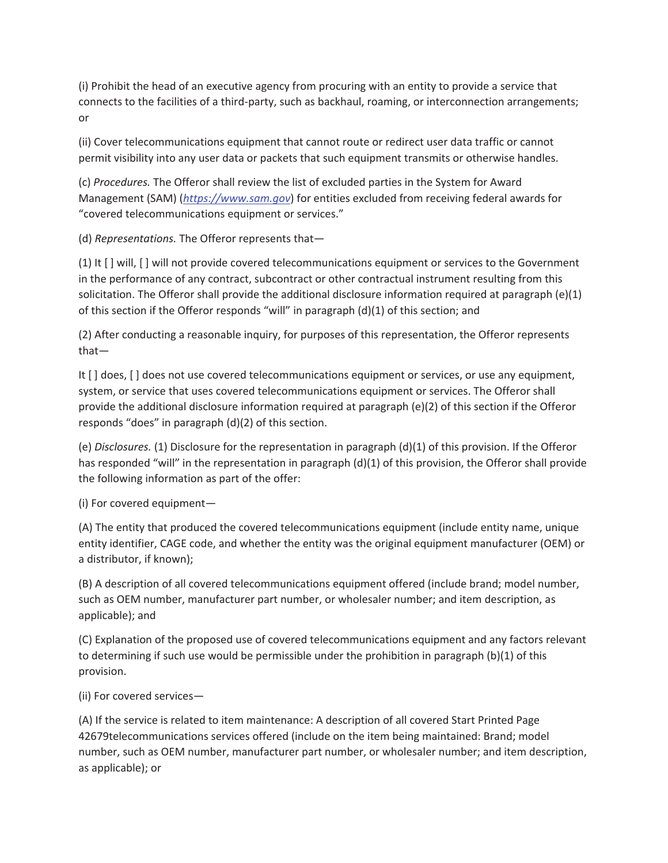(i) Prohibit the head of an executive agency from procuring with an entity to provide a service that connects to the facilities of a third-party, such as backhaul, roaming, or interconnection arrangements; or

(ii) Cover telecommunications equipment that cannot route or redirect user data traffic or cannot permit visibility into any user data or packets that such equipment transmits or otherwise handles.

(c) *Procedures.* The Offeror shall review the list of excluded parties in the System for Award Management (SAM) (*https://www.sam.gov*) for entities excluded from receiving federal awards for "covered telecommunications equipment or services."

(d) *Representations.* The Offeror represents that—

(1) It [ ] will, [ ] will not provide covered telecommunications equipment or services to the Government in the performance of any contract, subcontract or other contractual instrument resulting from this solicitation. The Offeror shall provide the additional disclosure information required at paragraph (e)(1) of this section if the Offeror responds "will" in paragraph (d)(1) of this section; and

(2) After conducting a reasonable inquiry, for purposes of this representation, the Offeror represents that—

It [ ] does, [ ] does not use covered telecommunications equipment or services, or use any equipment, system, or service that uses covered telecommunications equipment or services. The Offeror shall provide the additional disclosure information required at paragraph (e)(2) of this section if the Offeror responds "does" in paragraph (d)(2) of this section.

(e) *Disclosures.* (1) Disclosure for the representation in paragraph (d)(1) of this provision. If the Offeror has responded "will" in the representation in paragraph (d)(1) of this provision, the Offeror shall provide the following information as part of the offer:

(i) For covered equipment—

(A) The entity that produced the covered telecommunications equipment (include entity name, unique entity identifier, CAGE code, and whether the entity was the original equipment manufacturer (OEM) or a distributor, if known);

(B) A description of all covered telecommunications equipment offered (include brand; model number, such as OEM number, manufacturer part number, or wholesaler number; and item description, as applicable); and

(C) Explanation of the proposed use of covered telecommunications equipment and any factors relevant to determining if such use would be permissible under the prohibition in paragraph (b)(1) of this provision.

(ii) For covered services—

(A) If the service is related to item maintenance: A description of all covered Start Printed Page 42679telecommunications services offered (include on the item being maintained: Brand; model number, such as OEM number, manufacturer part number, or wholesaler number; and item description, as applicable); or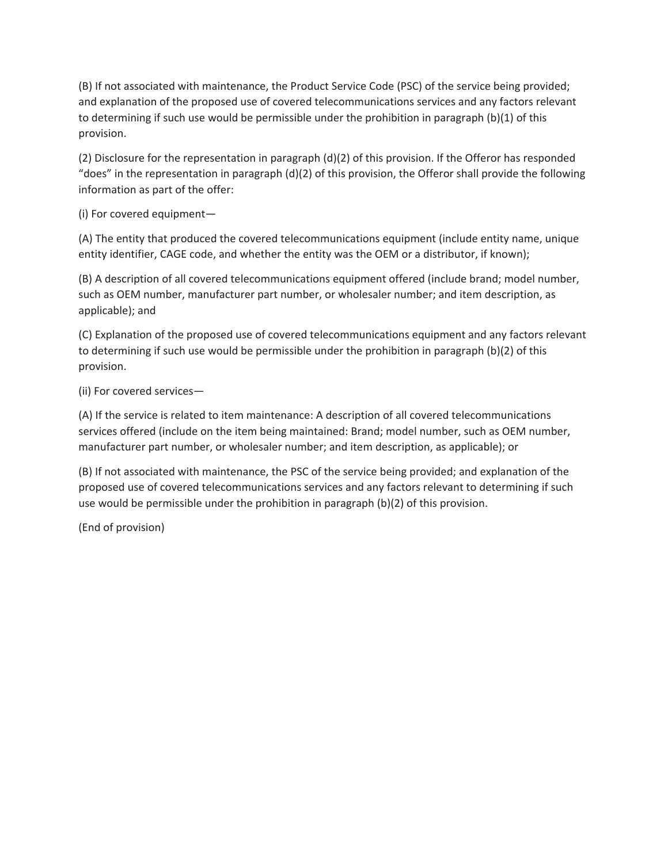(B) If not associated with maintenance, the Product Service Code (PSC) of the service being provided; and explanation of the proposed use of covered telecommunications services and any factors relevant to determining if such use would be permissible under the prohibition in paragraph (b)(1) of this provision.

(2) Disclosure for the representation in paragraph (d)(2) of this provision. If the Offeror has responded "does" in the representation in paragraph (d)(2) of this provision, the Offeror shall provide the following information as part of the offer:

(i) For covered equipment—

(A) The entity that produced the covered telecommunications equipment (include entity name, unique entity identifier, CAGE code, and whether the entity was the OEM or a distributor, if known);

(B) A description of all covered telecommunications equipment offered (include brand; model number, such as OEM number, manufacturer part number, or wholesaler number; and item description, as applicable); and

(C) Explanation of the proposed use of covered telecommunications equipment and any factors relevant to determining if such use would be permissible under the prohibition in paragraph (b)(2) of this provision.

(ii) For covered services—

(A) If the service is related to item maintenance: A description of all covered telecommunications services offered (include on the item being maintained: Brand; model number, such as OEM number, manufacturer part number, or wholesaler number; and item description, as applicable); or

(B) If not associated with maintenance, the PSC of the service being provided; and explanation of the proposed use of covered telecommunications services and any factors relevant to determining if such use would be permissible under the prohibition in paragraph (b)(2) of this provision.

(End of provision)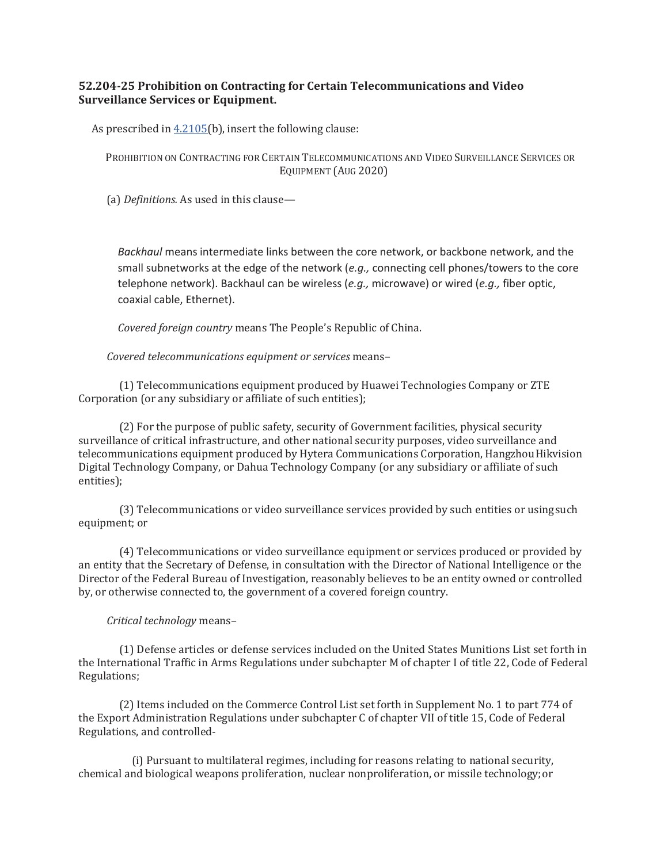## **52.204-25 Prohibition on Contracting for Certain Telecommunications and Video Surveillance Services or Equipment.**

As prescribed in 4.2105(b), insert the following clause:

PROHIBITION ON CONTRACTING FOR CERTAIN TELECOMMUNICATIONS AND VIDEO SURVEILLANCE SERVICES OR EQUIPMENT (AUG 2020)

(a) *Definitions*. As used in this clause—

*Backhaul* means intermediate links between the core network, or backbone network, and the small subnetworks at the edge of the network (*e.g.,* connecting cell phones/towers to the core telephone network). Backhaul can be wireless (*e.g.,* microwave) or wired (*e.g.,* fiber optic, coaxial cable, Ethernet).

*Covered foreign country* means The People's Republic of China.

*Covered telecommunications equipment or services means-*

(1) Telecommunications equipment produced by Huawei Technologies Company or ZTE Corporation (or any subsidiary or affiliate of such entities);

(2) For the purpose of public safety, security of Government facilities, physical security surveillance of critical infrastructure, and other national security purposes, video surveillance and telecommunications equipment produced by Hytera Communications Corporation, Hangzhou Hikvision Digital Technology Company, or Dahua Technology Company (or any subsidiary or affiliate of such entities);

(3) Telecommunications or video surveillance services provided by such entities or using such equipment; or

(4) Telecommunications or video surveillance equipment or services produced or provided by an entity that the Secretary of Defense, in consultation with the Director of National Intelligence or the Director of the Federal Bureau of Investigation, reasonably believes to be an entity owned or controlled by, or otherwise connected to, the government of a covered foreign country.

## *Critical technology* means-

(1) Defense articles or defense services included on the United States Munitions List set forth in the International Traffic in Arms Regulations under subchapter M of chapter I of title 22, Code of Federal Regulations;

(2) Items included on the Commerce Control List set forth in Supplement No. 1 to part 774 of the Export Administration Regulations under subchapter C of chapter VII of title 15, Code of Federal Regulations, and controlled-

(i) Pursuant to multilateral regimes, including for reasons relating to national security, chemical and biological weapons proliferation, nuclear nonproliferation, or missile technology; or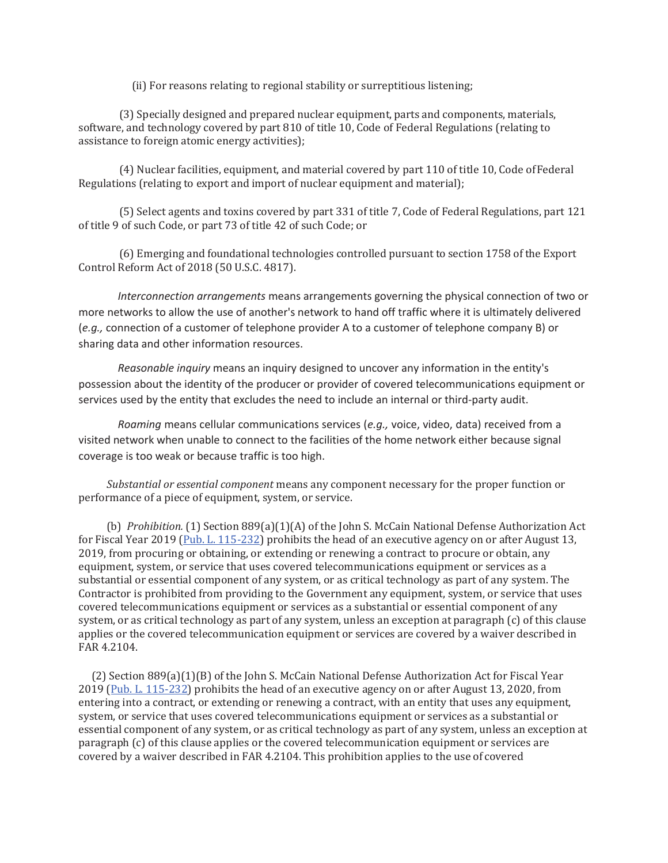(ii) For reasons relating to regional stability or surreptitious listening;

(3) Specially designed and prepared nuclear equipment, parts and components, materials, software, and technology covered by part 810 of title 10, Code of Federal Regulations (relating to assistance to foreign atomic energy activities);

(4) Nuclear facilities, equipment, and material covered by part 110 of title 10, Code of Federal Regulations (relating to export and import of nuclear equipment and material);

(5) Select agents and toxins covered by part 331 of title 7, Code of Federal Regulations, part 121 of title 9 of such Code, or part 73 of title 42 of such Code; or

(6) Emerging and foundational technologies controlled pursuant to section 1758 of the Export Control Reform Act of 2018 (50 U.S.C. 4817).

*Interconnection arrangements* means arrangements governing the physical connection of two or more networks to allow the use of another's network to hand off traffic where it is ultimately delivered (*e.g.,* connection of a customer of telephone provider A to a customer of telephone company B) or sharing data and other information resources.

*Reasonable inquiry* means an inquiry designed to uncover any information in the entity's possession about the identity of the producer or provider of covered telecommunications equipment or services used by the entity that excludes the need to include an internal or third-party audit.

*Roaming* means cellular communications services (*e.g.,* voice, video, data) received from a visited network when unable to connect to the facilities of the home network either because signal coverage is too weak or because traffic is too high.

*Substantial or essential component* means any component necessary for the proper function or performance of a piece of equipment, system, or service.

(b) *Prohibition.* (1) Section 889(a)(1)(A) of the John S. McCain National Defense Authorization Act for Fiscal Year 2019 (Pub. L. 115-232) prohibits the head of an executive agency on or after August 13, 2019, from procuring or obtaining, or extending or renewing a contract to procure or obtain, any equipment, system, or service that uses covered telecommunications equipment or services as a substantial or essential component of any system, or as critical technology as part of any system. The Contractor is prohibited from providing to the Government any equipment, system, or service that uses covered telecommunications equipment or services as a substantial or essential component of any system, or as critical technology as part of any system, unless an exception at paragraph (c) of this clause applies or the covered telecommunication equipment or services are covered by a waiver described in ΓΑΒ 4.2104.

(2) Section 889(a)(1)(B) of the John S. McCain National Defense Authorization Act for Fiscal Year 2019 (Pub. L. 115-232) prohibits the head of an executive agency on or after August 13, 2020, from entering into a contract, or extending or renewing a contract, with an entity that uses any equipment, system, or service that uses covered telecommunications equipment or services as a substantial or essential component of any system, or as critical technology as part of any system, unless an exception at paragraph (c) of this clause applies or the covered telecommunication equipment or services are covered by a waiver described in FAR 4.2104. This prohibition applies to the use of covered